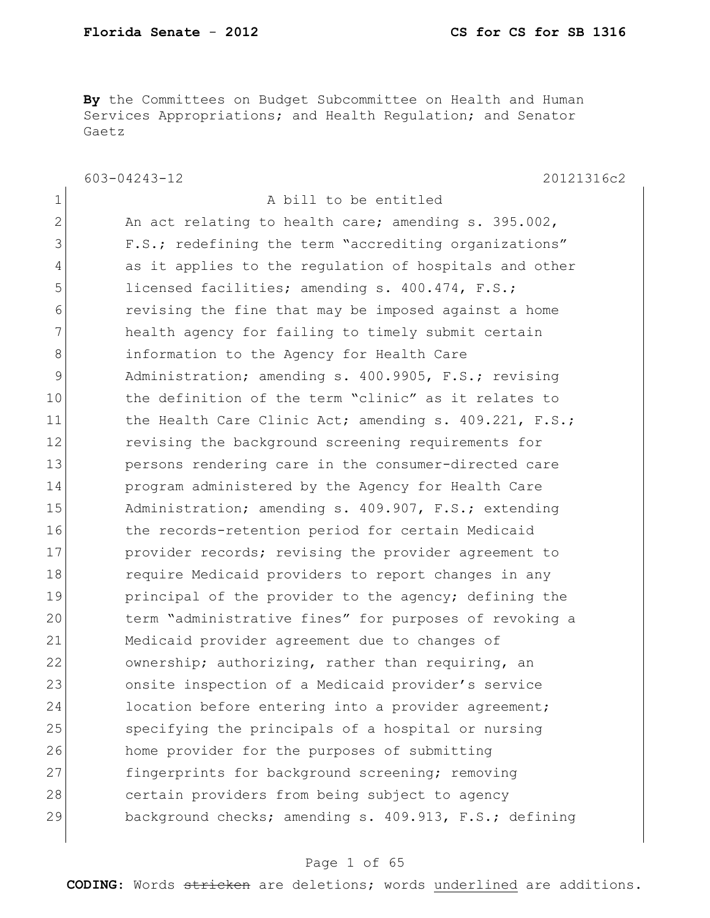**By** the Committees on Budget Subcommittee on Health and Human Services Appropriations; and Health Regulation; and Senator Gaetz

603-04243-12 20121316c2

| $\mathbf 1$  | A bill to be entitled                                  |
|--------------|--------------------------------------------------------|
| $\mathbf{2}$ | An act relating to health care; amending s. 395.002,   |
| 3            | F.S.; redefining the term "accrediting organizations"  |
| 4            | as it applies to the regulation of hospitals and other |
| 5            | licensed facilities; amending s. 400.474, F.S.;        |
| 6            | revising the fine that may be imposed against a home   |
| 7            | health agency for failing to timely submit certain     |
| 8            | information to the Agency for Health Care              |
| $\mathsf 9$  | Administration; amending s. 400.9905, F.S.; revising   |
| 10           | the definition of the term "clinic" as it relates to   |
| 11           | the Health Care Clinic Act; amending s. 409.221, F.S.; |
| 12           | revising the background screening requirements for     |
| 13           | persons rendering care in the consumer-directed care   |
| 14           | program administered by the Agency for Health Care     |
| 15           | Administration; amending s. 409.907, F.S.; extending   |
| 16           | the records-retention period for certain Medicaid      |
| 17           | provider records; revising the provider agreement to   |
| 18           | require Medicaid providers to report changes in any    |
| 19           | principal of the provider to the agency; defining the  |
| 20           | term "administrative fines" for purposes of revoking a |
| 21           | Medicaid provider agreement due to changes of          |
| 22           | ownership; authorizing, rather than requiring, an      |
| 23           | onsite inspection of a Medicaid provider's service     |
| 24           | location before entering into a provider agreement;    |
| 25           | specifying the principals of a hospital or nursing     |
| 26           | home provider for the purposes of submitting           |
| 27           | fingerprints for background screening; removing        |
| 28           | certain providers from being subject to agency         |
| 29           | background checks; amending s. 409.913, F.S.; defining |
|              |                                                        |

### Page 1 of 65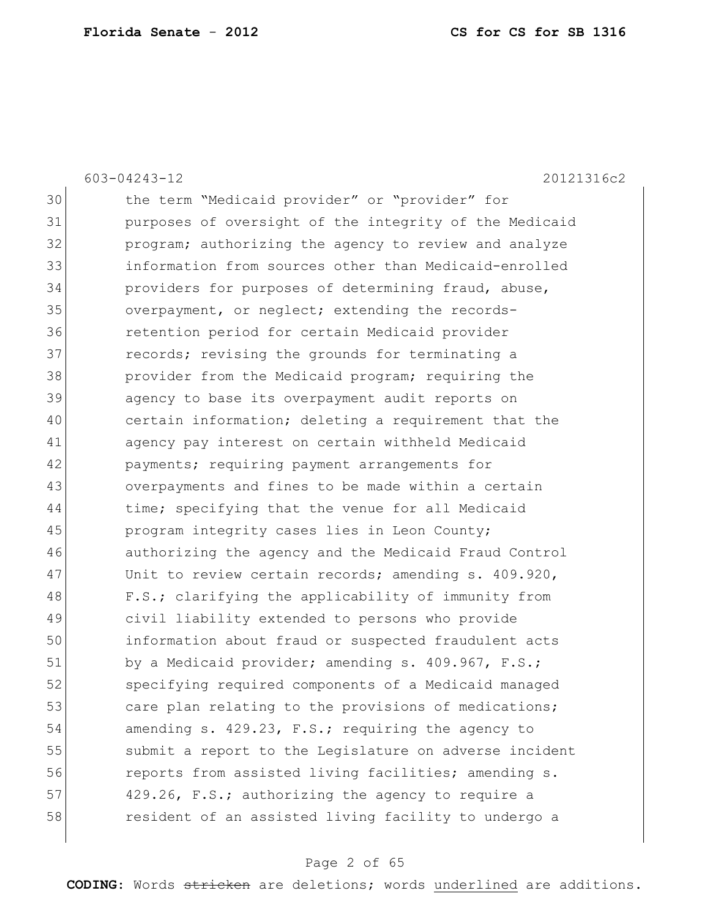603-04243-12 20121316c2 30 the term "Medicaid provider" or "provider" for 31 purposes of oversight of the integrity of the Medicaid 32 program; authorizing the agency to review and analyze 33 information from sources other than Medicaid-enrolled 34 providers for purposes of determining fraud, abuse, 35 overpayment, or neglect; extending the records-36 retention period for certain Medicaid provider 37 **records;** revising the grounds for terminating a 38 provider from the Medicaid program; requiring the 39 agency to base its overpayment audit reports on 40 certain information; deleting a requirement that the 41 agency pay interest on certain withheld Medicaid 42 payments; requiring payment arrangements for 43 overpayments and fines to be made within a certain 44 time; specifying that the venue for all Medicaid 45 program integrity cases lies in Leon County; 46 authorizing the agency and the Medicaid Fraud Control 47 Unit to review certain records; amending s. 409.920, 48 F.S.; clarifying the applicability of immunity from 49 civil liability extended to persons who provide 50 information about fraud or suspected fraudulent acts 51 by a Medicaid provider; amending s. 409.967, F.S.; 52 specifying required components of a Medicaid managed 53 care plan relating to the provisions of medications; 54 amending s. 429.23, F.S.; requiring the agency to 55 submit a report to the Legislature on adverse incident 56 **reports from assisted living facilities; amending s.** 57 429.26, F.S.; authorizing the agency to require a 58 resident of an assisted living facility to undergo a

### Page 2 of 65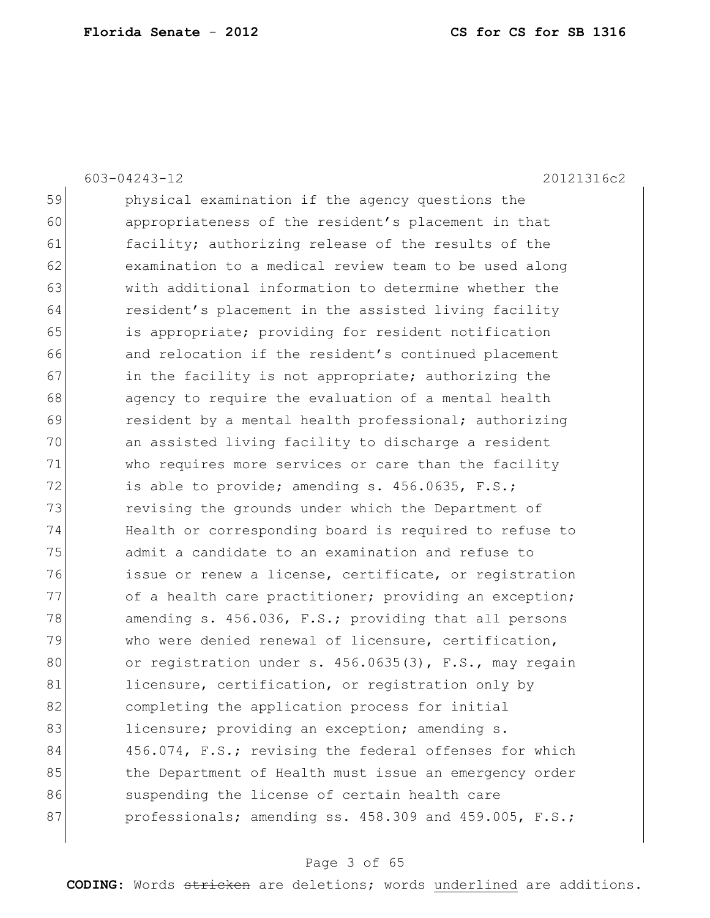603-04243-12 20121316c2

| 59 | physical examination if the agency questions the       |
|----|--------------------------------------------------------|
| 60 | appropriateness of the resident's placement in that    |
| 61 | facility; authorizing release of the results of the    |
| 62 | examination to a medical review team to be used along  |
| 63 | with additional information to determine whether the   |
| 64 | resident's placement in the assisted living facility   |
| 65 | is appropriate; providing for resident notification    |
| 66 | and relocation if the resident's continued placement   |
| 67 | in the facility is not appropriate; authorizing the    |
| 68 | agency to require the evaluation of a mental health    |
| 69 | resident by a mental health professional; authorizing  |
| 70 | an assisted living facility to discharge a resident    |
| 71 | who requires more services or care than the facility   |
| 72 | is able to provide; amending s. 456.0635, F.S.;        |
| 73 | revising the grounds under which the Department of     |
| 74 | Health or corresponding board is required to refuse to |
| 75 | admit a candidate to an examination and refuse to      |
| 76 | issue or renew a license, certificate, or registration |
| 77 | of a health care practitioner; providing an exception; |
| 78 | amending s. 456.036, F.S.; providing that all persons  |
| 79 | who were denied renewal of licensure, certification,   |
| 80 | or registration under s. 456.0635(3), F.S., may regain |
| 81 | licensure, certification, or registration only by      |
| 82 | completing the application process for initial         |
| 83 | licensure; providing an exception; amending s.         |
| 84 | 456.074, F.S.; revising the federal offenses for which |
| 85 | the Department of Health must issue an emergency order |
| 86 | suspending the license of certain health care          |
| 87 | professionals; amending ss. 458.309 and 459.005, F.S.; |
|    |                                                        |

# Page 3 of 65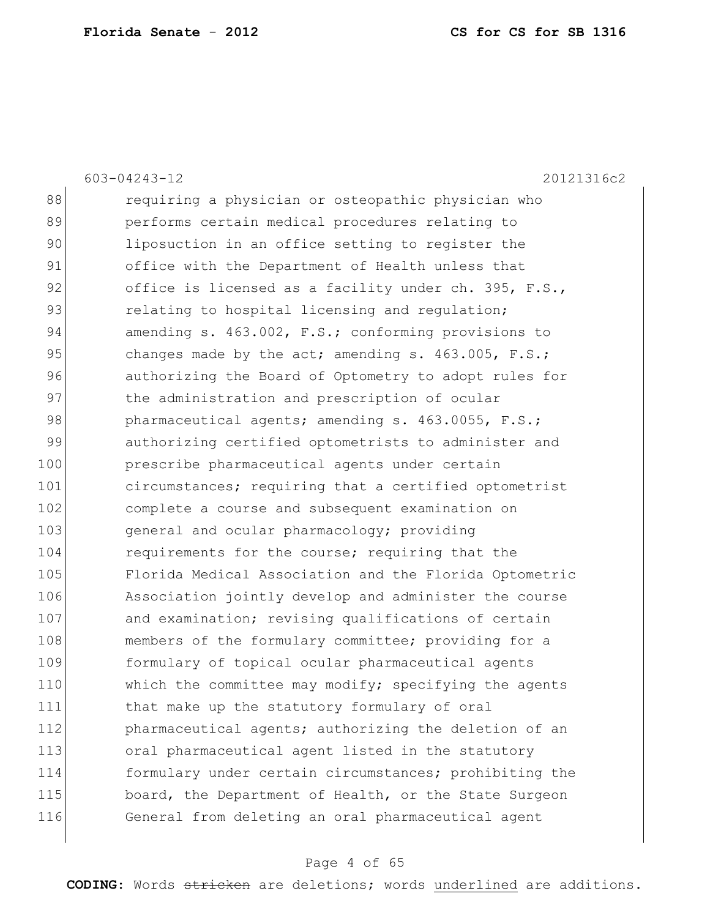|     | 603-04243-12<br>20121316c2                             |
|-----|--------------------------------------------------------|
| 88  | requiring a physician or osteopathic physician who     |
| 89  | performs certain medical procedures relating to        |
| 90  | liposuction in an office setting to register the       |
| 91  | office with the Department of Health unless that       |
| 92  | office is licensed as a facility under ch. 395, F.S.,  |
| 93  | relating to hospital licensing and regulation;         |
| 94  | amending s. 463.002, F.S.; conforming provisions to    |
| 95  | changes made by the act; amending s. $463.005$ , F.S.; |
| 96  | authorizing the Board of Optometry to adopt rules for  |
| 97  | the administration and prescription of ocular          |
| 98  | pharmaceutical agents; amending s. 463.0055, F.S.;     |
| 99  | authorizing certified optometrists to administer and   |
| 100 | prescribe pharmaceutical agents under certain          |
| 101 | circumstances; requiring that a certified optometrist  |
| 102 | complete a course and subsequent examination on        |
| 103 | general and ocular pharmacology; providing             |
| 104 | requirements for the course; requiring that the        |
| 105 | Florida Medical Association and the Florida Optometric |
| 106 | Association jointly develop and administer the course  |
| 107 | and examination; revising qualifications of certain    |
| 108 | members of the formulary committee; providing for a    |
| 109 | formulary of topical ocular pharmaceutical agents      |
| 110 | which the committee may modify; specifying the agents  |
| 111 | that make up the statutory formulary of oral           |
| 112 | pharmaceutical agents; authorizing the deletion of an  |
| 113 | oral pharmaceutical agent listed in the statutory      |
| 114 | formulary under certain circumstances; prohibiting the |
| 115 | board, the Department of Health, or the State Surgeon  |
| 116 | General from deleting an oral pharmaceutical agent     |
|     |                                                        |

# Page 4 of 65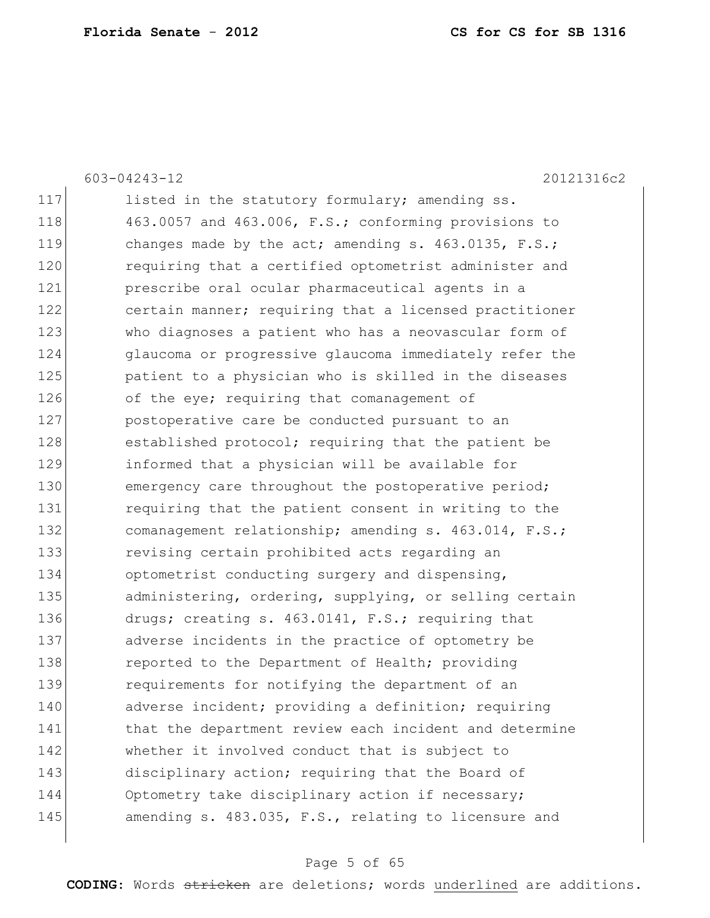|     | 20121316c2<br>$603 - 04243 - 12$                        |
|-----|---------------------------------------------------------|
| 117 | listed in the statutory formulary; amending ss.         |
| 118 | 463.0057 and 463.006, F.S.; conforming provisions to    |
| 119 | changes made by the act; amending s. $463.0135$ , F.S.; |
| 120 | requiring that a certified optometrist administer and   |
| 121 | prescribe oral ocular pharmaceutical agents in a        |
| 122 | certain manner; requiring that a licensed practitioner  |
| 123 | who diagnoses a patient who has a neovascular form of   |
| 124 | glaucoma or progressive glaucoma immediately refer the  |
| 125 | patient to a physician who is skilled in the diseases   |
| 126 | of the eye; requiring that comanagement of              |
| 127 | postoperative care be conducted pursuant to an          |
| 128 | established protocol; requiring that the patient be     |
| 129 | informed that a physician will be available for         |
| 130 | emergency care throughout the postoperative period;     |
| 131 | requiring that the patient consent in writing to the    |
| 132 | comanagement relationship; amending s. 463.014, F.S.;   |
| 133 | revising certain prohibited acts regarding an           |
| 134 | optometrist conducting surgery and dispensing,          |
| 135 | administering, ordering, supplying, or selling certain  |
| 136 | drugs; creating s. 463.0141, F.S.; requiring that       |
| 137 | adverse incidents in the practice of optometry be       |
| 138 | reported to the Department of Health; providing         |
| 139 | requirements for notifying the department of an         |
| 140 | adverse incident; providing a definition; requiring     |
| 141 | that the department review each incident and determine  |
| 142 | whether it involved conduct that is subject to          |
| 143 | disciplinary action; requiring that the Board of        |
| 144 | Optometry take disciplinary action if necessary;        |
| 145 | amending s. 483.035, F.S., relating to licensure and    |
|     |                                                         |

# Page 5 of 65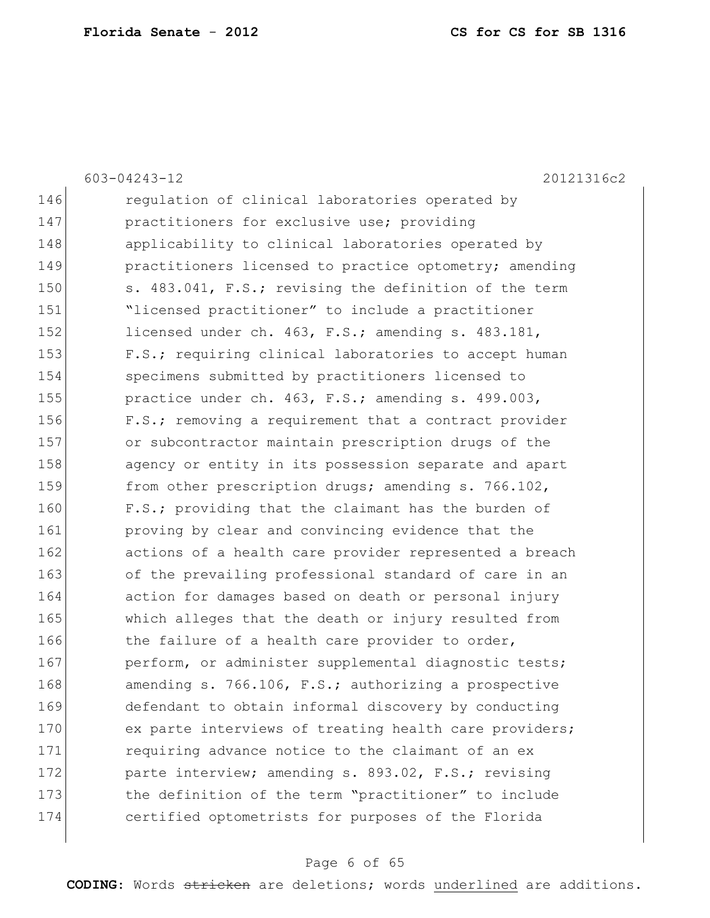|     | 603-04243-12<br>20121316c2                             |
|-----|--------------------------------------------------------|
| 146 | regulation of clinical laboratories operated by        |
| 147 | practitioners for exclusive use; providing             |
| 148 | applicability to clinical laboratories operated by     |
| 149 | practitioners licensed to practice optometry; amending |
| 150 | s. 483.041, F.S.; revising the definition of the term  |
| 151 | "licensed practitioner" to include a practitioner      |
| 152 | licensed under ch. 463, F.S.; amending s. 483.181,     |
| 153 | F.S.; requiring clinical laboratories to accept human  |
| 154 | specimens submitted by practitioners licensed to       |
| 155 | practice under ch. 463, F.S.; amending s. 499.003,     |
| 156 | F.S.; removing a requirement that a contract provider  |
| 157 | or subcontractor maintain prescription drugs of the    |
| 158 | agency or entity in its possession separate and apart  |
| 159 | from other prescription drugs; amending s. 766.102,    |
| 160 | F.S.; providing that the claimant has the burden of    |
| 161 | proving by clear and convincing evidence that the      |
| 162 | actions of a health care provider represented a breach |
| 163 | of the prevailing professional standard of care in an  |
| 164 | action for damages based on death or personal injury   |
| 165 | which alleges that the death or injury resulted from   |
| 166 | the failure of a health care provider to order,        |
| 167 | perform, or administer supplemental diagnostic tests;  |
| 168 | amending s. 766.106, F.S.; authorizing a prospective   |
| 169 | defendant to obtain informal discovery by conducting   |
| 170 | ex parte interviews of treating health care providers; |
| 171 | requiring advance notice to the claimant of an ex      |
| 172 | parte interview; amending s. 893.02, F.S.; revising    |
| 173 | the definition of the term "practitioner" to include   |
| 174 | certified optometrists for purposes of the Florida     |
|     |                                                        |

# Page 6 of 65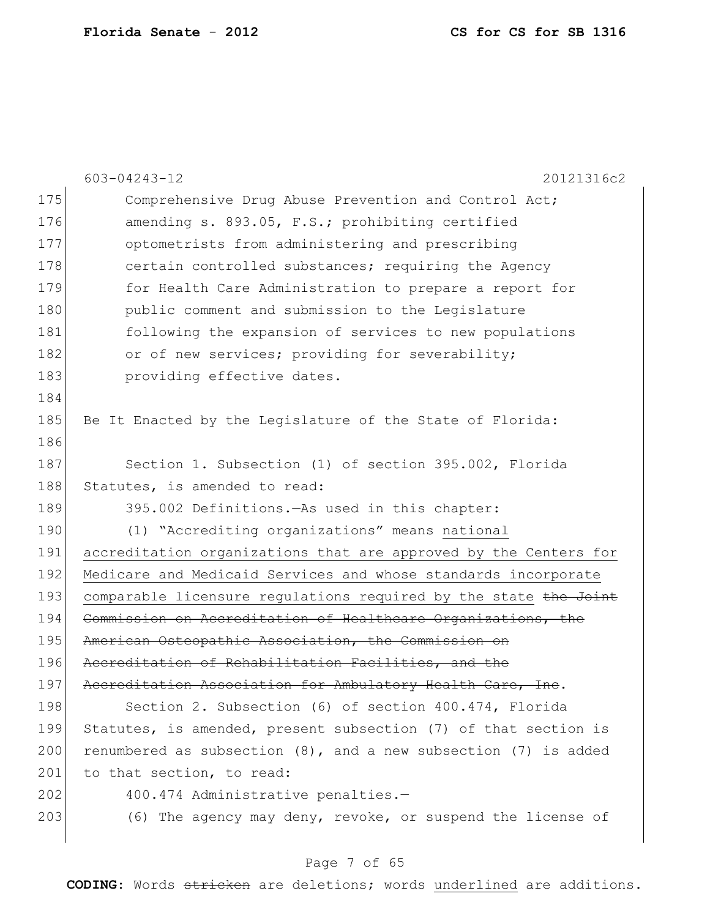|     | $603 - 04243 - 12$<br>20121316c2                                     |
|-----|----------------------------------------------------------------------|
| 175 | Comprehensive Drug Abuse Prevention and Control Act;                 |
| 176 | amending s. 893.05, F.S.; prohibiting certified                      |
| 177 | optometrists from administering and prescribing                      |
| 178 | certain controlled substances; requiring the Agency                  |
| 179 | for Health Care Administration to prepare a report for               |
| 180 | public comment and submission to the Legislature                     |
| 181 | following the expansion of services to new populations               |
| 182 | or of new services; providing for severability;                      |
| 183 | providing effective dates.                                           |
| 184 |                                                                      |
| 185 | Be It Enacted by the Legislature of the State of Florida:            |
| 186 |                                                                      |
| 187 | Section 1. Subsection (1) of section 395.002, Florida                |
| 188 | Statutes, is amended to read:                                        |
| 189 | 395.002 Definitions. - As used in this chapter:                      |
| 190 | (1) "Accrediting organizations" means national                       |
| 191 | accreditation organizations that are approved by the Centers for     |
| 192 | Medicare and Medicaid Services and whose standards incorporate       |
| 193 | comparable licensure regulations required by the state the Joint     |
| 194 | Commission on Accreditation of Healthcare Organizations, the         |
| 195 | American Osteopathic Association, the Commission on                  |
| 196 | Accreditation of Rehabilitation Facilities, and the                  |
| 197 | Accreditation Association for Ambulatory Health Care, Inc.           |
| 198 | Section 2. Subsection (6) of section 400.474, Florida                |
| 199 | Statutes, is amended, present subsection (7) of that section is      |
| 200 | renumbered as subsection $(8)$ , and a new subsection $(7)$ is added |
| 201 | to that section, to read:                                            |
| 202 | 400.474 Administrative penalties.-                                   |
| 203 | (6) The agency may deny, revoke, or suspend the license of           |

# Page 7 of 65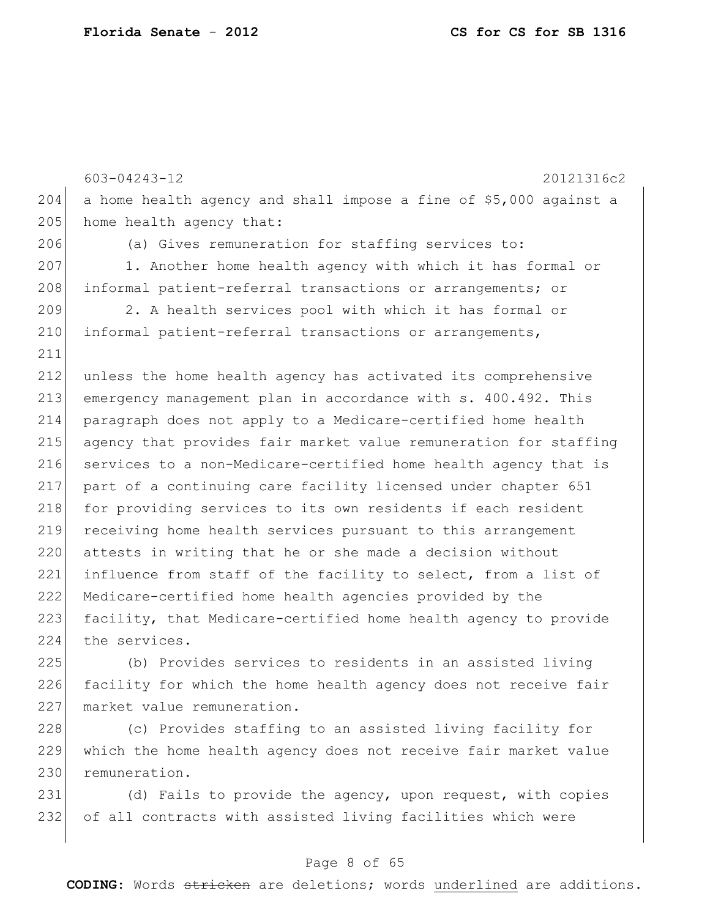```
603-04243-12 20121316c2
204 a home health agency and shall impose a fine of $5,000 against a 
205 home health agency that:
206 (a) Gives remuneration for staffing services to:
207 1. Another home health agency with which it has formal or
208 informal patient-referral transactions or arrangements; or
209 2. A health services pool with which it has formal or 
210 informal patient-referral transactions or arrangements,
211
212 unless the home health agency has activated its comprehensive 
213 emergency management plan in accordance with s. 400.492. This 
214 paragraph does not apply to a Medicare-certified home health 
215 agency that provides fair market value remuneration for staffing 
216 services to a non-Medicare-certified home health agency that is
217 part of a continuing care facility licensed under chapter 651 
218 for providing services to its own residents if each resident
219 receiving home health services pursuant to this arrangement 
220 attests in writing that he or she made a decision without
221 influence from staff of the facility to select, from a list of 
222 Medicare-certified home health agencies provided by the 
223 facility, that Medicare-certified home health agency to provide 
224 the services.
225 (b) Provides services to residents in an assisted living
```
226 facility for which the home health agency does not receive fair 227 market value remuneration.

228 (c) Provides staffing to an assisted living facility for 229 which the home health agency does not receive fair market value 230 remuneration.

231 (d) Fails to provide the agency, upon request, with copies 232 of all contracts with assisted living facilities which were

### Page 8 of 65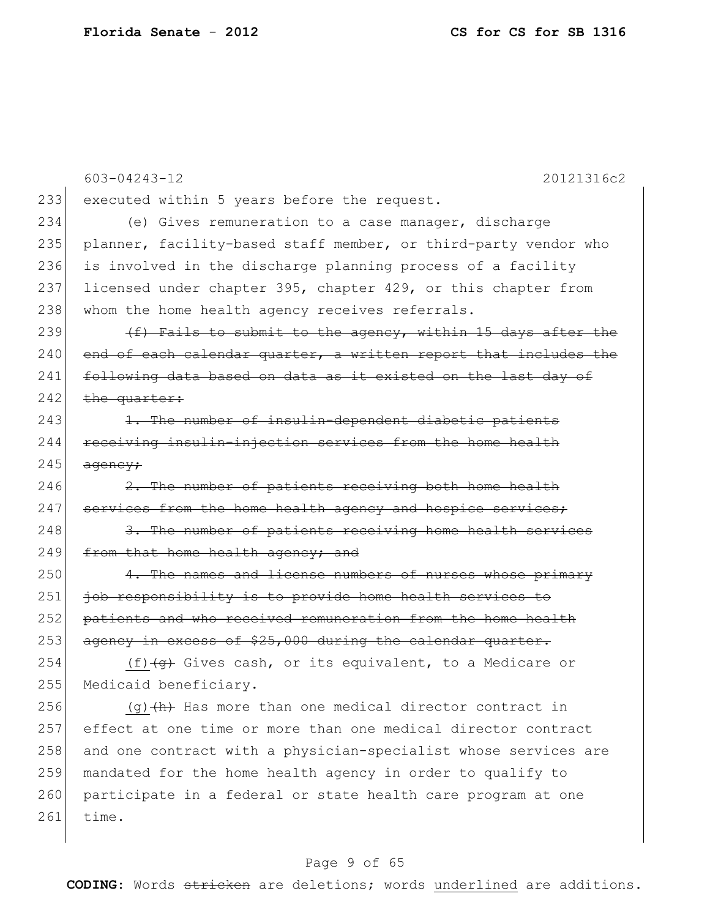|     | $603 - 04243 - 12$<br>20121316c2                                                 |
|-----|----------------------------------------------------------------------------------|
| 233 | executed within 5 years before the request.                                      |
| 234 | (e) Gives remuneration to a case manager, discharge                              |
| 235 | planner, facility-based staff member, or third-party vendor who                  |
| 236 | is involved in the discharge planning process of a facility                      |
| 237 | licensed under chapter 395, chapter 429, or this chapter from                    |
| 238 | whom the home health agency receives referrals.                                  |
| 239 | (f) Fails to submit to the agency, within 15 days after the                      |
| 240 | end of each calendar quarter, a written report that includes the                 |
| 241 | following data based on data as it existed on the last day of                    |
| 242 | the quarter:                                                                     |
| 243 | 1. The number of insulin-dependent diabetic patients                             |
| 244 | receiving insulin-injection services from the home health                        |
| 245 | ageney;                                                                          |
| 246 | 2. The number of patients receiving both home health                             |
| 247 | services from the home health agency and hospice services;                       |
| 248 | 3. The number of patients receiving home health services                         |
| 249 | from that home health agency; and                                                |
| 250 | 4. The names and license numbers of nurses whose primary                         |
| 251 | job responsibility is to provide home health services to                         |
| 252 | patients and who received remuneration from the home health                      |
| 253 | agency in excess of \$25,000 during the calendar quarter.                        |
| 254 | (f) $\left( \frac{1}{9} \right)$ Gives cash, or its equivalent, to a Medicare or |
| 255 | Medicaid beneficiary.                                                            |
| 256 | $(g)$ $(h)$ Has more than one medical director contract in                       |
| 257 | effect at one time or more than one medical director contract                    |
| 258 | and one contract with a physician-specialist whose services are                  |
| 259 | mandated for the home health agency in order to qualify to                       |
| 260 | participate in a federal or state health care program at one                     |
| 261 | time.                                                                            |

# Page 9 of 65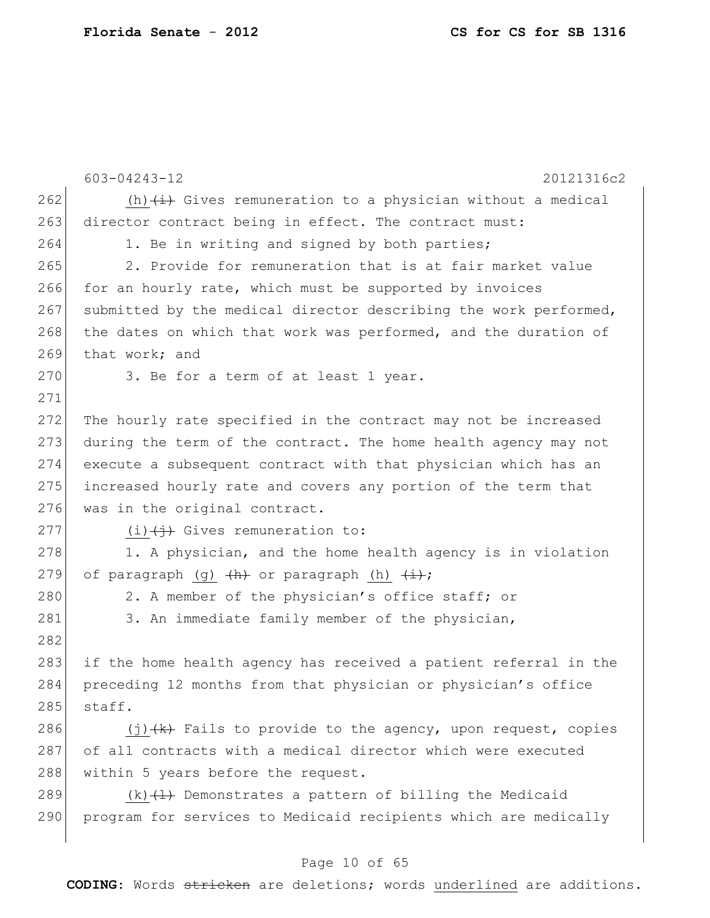|     | 603-04243-12<br>20121316c2                                             |
|-----|------------------------------------------------------------------------|
| 262 | (h) $\overline{a}$ Gives remuneration to a physician without a medical |
| 263 | director contract being in effect. The contract must:                  |
| 264 | 1. Be in writing and signed by both parties;                           |
| 265 | 2. Provide for remuneration that is at fair market value               |
| 266 | for an hourly rate, which must be supported by invoices                |
| 267 | submitted by the medical director describing the work performed,       |
| 268 | the dates on which that work was performed, and the duration of        |
| 269 | that work; and                                                         |
| 270 | 3. Be for a term of at least 1 year.                                   |
| 271 |                                                                        |
| 272 | The hourly rate specified in the contract may not be increased         |
| 273 | during the term of the contract. The home health agency may not        |
| 274 | execute a subsequent contract with that physician which has an         |
| 275 | increased hourly rate and covers any portion of the term that          |
| 276 | was in the original contract.                                          |
| 277 | $(i)$ $(i)$ Gives remuneration to:                                     |
| 278 | 1. A physician, and the home health agency is in violation             |
| 279 | of paragraph (g) $\frac{h}{h}$ or paragraph (h) $\frac{1}{h}$ ;        |
| 280 | 2. A member of the physician's office staff; or                        |
| 281 | 3. An immediate family member of the physician,                        |
| 282 |                                                                        |
| 283 | if the home health agency has received a patient referral in the       |
| 284 | preceding 12 months from that physician or physician's office          |
| 285 | staff.                                                                 |
| 286 | $(j)$ $(k)$ Fails to provide to the agency, upon request, copies       |
| 287 | of all contracts with a medical director which were executed           |
| 288 | within 5 years before the request.                                     |
| 289 | $(k)$ $(1)$ Demonstrates a pattern of billing the Medicaid             |
| 290 | program for services to Medicaid recipients which are medically        |
|     |                                                                        |

# Page 10 of 65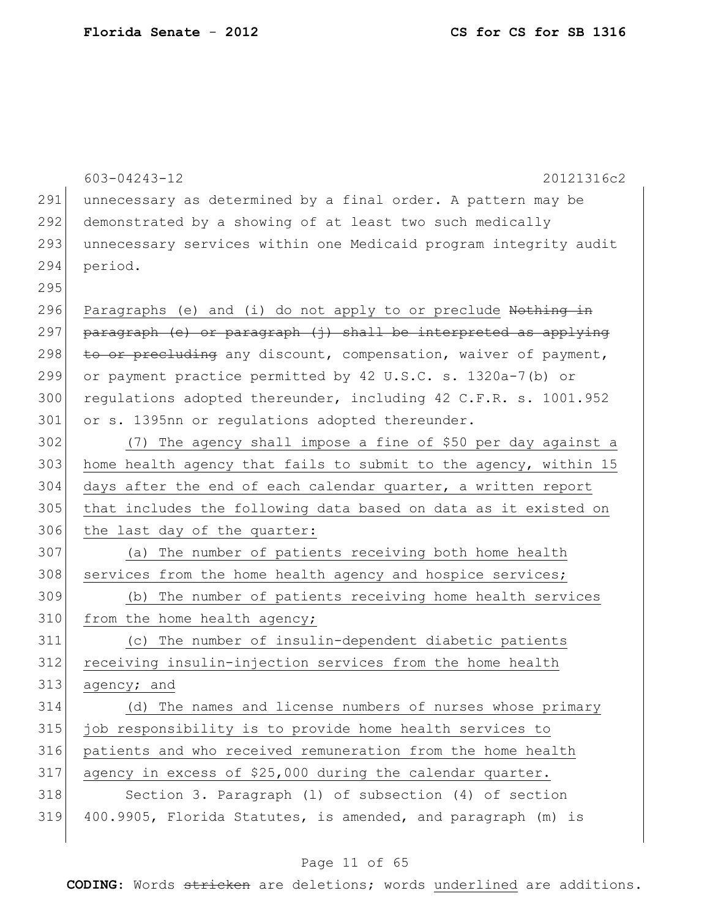|     | $603 - 04243 - 12$<br>20121316c2                                 |
|-----|------------------------------------------------------------------|
| 291 | unnecessary as determined by a final order. A pattern may be     |
| 292 | demonstrated by a showing of at least two such medically         |
| 293 | unnecessary services within one Medicaid program integrity audit |
| 294 | period.                                                          |
| 295 |                                                                  |
| 296 | Paragraphs (e) and (i) do not apply to or preclude Nothing in    |
| 297 | paragraph (e) or paragraph (j) shall be interpreted as applying  |
| 298 | to or precluding any discount, compensation, waiver of payment,  |
| 299 | or payment practice permitted by 42 U.S.C. s. 1320a-7(b) or      |
| 300 | requlations adopted thereunder, including 42 C.F.R. s. 1001.952  |
| 301 | or s. 1395nn or regulations adopted thereunder.                  |
| 302 | The agency shall impose a fine of \$50 per day against a<br>(7)  |
| 303 | home health agency that fails to submit to the agency, within 15 |
| 304 | days after the end of each calendar quarter, a written report    |
| 305 | that includes the following data based on data as it existed on  |
| 306 | the last day of the quarter:                                     |
| 307 | The number of patients receiving both home health<br>(a)         |
| 308 | services from the home health agency and hospice services;       |
| 309 | The number of patients receiving home health services<br>(b)     |
| 310 | from the home health agency;                                     |
| 311 | The number of insulin-dependent diabetic patients<br>(C)         |
| 312 | receiving insulin-injection services from the home health        |
| 313 | agency; and                                                      |
| 314 | (d) The names and license numbers of nurses whose primary        |
| 315 | job responsibility is to provide home health services to         |
| 316 | patients and who received remuneration from the home health      |
| 317 | agency in excess of \$25,000 during the calendar quarter.        |
| 318 | Section 3. Paragraph (1) of subsection (4) of section            |
| 319 | 400.9905, Florida Statutes, is amended, and paragraph (m) is     |
|     |                                                                  |

# Page 11 of 65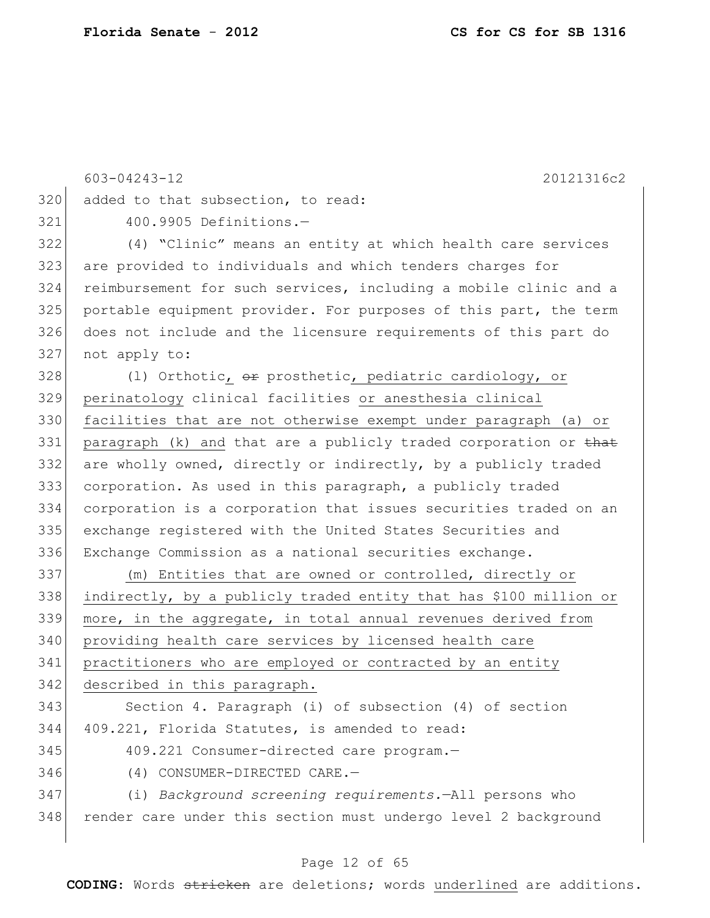|     | 603-04243-12<br>20121316c2                                        |
|-----|-------------------------------------------------------------------|
| 320 | added to that subsection, to read:                                |
| 321 | 400.9905 Definitions.-                                            |
| 322 | (4) "Clinic" means an entity at which health care services        |
| 323 | are provided to individuals and which tenders charges for         |
| 324 | reimbursement for such services, including a mobile clinic and a  |
| 325 | portable equipment provider. For purposes of this part, the term  |
| 326 | does not include and the licensure requirements of this part do   |
| 327 | not apply to:                                                     |
| 328 | (1) Orthotic, or prosthetic, pediatric cardiology, or             |
| 329 | perinatology clinical facilities or anesthesia clinical           |
| 330 | facilities that are not otherwise exempt under paragraph (a) or   |
| 331 | paragraph (k) and that are a publicly traded corporation or that  |
| 332 | are wholly owned, directly or indirectly, by a publicly traded    |
| 333 | corporation. As used in this paragraph, a publicly traded         |
| 334 | corporation is a corporation that issues securities traded on an  |
| 335 | exchange registered with the United States Securities and         |
| 336 | Exchange Commission as a national securities exchange.            |
| 337 | (m) Entities that are owned or controlled, directly or            |
| 338 | indirectly, by a publicly traded entity that has \$100 million or |
| 339 | more, in the aggregate, in total annual revenues derived from     |
| 340 | providing health care services by licensed health care            |
| 341 | practitioners who are employed or contracted by an entity         |
| 342 | described in this paragraph.                                      |
| 343 | Section 4. Paragraph (i) of subsection (4) of section             |
| 344 | 409.221, Florida Statutes, is amended to read:                    |
| 345 | 409.221 Consumer-directed care program.-                          |
| 346 | (4) CONSUMER-DIRECTED CARE.-                                      |
| 347 | (i) Background screening requirements. - All persons who          |
| 348 | render care under this section must undergo level 2 background    |
|     |                                                                   |

# Page 12 of 65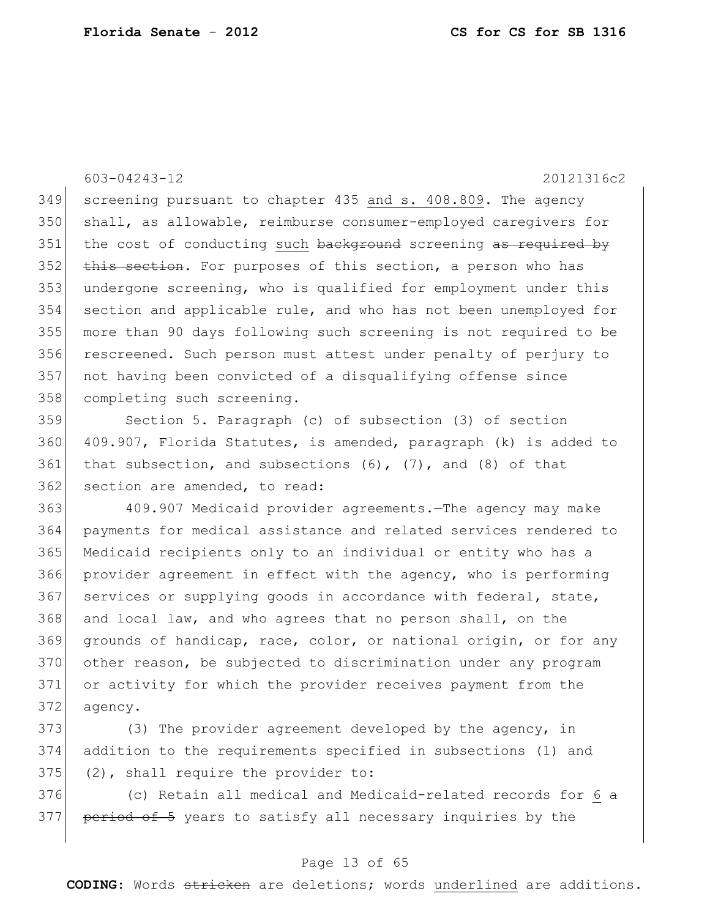603-04243-12 20121316c2

 screening pursuant to chapter 435 and s. 408.809. The agency shall, as allowable, reimburse consumer-employed caregivers for 351 the cost of conducting such background screening as required by 352 this section. For purposes of this section, a person who has undergone screening, who is qualified for employment under this section and applicable rule, and who has not been unemployed for more than 90 days following such screening is not required to be rescreened. Such person must attest under penalty of perjury to not having been convicted of a disqualifying offense since 358 completing such screening.

359 Section 5. Paragraph (c) of subsection (3) of section 360 409.907, Florida Statutes, is amended, paragraph (k) is added to 361 that subsection, and subsections  $(6)$ ,  $(7)$ , and  $(8)$  of that 362 section are amended, to read:

363 409.907 Medicaid provider agreements.—The agency may make 364 payments for medical assistance and related services rendered to 365 Medicaid recipients only to an individual or entity who has a 366 provider agreement in effect with the agency, who is performing 367 services or supplying goods in accordance with federal, state, 368 and local law, and who agrees that no person shall, on the 369 grounds of handicap, race, color, or national origin, or for any 370 other reason, be subjected to discrimination under any program 371 or activity for which the provider receives payment from the 372 agency.

373 (3) The provider agreement developed by the agency, in 374 addition to the requirements specified in subsections (1) and  $375$  (2), shall require the provider to:

 $376$  (c) Retain all medical and Medicaid-related records for 6  $\alpha$ 377 period of 5 years to satisfy all necessary inquiries by the

#### Page 13 of 65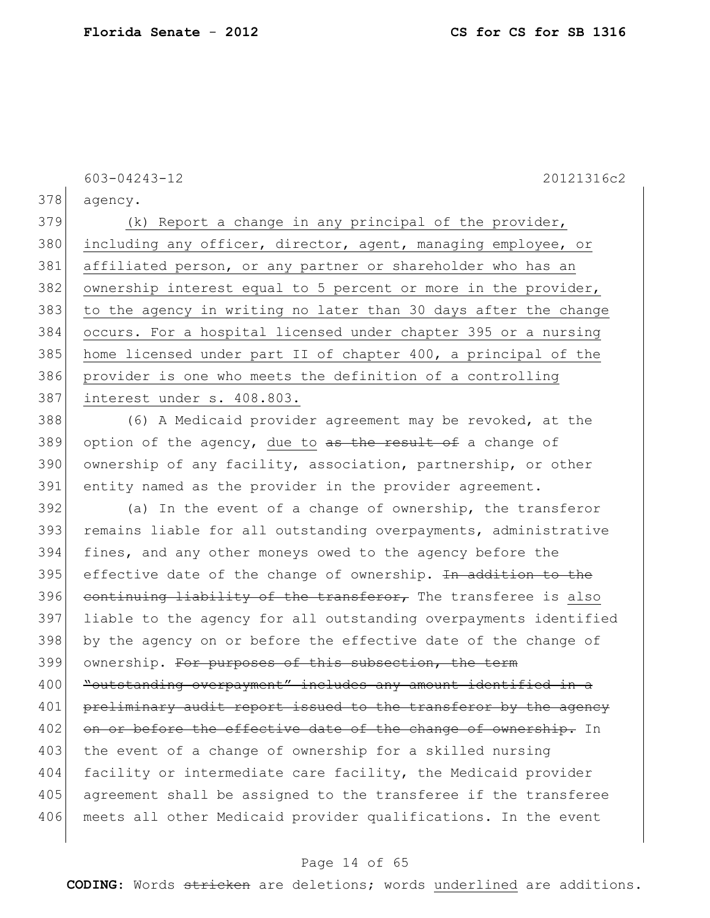603-04243-12 20121316c2

378 agency.

379 (k) Report a change in any principal of the provider, 380 including any officer, director, agent, managing employee, or 381 affiliated person, or any partner or shareholder who has an 382 ownership interest equal to 5 percent or more in the provider, 383 to the agency in writing no later than 30 days after the change 384 occurs. For a hospital licensed under chapter 395 or a nursing 385 home licensed under part II of chapter 400, a principal of the 386 provider is one who meets the definition of a controlling 387 interest under s. 408.803.

388 (6) A Medicaid provider agreement may be revoked, at the 389 option of the agency, due to  $\frac{a}{b}$  as the result of a change of 390 ownership of any facility, association, partnership, or other 391 entity named as the provider in the provider agreement.

392 (a) In the event of a change of ownership, the transferor 393 remains liable for all outstanding overpayments, administrative 394 fines, and any other moneys owed to the agency before the  $395$  effective date of the change of ownership. In addition to the 396 continuing liability of the transferor, The transferee is also 397 liable to the agency for all outstanding overpayments identified 398 by the agency on or before the effective date of the change of 399 ownership. For purposes of this subsection, the term 400 Toutstanding overpayment" includes any amount identified in a 401 preliminary audit report issued to the transferor by the agency 402 on or before the effective date of the change of ownership. In 403 the event of a change of ownership for a skilled nursing 404 facility or intermediate care facility, the Medicaid provider 405 agreement shall be assigned to the transferee if the transferee 406 meets all other Medicaid provider qualifications. In the event

#### Page 14 of 65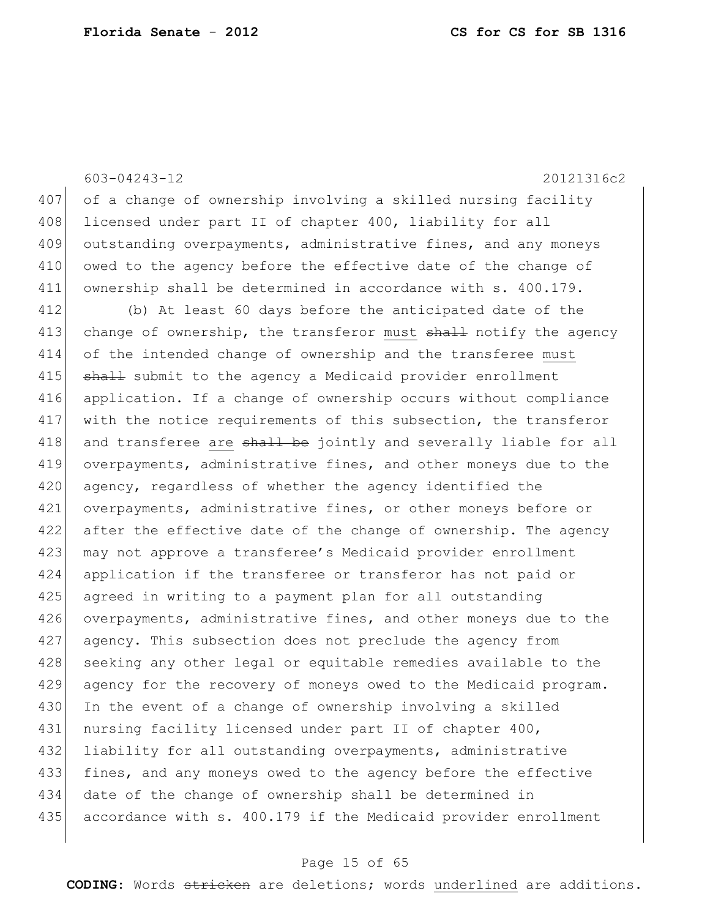603-04243-12 20121316c2 407 of a change of ownership involving a skilled nursing facility 408 licensed under part II of chapter 400, liability for all 409 outstanding overpayments, administrative fines, and any moneys 410 owed to the agency before the effective date of the change of 411 ownership shall be determined in accordance with s. 400.179. 412 (b) At least 60 days before the anticipated date of the 413 change of ownership, the transferor must shall notify the agency 414 of the intended change of ownership and the transferee must 415 **shall** submit to the agency a Medicaid provider enrollment 416 application. If a change of ownership occurs without compliance 417 with the notice requirements of this subsection, the transferor 418 and transferee are shall be jointly and severally liable for all 419 overpayments, administrative fines, and other moneys due to the 420 agency, regardless of whether the agency identified the 421 overpayments, administrative fines, or other moneys before or 422 after the effective date of the change of ownership. The agency 423 may not approve a transferee's Medicaid provider enrollment 424 application if the transferee or transferor has not paid or 425 agreed in writing to a payment plan for all outstanding 426 overpayments, administrative fines, and other moneys due to the 427 agency. This subsection does not preclude the agency from 428 seeking any other legal or equitable remedies available to the 429 agency for the recovery of moneys owed to the Medicaid program. 430 In the event of a change of ownership involving a skilled 431 | nursing facility licensed under part II of chapter 400, 432 liability for all outstanding overpayments, administrative 433 fines, and any moneys owed to the agency before the effective 434 date of the change of ownership shall be determined in 435 accordance with s. 400.179 if the Medicaid provider enrollment

#### Page 15 of 65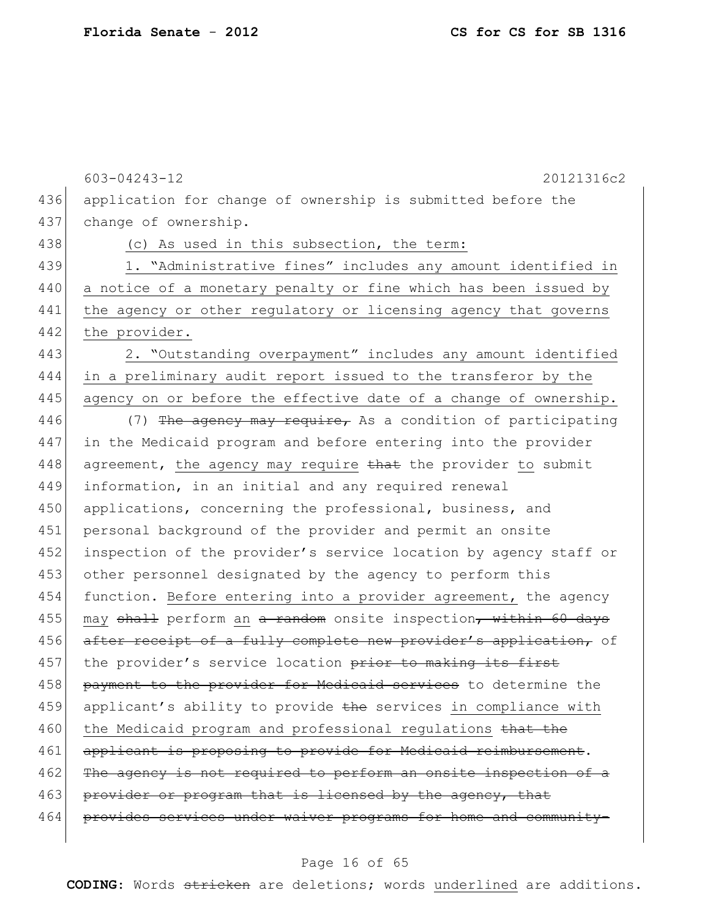$\overline{\phantom{a}}$ 

|     | 603-04243-12<br>20121316c2                                       |
|-----|------------------------------------------------------------------|
| 436 | application for change of ownership is submitted before the      |
| 437 | change of ownership.                                             |
| 438 | (c) As used in this subsection, the term:                        |
| 439 | 1. "Administrative fines" includes any amount identified in      |
| 440 | a notice of a monetary penalty or fine which has been issued by  |
| 441 | the agency or other regulatory or licensing agency that governs  |
| 442 | the provider.                                                    |
| 443 | 2. "Outstanding overpayment" includes any amount identified      |
| 444 | in a preliminary audit report issued to the transferor by the    |
| 445 | agency on or before the effective date of a change of ownership. |
| 446 | (7) The agency may require, As a condition of participating      |
| 447 | in the Medicaid program and before entering into the provider    |
| 448 | agreement, the agency may require that the provider to submit    |
| 449 | information, in an initial and any required renewal              |
| 450 | applications, concerning the professional, business, and         |
| 451 | personal background of the provider and permit an onsite         |
| 452 | inspection of the provider's service location by agency staff or |
| 453 | other personnel designated by the agency to perform this         |
| 454 | function. Before entering into a provider agreement, the agency  |
| 455 | may shall perform an a random onsite inspection, within 60 days  |
| 456 | after receipt of a fully complete new provider's application, of |
| 457 | the provider's service location prior to making its first        |
| 458 | payment to the provider for Medicaid services to determine the   |
| 459 | applicant's ability to provide the services in compliance with   |
| 460 | the Medicaid program and professional regulations that the       |
| 461 | applicant is proposing to provide for Medicaid reimbursement.    |
| 462 | The agency is not required to perform an onsite inspection of a  |
| 463 | provider or program that is licensed by the agency, that         |
| 464 | provides services under waiver programs for home and community-  |

# Page 16 of 65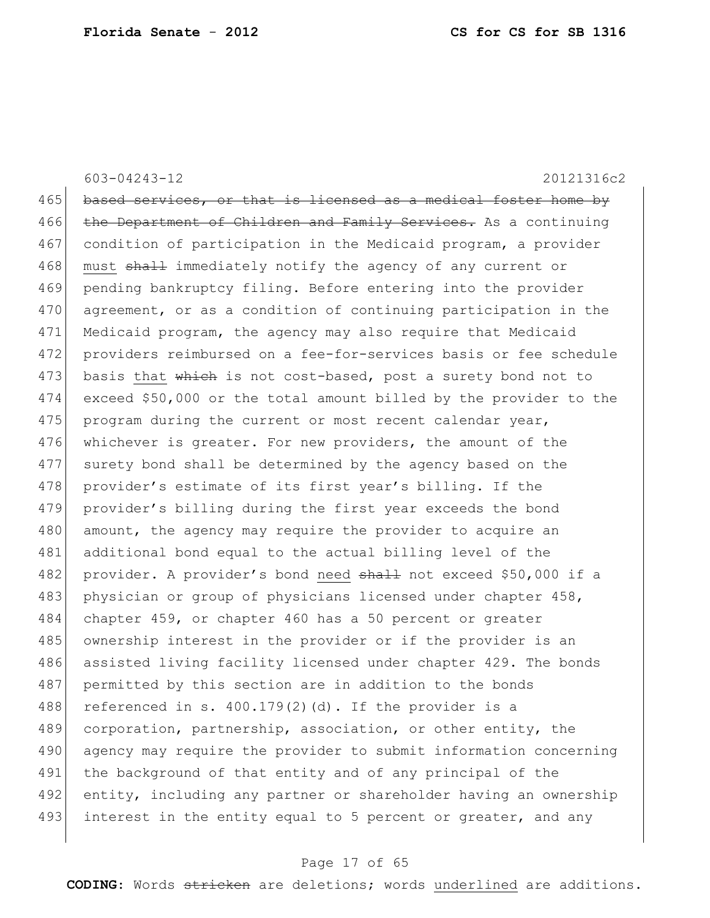603-04243-12 20121316c2

465 based services, or that is licensed as a medical foster home by 466 the Department of Children and Family Services. As a continuing 467 condition of participation in the Medicaid program, a provider 468 must shall immediately notify the agency of any current or 469 pending bankruptcy filing. Before entering into the provider 470 agreement, or as a condition of continuing participation in the 471 Medicaid program, the agency may also require that Medicaid 472 providers reimbursed on a fee-for-services basis or fee schedule 473 basis that which is not cost-based, post a surety bond not to 474 exceed \$50,000 or the total amount billed by the provider to the 475 program during the current or most recent calendar year, 476 whichever is greater. For new providers, the amount of the 477 surety bond shall be determined by the agency based on the 478 provider's estimate of its first year's billing. If the 479 provider's billing during the first year exceeds the bond 480 amount, the agency may require the provider to acquire an 481 additional bond equal to the actual billing level of the 482 provider. A provider's bond need shall not exceed \$50,000 if a 483 physician or group of physicians licensed under chapter 458, 484 chapter 459, or chapter 460 has a 50 percent or greater 485 | ownership interest in the provider or if the provider is an 486 assisted living facility licensed under chapter 429. The bonds 487 permitted by this section are in addition to the bonds 488 referenced in s.  $400.179(2)$  (d). If the provider is a 489 corporation, partnership, association, or other entity, the 490 agency may require the provider to submit information concerning 491 the background of that entity and of any principal of the 492 entity, including any partner or shareholder having an ownership 493 interest in the entity equal to 5 percent or greater, and any

#### Page 17 of 65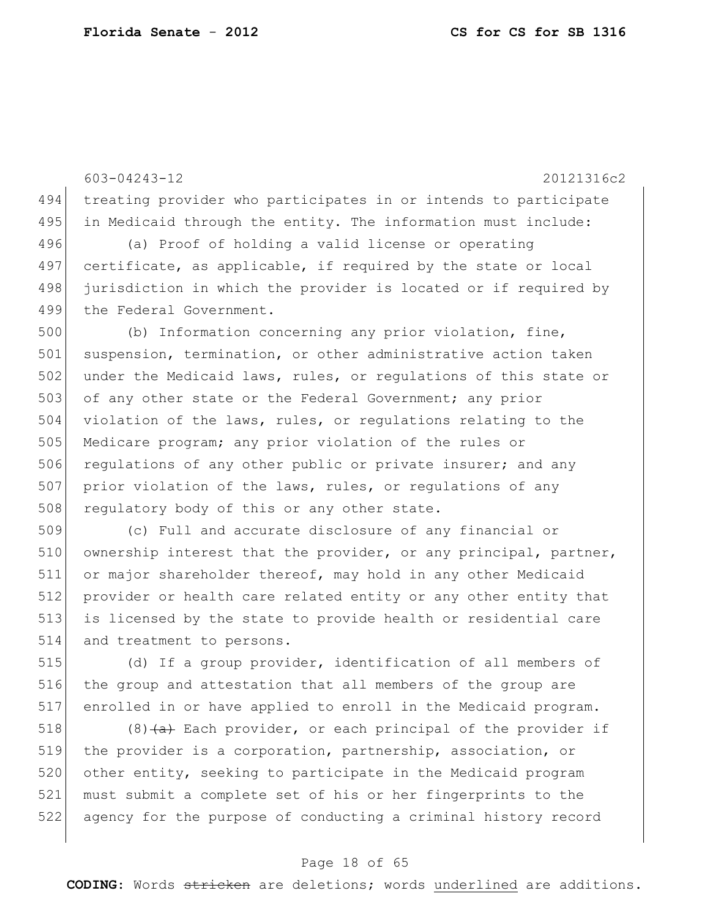603-04243-12 20121316c2 494 treating provider who participates in or intends to participate 495 in Medicaid through the entity. The information must include: 496 (a) Proof of holding a valid license or operating 497 certificate, as applicable, if required by the state or local 498 jurisdiction in which the provider is located or if required by 499 the Federal Government. 500 (b) Information concerning any prior violation, fine, 501 suspension, termination, or other administrative action taken 502 under the Medicaid laws, rules, or regulations of this state or 503 of any other state or the Federal Government; any prior 504 violation of the laws, rules, or regulations relating to the 505 Medicare program; any prior violation of the rules or 506 regulations of any other public or private insurer; and any 507 prior violation of the laws, rules, or regulations of any 508 regulatory body of this or any other state. 509 (c) Full and accurate disclosure of any financial or

510 ownership interest that the provider, or any principal, partner, 511 or major shareholder thereof, may hold in any other Medicaid 512 provider or health care related entity or any other entity that 513 is licensed by the state to provide health or residential care 514 and treatment to persons.

515 (d) If a group provider, identification of all members of 516 the group and attestation that all members of the group are 517 enrolled in or have applied to enroll in the Medicaid program.

518 (8)  $\left(4\right)$  Each provider, or each principal of the provider if 519 | the provider is a corporation, partnership, association, or 520 other entity, seeking to participate in the Medicaid program 521 must submit a complete set of his or her fingerprints to the 522 agency for the purpose of conducting a criminal history record

### Page 18 of 65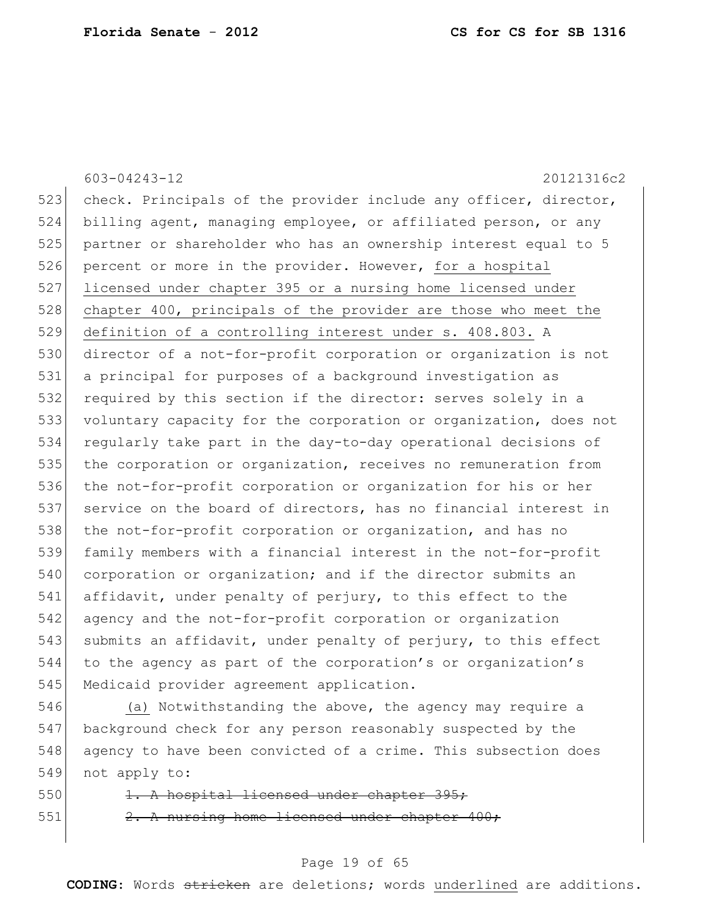603-04243-12 20121316c2 523 check. Principals of the provider include any officer, director, 524 billing agent, managing employee, or affiliated person, or any 525 partner or shareholder who has an ownership interest equal to 5 526 percent or more in the provider. However, for a hospital 527 licensed under chapter 395 or a nursing home licensed under 528 chapter 400, principals of the provider are those who meet the 529 definition of a controlling interest under s. 408.803. A 530 director of a not-for-profit corporation or organization is not 531 a principal for purposes of a background investigation as 532 required by this section if the director: serves solely in a 533 voluntary capacity for the corporation or organization, does not 534 regularly take part in the day-to-day operational decisions of 535 the corporation or organization, receives no remuneration from 536 the not-for-profit corporation or organization for his or her 537 service on the board of directors, has no financial interest in 538 the not-for-profit corporation or organization, and has no 539 family members with a financial interest in the not-for-profit 540 corporation or organization; and if the director submits an 541 affidavit, under penalty of perjury, to this effect to the 542 agency and the not-for-profit corporation or organization 543 submits an affidavit, under penalty of perjury, to this effect 544 to the agency as part of the corporation's or organization's 545 Medicaid provider agreement application.

546 (a) Notwithstanding the above, the agency may require a 547 background check for any person reasonably suspected by the 548 agency to have been convicted of a crime. This subsection does 549 not apply to:

550 1. A hospital licensed under chapter 395; 551  $\vert$  2. A nursing home licensed under chapter 400;

### Page 19 of 65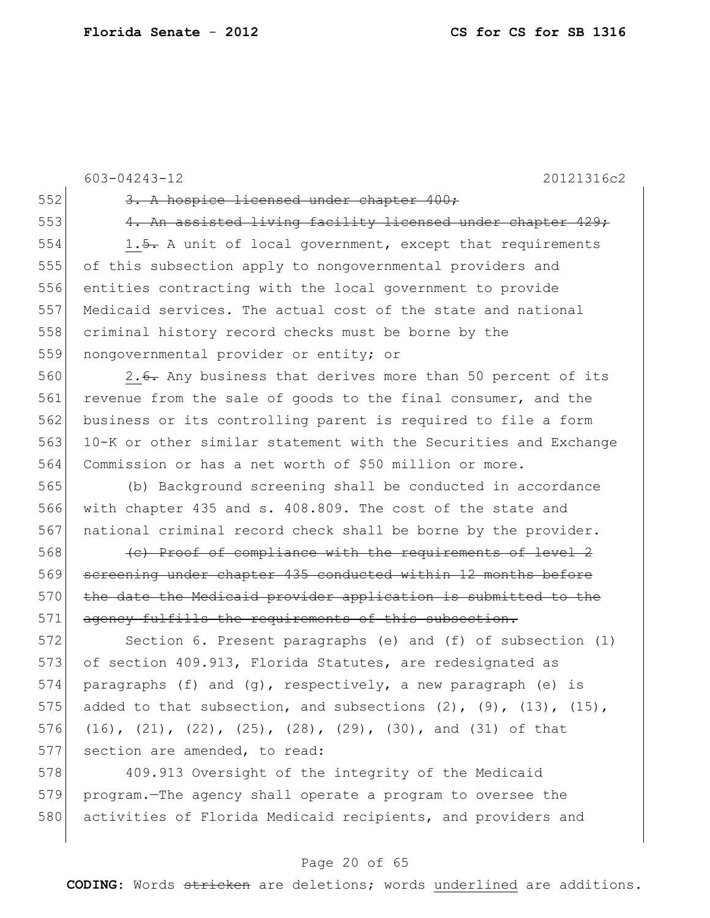```
603-04243-12 20121316c2
552 3. A hospice licensed under chapter 400;
553 4. An assisted living facility licensed under chapter 429;
554 1.5. A unit of local government, except that requirements
555 of this subsection apply to nongovernmental providers and 
556 entities contracting with the local government to provide 
557 Medicaid services. The actual cost of the state and national 
558 criminal history record checks must be borne by the 
559 nongovernmental provider or entity; or
560 2.6. Any business that derives more than 50 percent of its
561 revenue from the sale of goods to the final consumer, and the
562 business or its controlling parent is required to file a form
563 10-K or other similar statement with the Securities and Exchange 
564 Commission or has a net worth of $50 million or more.
565 (b) Background screening shall be conducted in accordance 
566 with chapter 435 and s. 408.809. The cost of the state and 
567 national criminal record check shall be borne by the provider.
568 (c) Proof of compliance with the requirements of level 2
569 screening under chapter 435 conducted within 12 months before
570 the date the Medicaid provider application is submitted to the
571 agency fulfills the requirements of this subsection.
572 Section 6. Present paragraphs (e) and (f) of subsection (1) 
573 of section 409.913, Florida Statutes, are redesignated as
574 paragraphs (f) and (g), respectively, a new paragraph (e) is
575 added to that subsection, and subsections (2), (9), (13), (15),
576 (16), (21), (22), (25), (28), (29), (30), and (31) of that 
577 section are amended, to read:
578 409.913 Oversight of the integrity of the Medicaid
579 program.—The agency shall operate a program to oversee the
```
580 activities of Florida Medicaid recipients, and providers and

### Page 20 of 65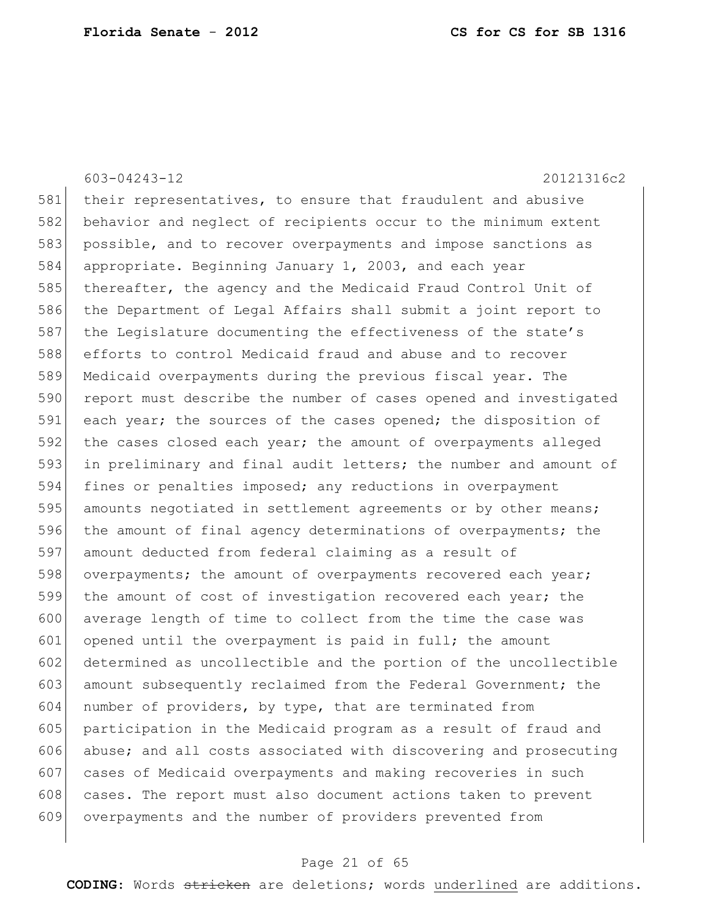603-04243-12 20121316c2 581 their representatives, to ensure that fraudulent and abusive 582 behavior and neglect of recipients occur to the minimum extent 583 possible, and to recover overpayments and impose sanctions as 584 appropriate. Beginning January 1, 2003, and each year 585 thereafter, the agency and the Medicaid Fraud Control Unit of 586 the Department of Legal Affairs shall submit a joint report to 587 the Legislature documenting the effectiveness of the state's 588 efforts to control Medicaid fraud and abuse and to recover 589 Medicaid overpayments during the previous fiscal year. The 590 report must describe the number of cases opened and investigated 591 each year; the sources of the cases opened; the disposition of 592 the cases closed each year; the amount of overpayments alleged 593 in preliminary and final audit letters; the number and amount of 594 fines or penalties imposed; any reductions in overpayment 595 amounts negotiated in settlement agreements or by other means; 596 the amount of final agency determinations of overpayments; the 597 amount deducted from federal claiming as a result of 598 overpayments; the amount of overpayments recovered each year; 599 the amount of cost of investigation recovered each year; the 600 average length of time to collect from the time the case was 601 opened until the overpayment is paid in full; the amount 602 determined as uncollectible and the portion of the uncollectible 603 amount subsequently reclaimed from the Federal Government; the 604 number of providers, by type, that are terminated from 605 participation in the Medicaid program as a result of fraud and 606 abuse; and all costs associated with discovering and prosecuting 607 cases of Medicaid overpayments and making recoveries in such 608 cases. The report must also document actions taken to prevent 609 overpayments and the number of providers prevented from

### Page 21 of 65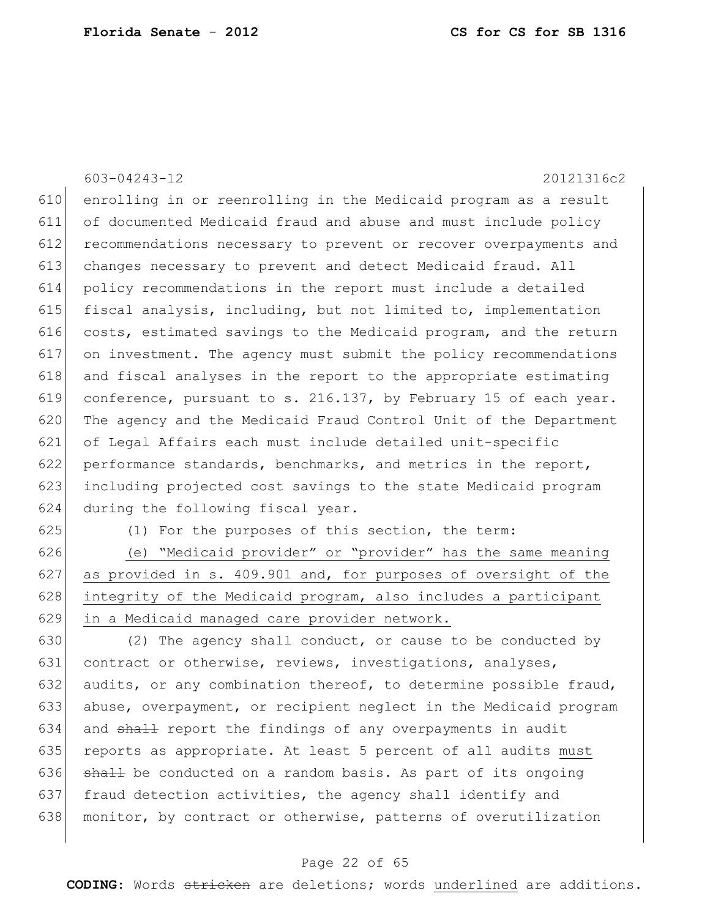603-04243-12 20121316c2 enrolling in or reenrolling in the Medicaid program as a result of documented Medicaid fraud and abuse and must include policy recommendations necessary to prevent or recover overpayments and changes necessary to prevent and detect Medicaid fraud. All policy recommendations in the report must include a detailed fiscal analysis, including, but not limited to, implementation costs, estimated savings to the Medicaid program, and the return on investment. The agency must submit the policy recommendations and fiscal analyses in the report to the appropriate estimating conference, pursuant to s. 216.137, by February 15 of each year. 620 The agency and the Medicaid Fraud Control Unit of the Department of Legal Affairs each must include detailed unit-specific performance standards, benchmarks, and metrics in the report, 623 including projected cost savings to the state Medicaid program during the following fiscal year.

625 (1) For the purposes of this section, the term:

 (e) "Medicaid provider" or "provider" has the same meaning as provided in s. 409.901 and, for purposes of oversight of the 628 integrity of the Medicaid program, also includes a participant in a Medicaid managed care provider network.

 (2) The agency shall conduct, or cause to be conducted by 631 contract or otherwise, reviews, investigations, analyses, 632 audits, or any combination thereof, to determine possible fraud, abuse, overpayment, or recipient neglect in the Medicaid program 634 and shall report the findings of any overpayments in audit 635 reports as appropriate. At least 5 percent of all audits must shall be conducted on a random basis. As part of its ongoing fraud detection activities, the agency shall identify and 638 monitor, by contract or otherwise, patterns of overutilization

### Page 22 of 65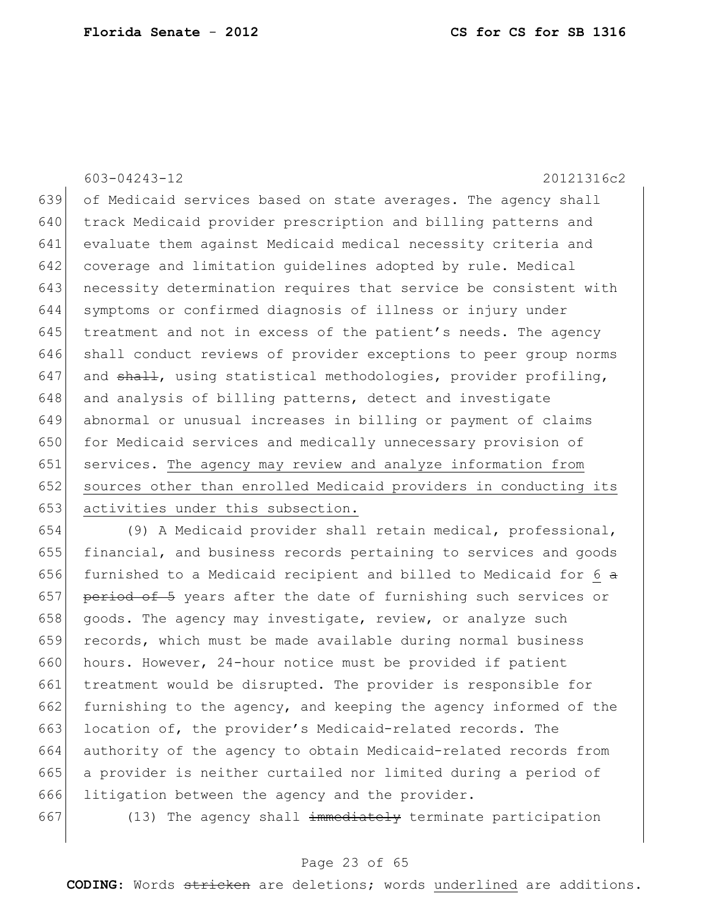603-04243-12 20121316c2 639 of Medicaid services based on state averages. The agency shall 640 track Medicaid provider prescription and billing patterns and 641 evaluate them against Medicaid medical necessity criteria and 642 coverage and limitation guidelines adopted by rule. Medical 643 necessity determination requires that service be consistent with 644 symptoms or confirmed diagnosis of illness or injury under 645  $t$  treatment and not in excess of the patient's needs. The agency 646 shall conduct reviews of provider exceptions to peer group norms 647 and shall, using statistical methodologies, provider profiling, 648 and analysis of billing patterns, detect and investigate 649 abnormal or unusual increases in billing or payment of claims 650 for Medicaid services and medically unnecessary provision of 651 services. The agency may review and analyze information from 652 sources other than enrolled Medicaid providers in conducting its 653 activities under this subsection.

654 (9) A Medicaid provider shall retain medical, professional, 655 financial, and business records pertaining to services and goods 656 furnished to a Medicaid recipient and billed to Medicaid for 6  $\alpha$ 657 period of 5 years after the date of furnishing such services or 658 goods. The agency may investigate, review, or analyze such 659 records, which must be made available during normal business 660 hours. However, 24-hour notice must be provided if patient 661 treatment would be disrupted. The provider is responsible for 662 furnishing to the agency, and keeping the agency informed of the 663 location of, the provider's Medicaid-related records. The 664 authority of the agency to obtain Medicaid-related records from 665 a provider is neither curtailed nor limited during a period of 666 litigation between the agency and the provider.

667 (13) The agency shall  $\frac{1}{2}$  immediately terminate participation

### Page 23 of 65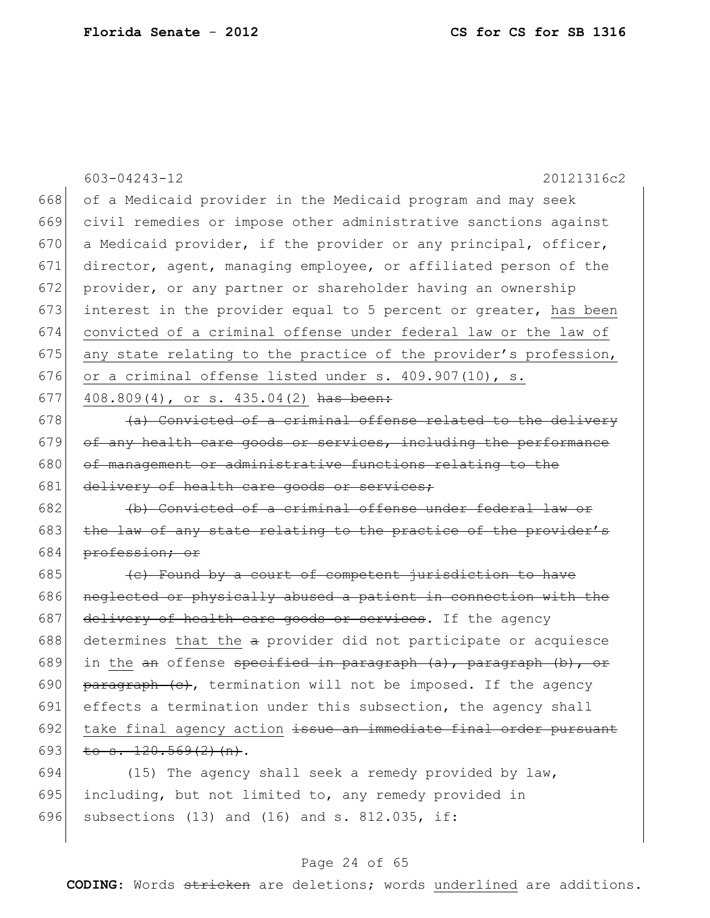|     | 603-04243-12<br>20121316c2                                                            |
|-----|---------------------------------------------------------------------------------------|
| 668 | of a Medicaid provider in the Medicaid program and may seek                           |
| 669 | civil remedies or impose other administrative sanctions against                       |
| 670 | a Medicaid provider, if the provider or any principal, officer,                       |
| 671 | director, agent, managing employee, or affiliated person of the                       |
| 672 | provider, or any partner or shareholder having an ownership                           |
| 673 | interest in the provider equal to 5 percent or greater, has been                      |
| 674 | convicted of a criminal offense under federal law or the law of                       |
| 675 | any state relating to the practice of the provider's profession,                      |
| 676 | or a criminal offense listed under s. 409.907(10), s.                                 |
| 677 | 408.809(4), or s. 435.04(2) has been:                                                 |
| 678 | (a) Convicted of a criminal offense related to the delivery                           |
| 679 | of any health care goods or services, including the performance                       |
| 680 | of management or administrative functions relating to the                             |
| 681 | delivery of health care goods or services;                                            |
| 682 | (b) Convicted of a criminal offense under federal law or                              |
| 683 |                                                                                       |
|     | the law of any state relating to the practice of the provider's                       |
| 684 | profession; or                                                                        |
| 685 | (c) Found by a court of competent jurisdiction to have                                |
| 686 | neglected or physically abused a patient in connection with the                       |
| 687 | delivery of health care goods or services. If the agency                              |
| 688 | determines that the a provider did not participate or acquiesce                       |
| 689 | in the <del>an</del> offense <del>specified in paragraph (a), paragraph (b), or</del> |
| 690 | paragraph (e), termination will not be imposed. If the agency                         |
| 691 | effects a termination under this subsection, the agency shall                         |
| 692 | take final agency action issue an immediate final order pursuant                      |
| 693 | to $s. 120.569(2)$ (n).                                                               |
| 694 | (15) The agency shall seek a remedy provided by law,                                  |
| 695 | including, but not limited to, any remedy provided in                                 |

696 subsections (13) and (16) and s. 812.035, if:

### Page 24 of 65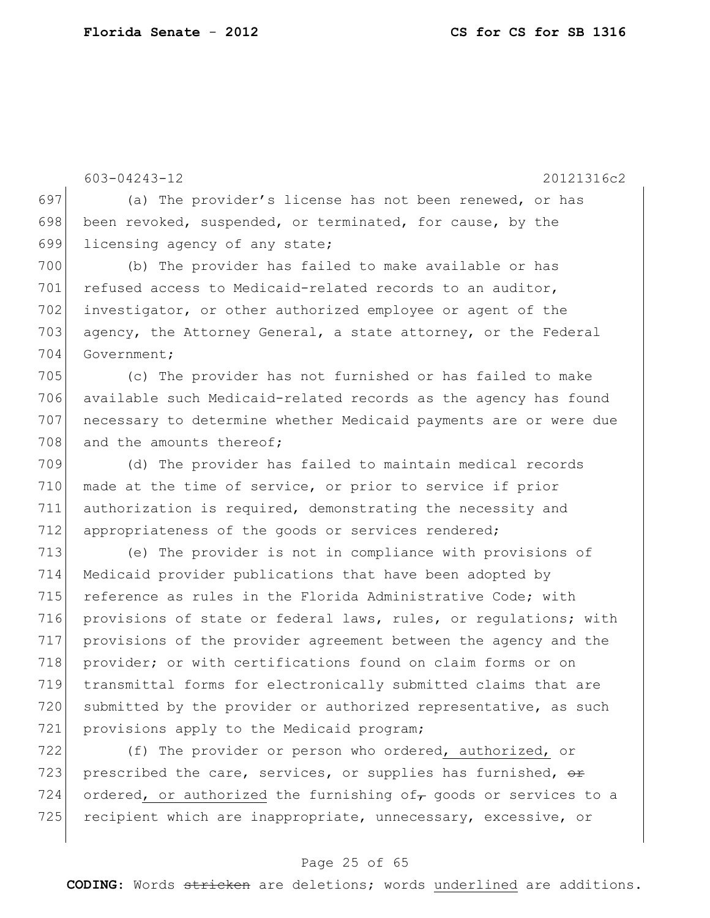603-04243-12 20121316c2

697 (a) The provider's license has not been renewed, or has 698 been revoked, suspended, or terminated, for cause, by the 699 licensing agency of any state;

700 (b) The provider has failed to make available or has 701 refused access to Medicaid-related records to an auditor, 702 investigator, or other authorized employee or agent of the 703 agency, the Attorney General, a state attorney, or the Federal 704 Government;

 (c) The provider has not furnished or has failed to make available such Medicaid-related records as the agency has found necessary to determine whether Medicaid payments are or were due 708 and the amounts thereof;

709 (d) The provider has failed to maintain medical records 710 made at the time of service, or prior to service if prior 711 authorization is required, demonstrating the necessity and 712 appropriateness of the goods or services rendered;

 (e) The provider is not in compliance with provisions of Medicaid provider publications that have been adopted by reference as rules in the Florida Administrative Code; with provisions of state or federal laws, rules, or regulations; with provisions of the provider agreement between the agency and the 718 provider; or with certifications found on claim forms or on transmittal forms for electronically submitted claims that are 720 submitted by the provider or authorized representative, as such 721 provisions apply to the Medicaid program;

722 (f) The provider or person who ordered, authorized, or 723 prescribed the care, services, or supplies has furnished,  $\theta$ 724 ordered, or authorized the furnishing of goods or services to a 725 recipient which are inappropriate, unnecessary, excessive, or

### Page 25 of 65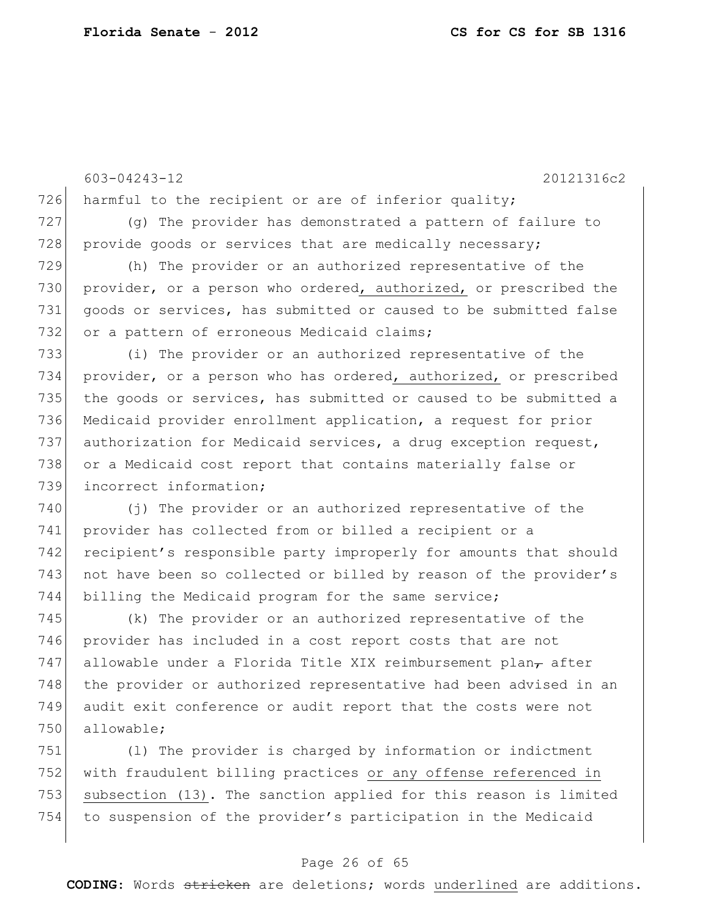603-04243-12 20121316c2 726 harmful to the recipient or are of inferior quality; 727 (g) The provider has demonstrated a pattern of failure to 728 provide goods or services that are medically necessary; 729 (h) The provider or an authorized representative of the 730 provider, or a person who ordered, authorized, or prescribed the 731 goods or services, has submitted or caused to be submitted false 732 or a pattern of erroneous Medicaid claims; 733 (i) The provider or an authorized representative of the 734 provider, or a person who has ordered, authorized, or prescribed 735 the goods or services, has submitted or caused to be submitted a 736 Medicaid provider enrollment application, a request for prior 737 authorization for Medicaid services, a drug exception request, 738 or a Medicaid cost report that contains materially false or 739 incorrect information; 740 (j) The provider or an authorized representative of the 741 provider has collected from or billed a recipient or a 742 recipient's responsible party improperly for amounts that should 743 not have been so collected or billed by reason of the provider's 744 billing the Medicaid program for the same service; 745 (k) The provider or an authorized representative of the 746 provider has included in a cost report costs that are not 747 allowable under a Florida Title XIX reimbursement plan $<sub>7</sub>$  after</sub> 748 the provider or authorized representative had been advised in an 749 audit exit conference or audit report that the costs were not 750 allowable; 751 (l) The provider is charged by information or indictment

752 with fraudulent billing practices or any offense referenced in 753 subsection (13). The sanction applied for this reason is limited 754 to suspension of the provider's participation in the Medicaid

### Page 26 of 65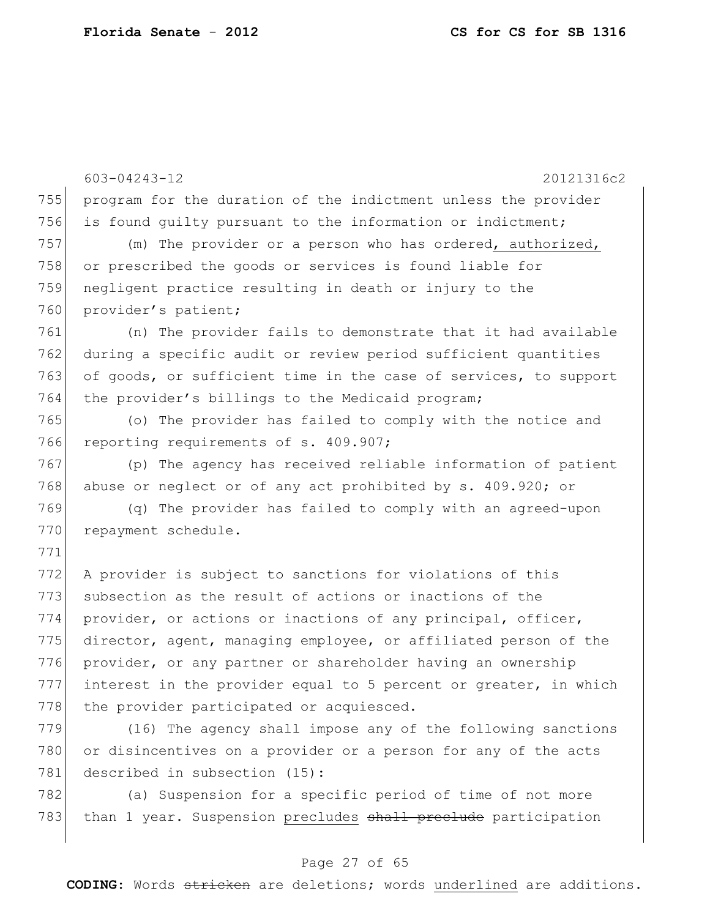603-04243-12 20121316c2 755 program for the duration of the indictment unless the provider 756 is found quilty pursuant to the information or indictment; 757 (m) The provider or a person who has ordered, authorized, 758 or prescribed the goods or services is found liable for 759 negligent practice resulting in death or injury to the 760 provider's patient; 761 (n) The provider fails to demonstrate that it had available 762 during a specific audit or review period sufficient quantities 763 of goods, or sufficient time in the case of services, to support 764 the provider's billings to the Medicaid program; 765 (o) The provider has failed to comply with the notice and 766 reporting requirements of s. 409.907; 767 (p) The agency has received reliable information of patient 768 abuse or neglect or of any act prohibited by s. 409.920; or 769 (q) The provider has failed to comply with an agreed-upon 770 repayment schedule. 771 772 A provider is subject to sanctions for violations of this 773 subsection as the result of actions or inactions of the 774 provider, or actions or inactions of any principal, officer, 775 director, agent, managing employee, or affiliated person of the 776 provider, or any partner or shareholder having an ownership  $777$  interest in the provider equal to 5 percent or greater, in which 778 the provider participated or acquiesced. 779 (16) The agency shall impose any of the following sanctions 780 or disincentives on a provider or a person for any of the acts 781 described in subsection (15): 782 (a) Suspension for a specific period of time of not more

#### Page 27 of 65

783 than 1 year. Suspension precludes shall preclude participation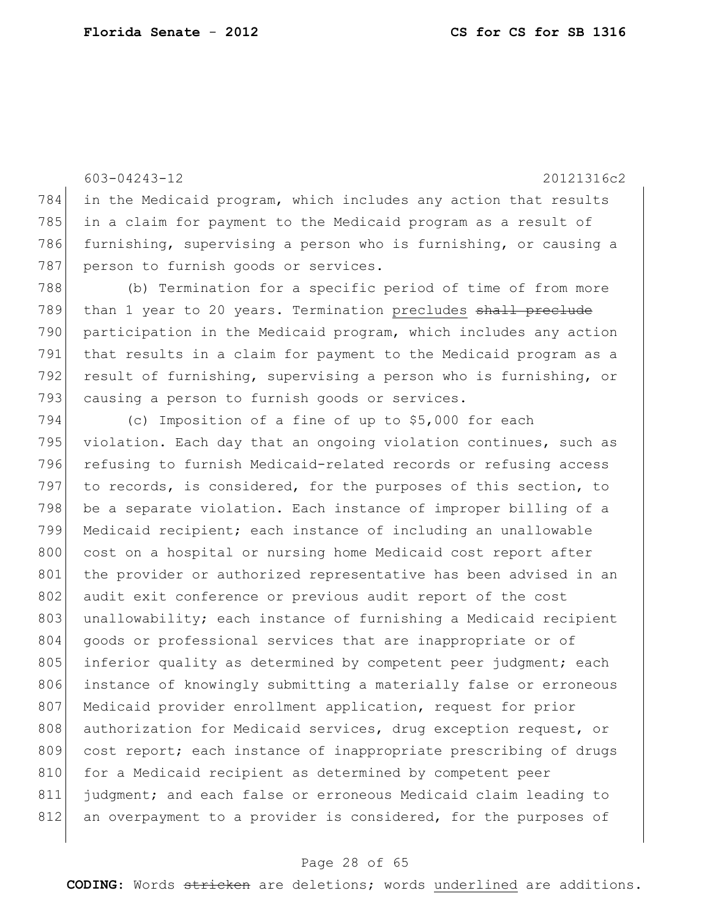603-04243-12 20121316c2 784 in the Medicaid program, which includes any action that results 785 in a claim for payment to the Medicaid program as a result of 786 furnishing, supervising a person who is furnishing, or causing a 787 person to furnish goods or services. 788 (b) Termination for a specific period of time of from more 789 than 1 year to 20 years. Termination precludes shall preclude 790 participation in the Medicaid program, which includes any action 791 that results in a claim for payment to the Medicaid program as a 792 result of furnishing, supervising a person who is furnishing, or 793 causing a person to furnish goods or services. 794 (c) Imposition of a fine of up to \$5,000 for each 795 violation. Each day that an ongoing violation continues, such as 796 refusing to furnish Medicaid-related records or refusing access 797 to records, is considered, for the purposes of this section, to 798 be a separate violation. Each instance of improper billing of a 799 Medicaid recipient; each instance of including an unallowable 800 cost on a hospital or nursing home Medicaid cost report after 801 the provider or authorized representative has been advised in an 802 audit exit conference or previous audit report of the cost

803 unallowability; each instance of furnishing a Medicaid recipient 804 goods or professional services that are inappropriate or of 805 inferior quality as determined by competent peer judgment; each 806 instance of knowingly submitting a materially false or erroneous 807 Medicaid provider enrollment application, request for prior 808 authorization for Medicaid services, drug exception request, or 809 cost report; each instance of inappropriate prescribing of drugs 810 for a Medicaid recipient as determined by competent peer 811 judgment; and each false or erroneous Medicaid claim leading to 812 an overpayment to a provider is considered, for the purposes of

#### Page 28 of 65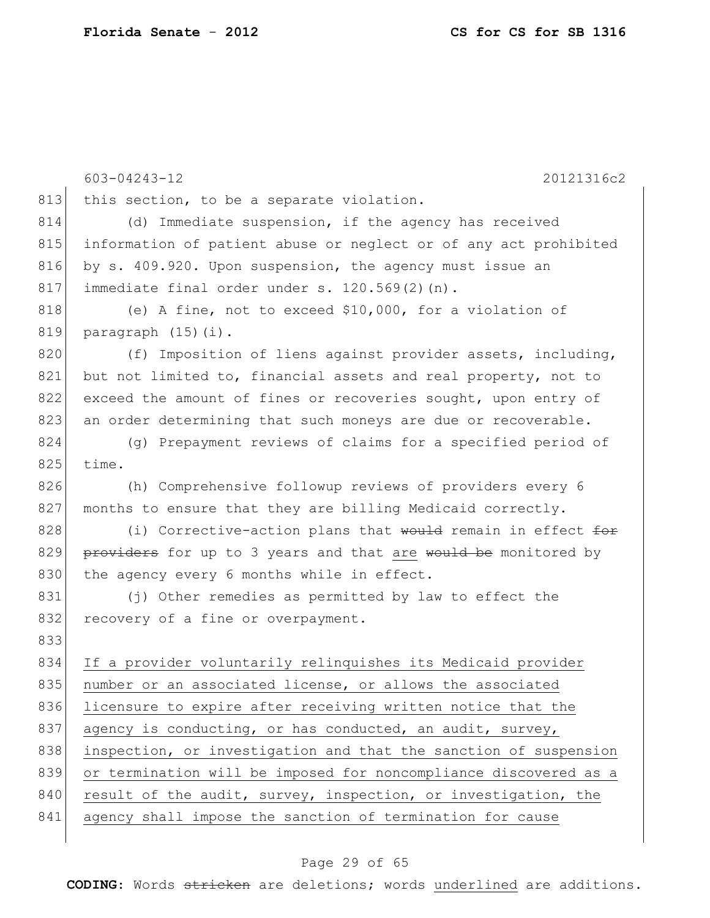|     | $603 - 04243 - 12$<br>20121316c2                                 |
|-----|------------------------------------------------------------------|
| 813 | this section, to be a separate violation.                        |
| 814 | (d) Immediate suspension, if the agency has received             |
| 815 | information of patient abuse or neglect or of any act prohibited |
| 816 | by s. 409.920. Upon suspension, the agency must issue an         |
| 817 | immediate final order under s. 120.569(2)(n).                    |
| 818 | (e) A fine, not to exceed \$10,000, for a violation of           |
| 819 | paragraph (15)(i).                                               |
| 820 | (f) Imposition of liens against provider assets, including,      |
| 821 | but not limited to, financial assets and real property, not to   |
| 822 | exceed the amount of fines or recoveries sought, upon entry of   |
| 823 | an order determining that such moneys are due or recoverable.    |
| 824 | (g) Prepayment reviews of claims for a specified period of       |
| 825 | time.                                                            |
| 826 | (h) Comprehensive followup reviews of providers every 6          |
| 827 | months to ensure that they are billing Medicaid correctly.       |
| 828 | (i) Corrective-action plans that would remain in effect for      |
| 829 | providers for up to 3 years and that are would be monitored by   |
| 830 | the agency every 6 months while in effect.                       |
| 831 | (j) Other remedies as permitted by law to effect the             |
| 832 | recovery of a fine or overpayment.                               |
| 833 |                                                                  |
| 834 | If a provider voluntarily relinquishes its Medicaid provider     |
| 835 | number or an associated license, or allows the associated        |
| 836 | licensure to expire after receiving written notice that the      |
| 837 | agency is conducting, or has conducted, an audit, survey,        |
| 838 | inspection, or investigation and that the sanction of suspension |
| 839 | or termination will be imposed for noncompliance discovered as a |
| 840 | result of the audit, survey, inspection, or investigation, the   |
| 841 | agency shall impose the sanction of termination for cause        |
|     |                                                                  |

# Page 29 of 65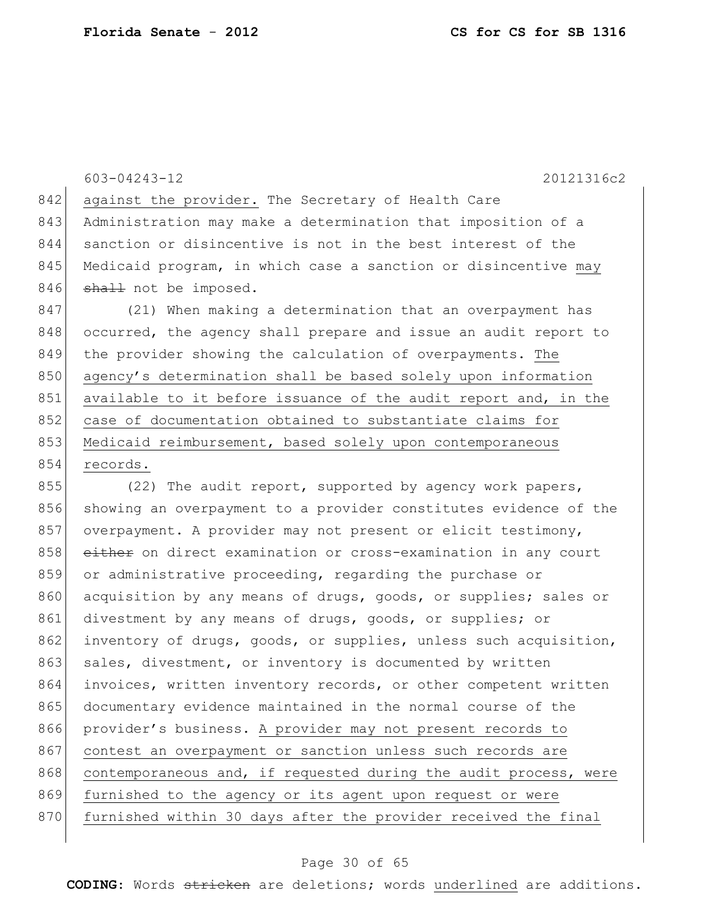603-04243-12 20121316c2 842 against the provider. The Secretary of Health Care 843 Administration may make a determination that imposition of a 844 sanction or disincentive is not in the best interest of the 845 Medicaid program, in which case a sanction or disincentive may 846 shall not be imposed. 847 (21) When making a determination that an overpayment has 848 occurred, the agency shall prepare and issue an audit report to 849 the provider showing the calculation of overpayments. The 850 agency's determination shall be based solely upon information 851 available to it before issuance of the audit report and, in the 852 case of documentation obtained to substantiate claims for 853 Medicaid reimbursement, based solely upon contemporaneous 854 records. 855 (22) The audit report, supported by agency work papers, 856 showing an overpayment to a provider constitutes evidence of the 857 overpayment. A provider may not present or elicit testimony, 858 either on direct examination or cross-examination in any court

859 or administrative proceeding, regarding the purchase or 860 acquisition by any means of drugs, goods, or supplies; sales or 861 divestment by any means of drugs, goods, or supplies; or 862 inventory of drugs, goods, or supplies, unless such acquisition, 863 sales, divestment, or inventory is documented by written 864 invoices, written inventory records, or other competent written 865 documentary evidence maintained in the normal course of the 866 provider's business. A provider may not present records to 867 contest an overpayment or sanction unless such records are 868 contemporaneous and, if requested during the audit process, were 869 furnished to the agency or its agent upon request or were 870 furnished within 30 days after the provider received the final

#### Page 30 of 65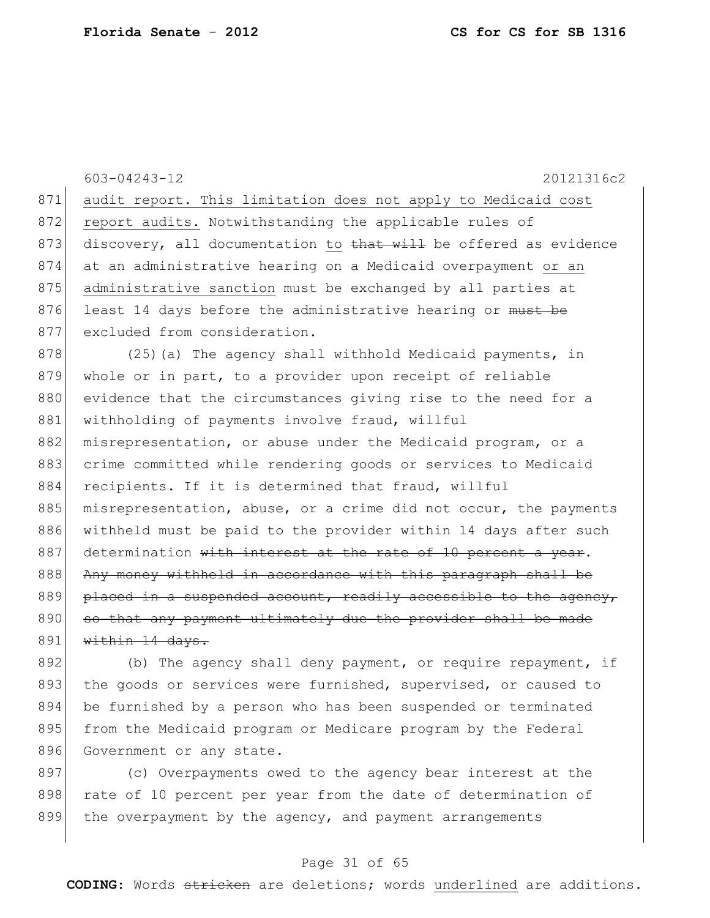603-04243-12 20121316c2 871 audit report. This limitation does not apply to Medicaid cost 872 report audits. Notwithstanding the applicable rules of 873 discovery, all documentation to that will be offered as evidence 874 at an administrative hearing on a Medicaid overpayment or an 875 administrative sanction must be exchanged by all parties at 876 least 14 days before the administrative hearing or must be 877 excluded from consideration. 878 (25)(a) The agency shall withhold Medicaid payments, in 879 whole or in part, to a provider upon receipt of reliable 880 evidence that the circumstances giving rise to the need for a 881 withholding of payments involve fraud, willful 882 misrepresentation, or abuse under the Medicaid program, or a 883 crime committed while rendering goods or services to Medicaid 884 recipients. If it is determined that fraud, willful 885 misrepresentation, abuse, or a crime did not occur, the payments 886 withheld must be paid to the provider within 14 days after such  $887$  determination with interest at the rate of 10 percent a year. 888 Any money withheld in accordance with this paragraph shall be  $889$  placed in a suspended account, readily accessible to the agency, 890 so that any payment ultimately due the provider shall be made  $891$  within 14 days.

892 (b) The agency shall deny payment, or require repayment, if 893 the goods or services were furnished, supervised, or caused to 894 be furnished by a person who has been suspended or terminated 895 from the Medicaid program or Medicare program by the Federal 896 Government or any state.

897 (c) Overpayments owed to the agency bear interest at the 898 | rate of 10 percent per year from the date of determination of 899 the overpayment by the agency, and payment arrangements

### Page 31 of 65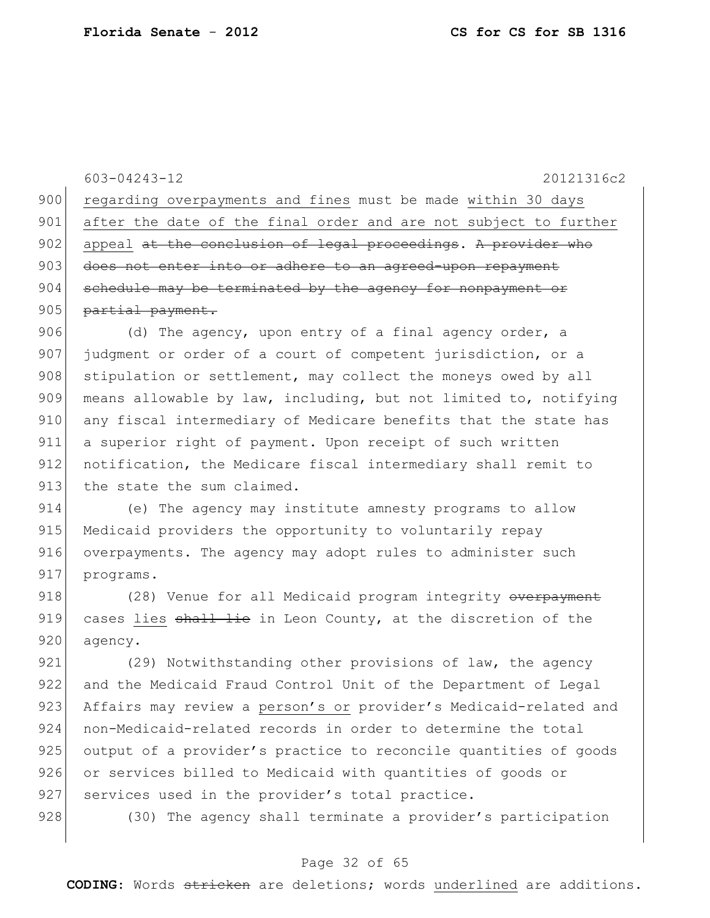603-04243-12 20121316c2 900 regarding overpayments and fines must be made within 30 days 901 after the date of the final order and are not subject to further 902 appeal at the conclusion of legal proceedings. A provider who 903 does not enter into or adhere to an agreed-upon repayment  $904$  schedule may be terminated by the agency for nonpayment or 905 partial payment. 906 (d) The agency, upon entry of a final agency order, a 907 judgment or order of a court of competent jurisdiction, or a 908 stipulation or settlement, may collect the moneys owed by all 909 means allowable by law, including, but not limited to, notifying 910 any fiscal intermediary of Medicare benefits that the state has 911 a superior right of payment. Upon receipt of such written 912 notification, the Medicare fiscal intermediary shall remit to 913 the state the sum claimed. 914 (e) The agency may institute amnesty programs to allow

915 Medicaid providers the opportunity to voluntarily repay 916 overpayments. The agency may adopt rules to administer such 917 programs.

918 (28) Venue for all Medicaid program integrity overpayment 919 cases lies  $\frac{1}{2}$  and  $\frac{1}{2}$  in Leon County, at the discretion of the 920 agency.

921 (29) Notwithstanding other provisions of law, the agency 922 and the Medicaid Fraud Control Unit of the Department of Legal 923 Affairs may review a person's or provider's Medicaid-related and 924 non-Medicaid-related records in order to determine the total 925 output of a provider's practice to reconcile quantities of goods 926 or services billed to Medicaid with quantities of goods or 927 services used in the provider's total practice.

928 (30) The agency shall terminate a provider's participation

#### Page 32 of 65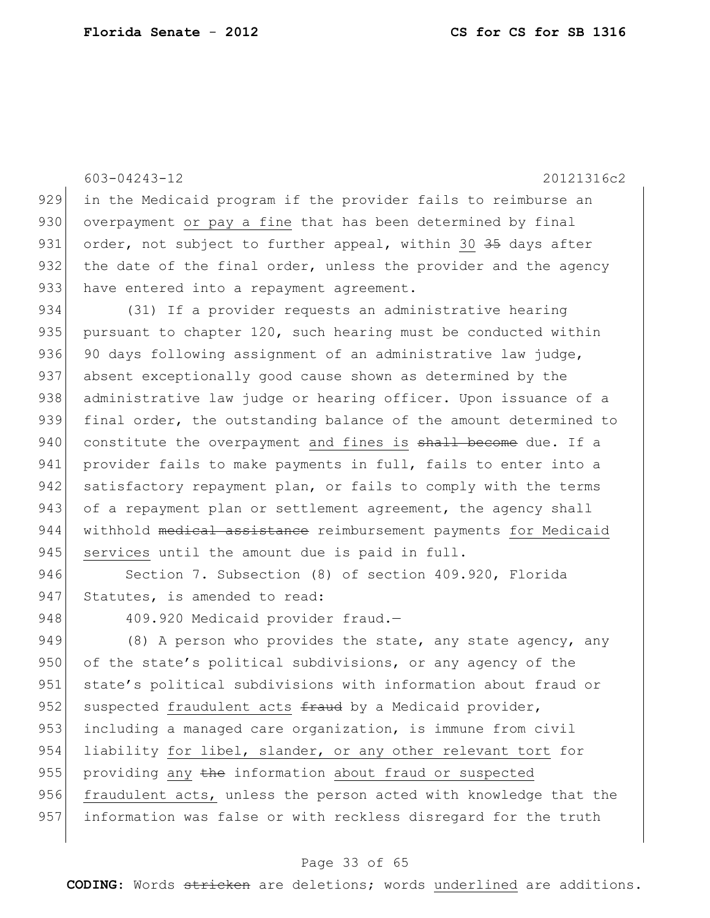603-04243-12 20121316c2

929 in the Medicaid program if the provider fails to reimburse an 930 overpayment or pay a fine that has been determined by final 931 order, not subject to further appeal, within 30 35 days after 932 the date of the final order, unless the provider and the agency 933 have entered into a repayment agreement.

934 (31) If a provider requests an administrative hearing 935 pursuant to chapter  $120$ , such hearing must be conducted within 936 90 days following assignment of an administrative law judge, 937 absent exceptionally good cause shown as determined by the 938 administrative law judge or hearing officer. Upon issuance of a 939 final order, the outstanding balance of the amount determined to 940 constitute the overpayment and fines is shall become due. If a 941 provider fails to make payments in full, fails to enter into a 942 satisfactory repayment plan, or fails to comply with the terms 943 of a repayment plan or settlement agreement, the agency shall 944 withhold medical assistance reimbursement payments for Medicaid 945 services until the amount due is paid in full.

946 Section 7. Subsection (8) of section 409.920, Florida 947 Statutes, is amended to read:

948 409.920 Medicaid provider fraud.-

949 (8) A person who provides the state, any state agency, any 950 of the state's political subdivisions, or any agency of the 951 state's political subdivisions with information about fraud or 952 suspected fraudulent acts  $f$ raud by a Medicaid provider, 953 including a managed care organization, is immune from civil 954 liability for libel, slander, or any other relevant tort for 955 providing any the information about fraud or suspected 956 fraudulent acts, unless the person acted with knowledge that the 957 information was false or with reckless disregard for the truth

#### Page 33 of 65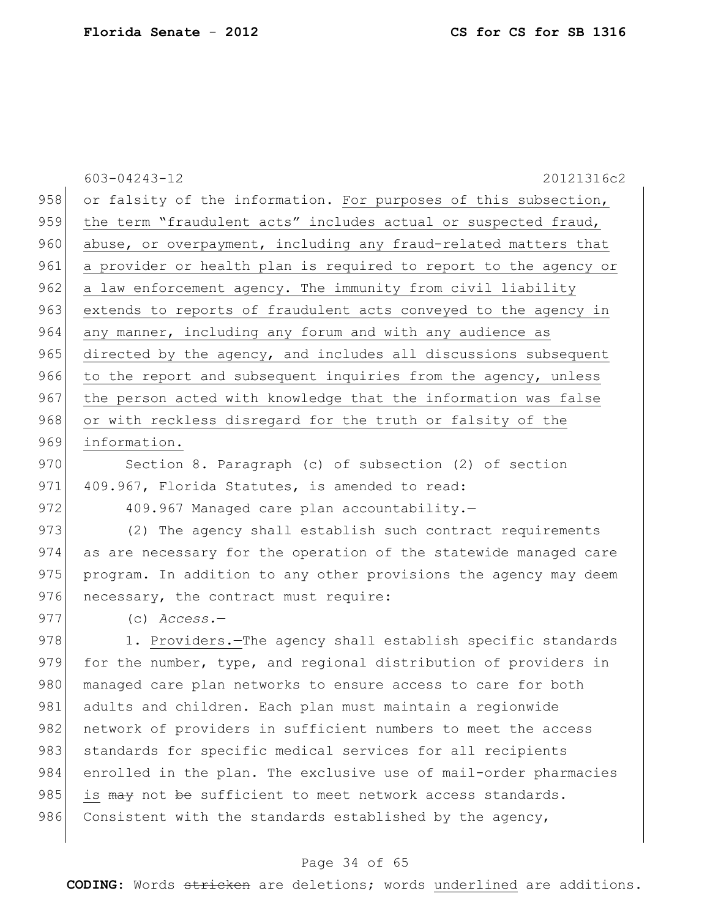|     | 603-04243-12<br>20121316c2                                       |
|-----|------------------------------------------------------------------|
| 958 | or falsity of the information. For purposes of this subsection,  |
| 959 | the term "fraudulent acts" includes actual or suspected fraud,   |
| 960 | abuse, or overpayment, including any fraud-related matters that  |
| 961 | a provider or health plan is required to report to the agency or |
| 962 | a law enforcement agency. The immunity from civil liability      |
| 963 | extends to reports of fraudulent acts conveyed to the agency in  |
| 964 | any manner, including any forum and with any audience as         |
| 965 | directed by the agency, and includes all discussions subsequent  |
| 966 | to the report and subsequent inquiries from the agency, unless   |
| 967 | the person acted with knowledge that the information was false   |
| 968 | or with reckless disregard for the truth or falsity of the       |
| 969 | information.                                                     |
| 970 | Section 8. Paragraph (c) of subsection (2) of section            |
| 971 | 409.967, Florida Statutes, is amended to read:                   |
| 972 | 409.967 Managed care plan accountability.-                       |
| 973 | (2) The agency shall establish such contract requirements        |
| 974 | as are necessary for the operation of the statewide managed care |
| 975 | program. In addition to any other provisions the agency may deem |
| 976 | necessary, the contract must require:                            |
| 977 | $(c)$ Access.-                                                   |
| 978 | 1. Providers. The agency shall establish specific standards      |
| 979 | for the number, type, and regional distribution of providers in  |
| 980 | managed care plan networks to ensure access to care for both     |
| 981 | adults and children. Each plan must maintain a regionwide        |
| 982 | network of providers in sufficient numbers to meet the access    |
| 983 | standards for specific medical services for all recipients       |
| 984 | enrolled in the plan. The exclusive use of mail-order pharmacies |
| 985 | is may not be sufficient to meet network access standards.       |
| 986 | Consistent with the standards established by the agency,         |
|     |                                                                  |

# Page 34 of 65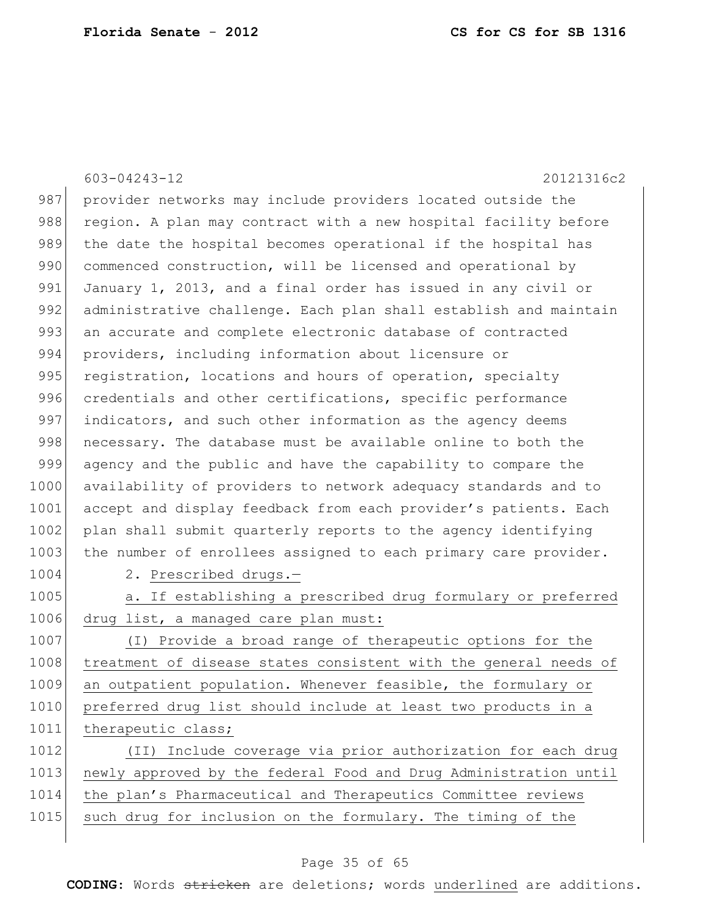603-04243-12 20121316c2 987 provider networks may include providers located outside the 988 region. A plan may contract with a new hospital facility before 989 the date the hospital becomes operational if the hospital has 990 commenced construction, will be licensed and operational by 991 January 1, 2013, and a final order has issued in any civil or 992 administrative challenge. Each plan shall establish and maintain 993 an accurate and complete electronic database of contracted 994 providers, including information about licensure or 995 registration, locations and hours of operation, specialty 996 credentials and other certifications, specific performance 997 indicators, and such other information as the agency deems 998 necessary. The database must be available online to both the 999 agency and the public and have the capability to compare the 1000 availability of providers to network adequacy standards and to 1001 accept and display feedback from each provider's patients. Each 1002 plan shall submit quarterly reports to the agency identifying 1003 the number of enrollees assigned to each primary care provider. 1004 2. Prescribed drugs.-1005 a. If establishing a prescribed drug formulary or preferred 1006 drug list, a managed care plan must: 1007 (I) Provide a broad range of therapeutic options for the 1008 treatment of disease states consistent with the general needs of 1009 an outpatient population. Whenever feasible, the formulary or 1010 preferred drug list should include at least two products in a 1011 therapeutic class; 1012 (II) Include coverage via prior authorization for each drug 1013 newly approved by the federal Food and Drug Administration until 1014 the plan's Pharmaceutical and Therapeutics Committee reviews 1015 such drug for inclusion on the formulary. The timing of the

#### Page 35 of 65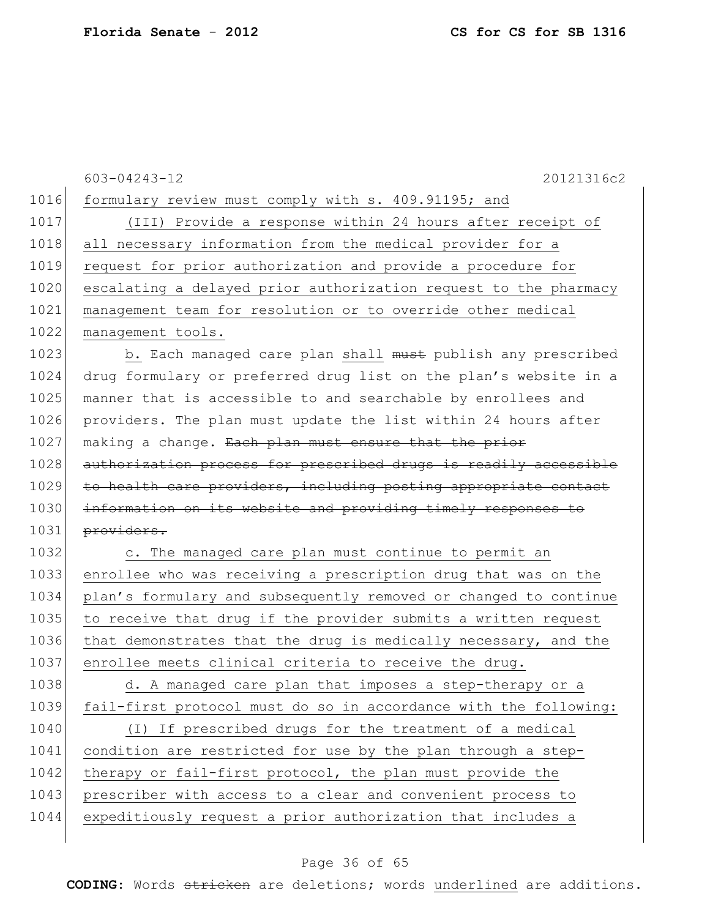|      | 603-04243-12<br>20121316c2                                       |
|------|------------------------------------------------------------------|
| 1016 | formulary review must comply with s. 409.91195; and              |
| 1017 | (III) Provide a response within 24 hours after receipt of        |
| 1018 | all necessary information from the medical provider for a        |
| 1019 | request for prior authorization and provide a procedure for      |
| 1020 | escalating a delayed prior authorization request to the pharmacy |
| 1021 | management team for resolution or to override other medical      |
| 1022 | management tools.                                                |
| 1023 | b. Each managed care plan shall must publish any prescribed      |
| 1024 | drug formulary or preferred drug list on the plan's website in a |
| 1025 | manner that is accessible to and searchable by enrollees and     |
| 1026 | providers. The plan must update the list within 24 hours after   |
| 1027 | making a change. Each plan must ensure that the prior            |
| 1028 | authorization process for prescribed drugs is readily accessible |
| 1029 | to health care providers, including posting appropriate contact  |
| 1030 | information on its website and providing timely responses to     |
| 1031 | providers.                                                       |
| 1032 | c. The managed care plan must continue to permit an              |
| 1033 | enrollee who was receiving a prescription drug that was on the   |
| 1034 | plan's formulary and subsequently removed or changed to continue |
| 1035 | to receive that drug if the provider submits a written request   |
| 1036 | that demonstrates that the drug is medically necessary, and the  |
| 1037 | enrollee meets clinical criteria to receive the drug.            |
| 1038 | d. A managed care plan that imposes a step-therapy or a          |
| 1039 | fail-first protocol must do so in accordance with the following: |
| 1040 | (I) If prescribed drugs for the treatment of a medical           |
| 1041 | condition are restricted for use by the plan through a step-     |
| 1042 | therapy or fail-first protocol, the plan must provide the        |
| 1043 | prescriber with access to a clear and convenient process to      |
| 1044 | expeditiously request a prior authorization that includes a      |
|      |                                                                  |

# Page 36 of 65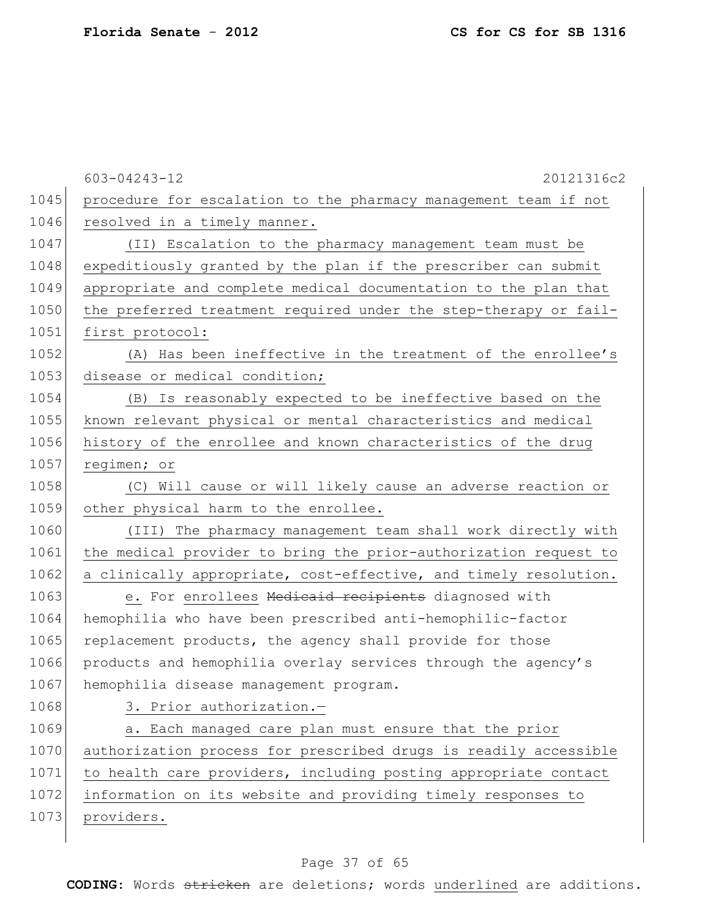|      | $603 - 04243 - 12$<br>20121316c2                                 |
|------|------------------------------------------------------------------|
| 1045 | procedure for escalation to the pharmacy management team if not  |
| 1046 | resolved in a timely manner.                                     |
| 1047 | (II) Escalation to the pharmacy management team must be          |
| 1048 | expeditiously granted by the plan if the prescriber can submit   |
| 1049 | appropriate and complete medical documentation to the plan that  |
| 1050 | the preferred treatment required under the step-therapy or fail- |
| 1051 | first protocol:                                                  |
| 1052 | (A) Has been ineffective in the treatment of the enrollee's      |
| 1053 | disease or medical condition;                                    |
| 1054 | (B) Is reasonably expected to be ineffective based on the        |
| 1055 | known relevant physical or mental characteristics and medical    |
| 1056 | history of the enrollee and known characteristics of the drug    |
| 1057 | regimen; or                                                      |
| 1058 | Will cause or will likely cause an adverse reaction or<br>(C)    |
| 1059 | other physical harm to the enrollee.                             |
| 1060 | (III) The pharmacy management team shall work directly with      |
| 1061 | the medical provider to bring the prior-authorization request to |
| 1062 | a clinically appropriate, cost-effective, and timely resolution. |
| 1063 | e. For enrollees Medicaid recipients diagnosed with              |
| 1064 | hemophilia who have been prescribed anti-hemophilic-factor       |
| 1065 | replacement products, the agency shall provide for those         |
| 1066 | products and hemophilia overlay services through the agency's    |
| 1067 | hemophilia disease management program.                           |
| 1068 | 3. Prior authorization.-                                         |
| 1069 | a. Each managed care plan must ensure that the prior             |
| 1070 | authorization process for prescribed drugs is readily accessible |
| 1071 | to health care providers, including posting appropriate contact  |
| 1072 | information on its website and providing timely responses to     |
| 1073 | providers.                                                       |
|      |                                                                  |

# Page 37 of 65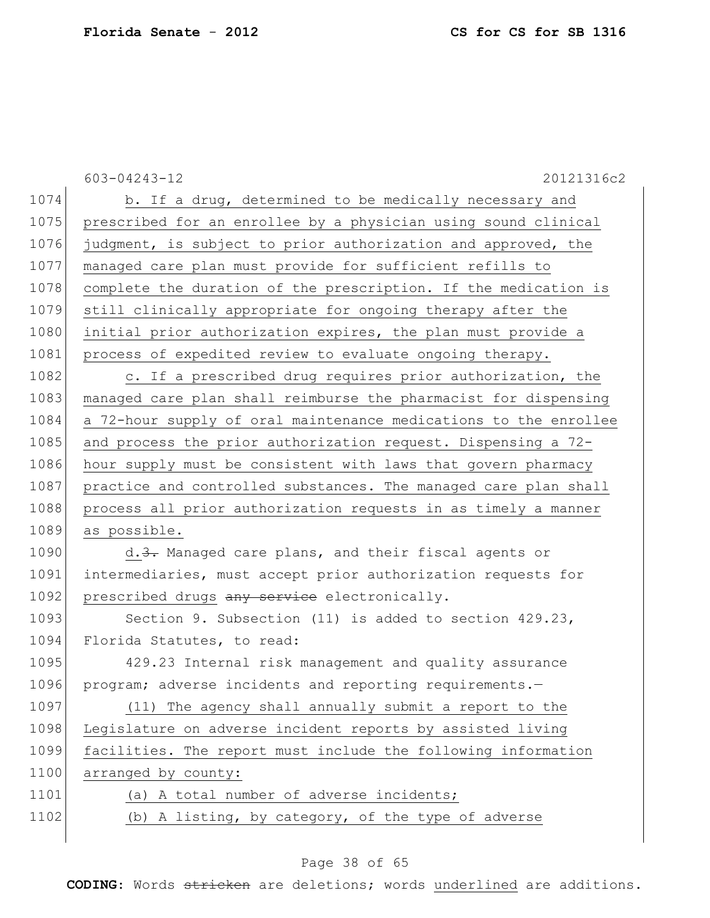|      | 603-04243-12<br>20121316c2                                       |
|------|------------------------------------------------------------------|
| 1074 | b. If a drug, determined to be medically necessary and           |
| 1075 | prescribed for an enrollee by a physician using sound clinical   |
| 1076 | judgment, is subject to prior authorization and approved, the    |
| 1077 | managed care plan must provide for sufficient refills to         |
| 1078 | complete the duration of the prescription. If the medication is  |
| 1079 | still clinically appropriate for ongoing therapy after the       |
| 1080 | initial prior authorization expires, the plan must provide a     |
| 1081 | process of expedited review to evaluate ongoing therapy.         |
| 1082 | c. If a prescribed drug requires prior authorization, the        |
| 1083 | managed care plan shall reimburse the pharmacist for dispensing  |
| 1084 | a 72-hour supply of oral maintenance medications to the enrollee |
| 1085 | and process the prior authorization request. Dispensing a 72-    |
| 1086 | hour supply must be consistent with laws that govern pharmacy    |
| 1087 | practice and controlled substances. The managed care plan shall  |
| 1088 | process all prior authorization requests in as timely a manner   |
| 1089 | as possible.                                                     |
| 1090 | d.3. Managed care plans, and their fiscal agents or              |
| 1091 | intermediaries, must accept prior authorization requests for     |
| 1092 | prescribed drugs any service electronically.                     |
| 1093 | Section 9. Subsection (11) is added to section 429.23,           |
| 1094 | Florida Statutes, to read:                                       |
| 1095 | 429.23 Internal risk management and quality assurance            |
| 1096 | program; adverse incidents and reporting requirements.-          |
| 1097 | (11) The agency shall annually submit a report to the            |
| 1098 | Legislature on adverse incident reports by assisted living       |
| 1099 | facilities. The report must include the following information    |
| 1100 | arranged by county:                                              |
| 1101 | (a) A total number of adverse incidents;                         |
| 1102 | (b) A listing, by category, of the type of adverse               |
|      |                                                                  |

# Page 38 of 65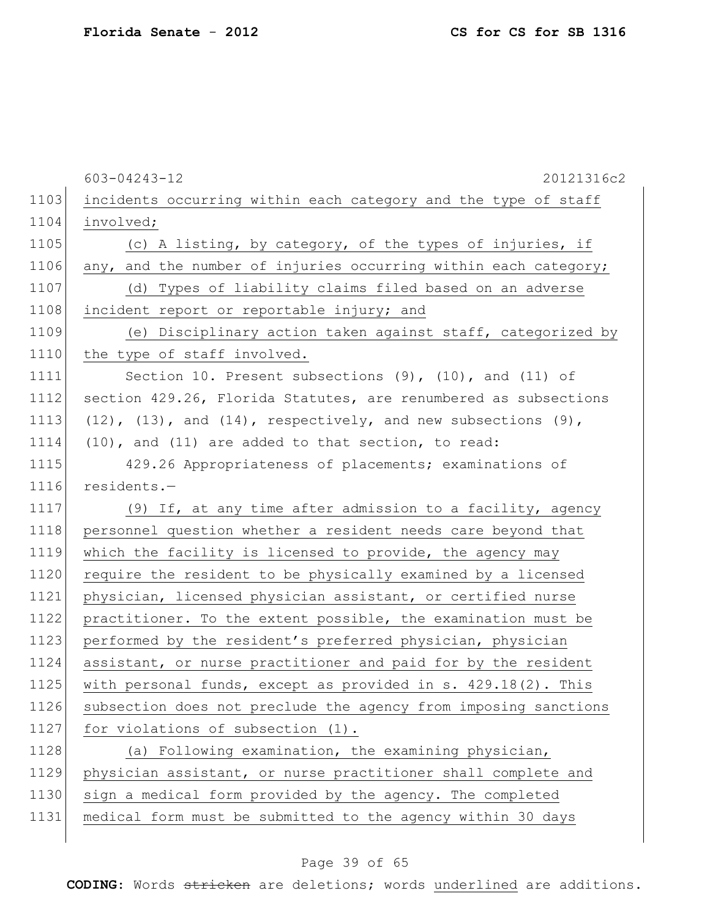|      | 603-04243-12<br>20121316c2                                               |
|------|--------------------------------------------------------------------------|
| 1103 | incidents occurring within each category and the type of staff           |
| 1104 | involved;                                                                |
| 1105 | (c) A listing, by category, of the types of injuries, if                 |
| 1106 | any, and the number of injuries occurring within each category;          |
| 1107 | (d) Types of liability claims filed based on an adverse                  |
| 1108 | incident report or reportable injury; and                                |
| 1109 | (e) Disciplinary action taken against staff, categorized by              |
| 1110 | the type of staff involved.                                              |
| 1111 | Section 10. Present subsections $(9)$ , $(10)$ , and $(11)$ of           |
| 1112 | section 429.26, Florida Statutes, are renumbered as subsections          |
| 1113 | $(12)$ , $(13)$ , and $(14)$ , respectively, and new subsections $(9)$ , |
| 1114 | (10), and (11) are added to that section, to read:                       |
| 1115 | 429.26 Appropriateness of placements; examinations of                    |
| 1116 | residents.-                                                              |
| 1117 | (9) If, at any time after admission to a facility, agency                |
| 1118 | personnel question whether a resident needs care beyond that             |
| 1119 | which the facility is licensed to provide, the agency may                |
| 1120 | require the resident to be physically examined by a licensed             |
| 1121 | physician, licensed physician assistant, or certified nurse              |
| 1122 | practitioner. To the extent possible, the examination must be            |
| 1123 | performed by the resident's preferred physician, physician               |
| 1124 | assistant, or nurse practitioner and paid for by the resident            |
| 1125 | with personal funds, except as provided in s. 429.18(2). This            |
| 1126 | subsection does not preclude the agency from imposing sanctions          |
| 1127 | for violations of subsection (1).                                        |
| 1128 | (a) Following examination, the examining physician,                      |
| 1129 | physician assistant, or nurse practitioner shall complete and            |
| 1130 | sign a medical form provided by the agency. The completed                |
| 1131 | medical form must be submitted to the agency within 30 days              |

# Page 39 of 65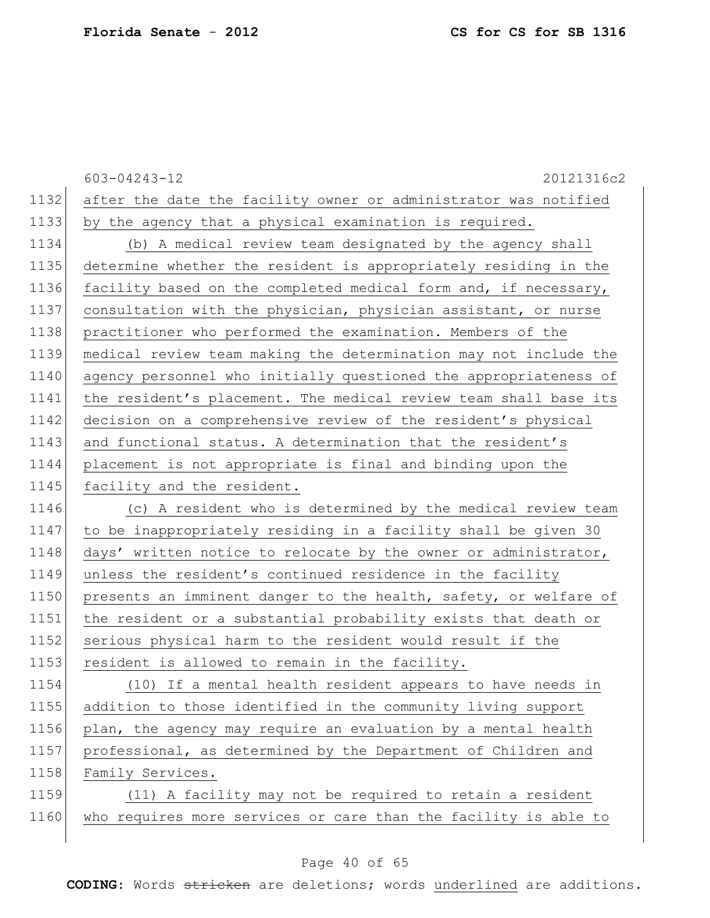|      | 603-04243-12<br>20121316c2                                       |
|------|------------------------------------------------------------------|
| 1132 | after the date the facility owner or administrator was notified  |
| 1133 | by the agency that a physical examination is required.           |
| 1134 | (b) A medical review team designated by the agency shall         |
| 1135 | determine whether the resident is appropriately residing in the  |
| 1136 | facility based on the completed medical form and, if necessary,  |
| 1137 | consultation with the physician, physician assistant, or nurse   |
| 1138 | practitioner who performed the examination. Members of the       |
| 1139 | medical review team making the determination may not include the |
| 1140 | agency personnel who initially questioned the appropriateness of |
| 1141 | the resident's placement. The medical review team shall base its |
| 1142 | decision on a comprehensive review of the resident's physical    |
| 1143 | and functional status. A determination that the resident's       |
| 1144 | placement is not appropriate is final and binding upon the       |
| 1145 | facility and the resident.                                       |
| 1146 | (c) A resident who is determined by the medical review team      |
| 1147 | to be inappropriately residing in a facility shall be given 30   |
| 1148 | days' written notice to relocate by the owner or administrator,  |
| 1149 | unless the resident's continued residence in the facility        |
| 1150 | presents an imminent danger to the health, safety, or welfare of |
| 1151 | the resident or a substantial probability exists that death or   |
| 1152 | serious physical harm to the resident would result if the        |
| 1153 | resident is allowed to remain in the facility.                   |
| 1154 | (10) If a mental health resident appears to have needs in        |
| 1155 | addition to those identified in the community living support     |
| 1156 | plan, the agency may require an evaluation by a mental health    |
| 1157 | professional, as determined by the Department of Children and    |
| 1158 | Family Services.                                                 |
| 1159 | (11) A facility may not be required to retain a resident         |
| 1160 | who requires more services or care than the facility is able to  |

# Page 40 of 65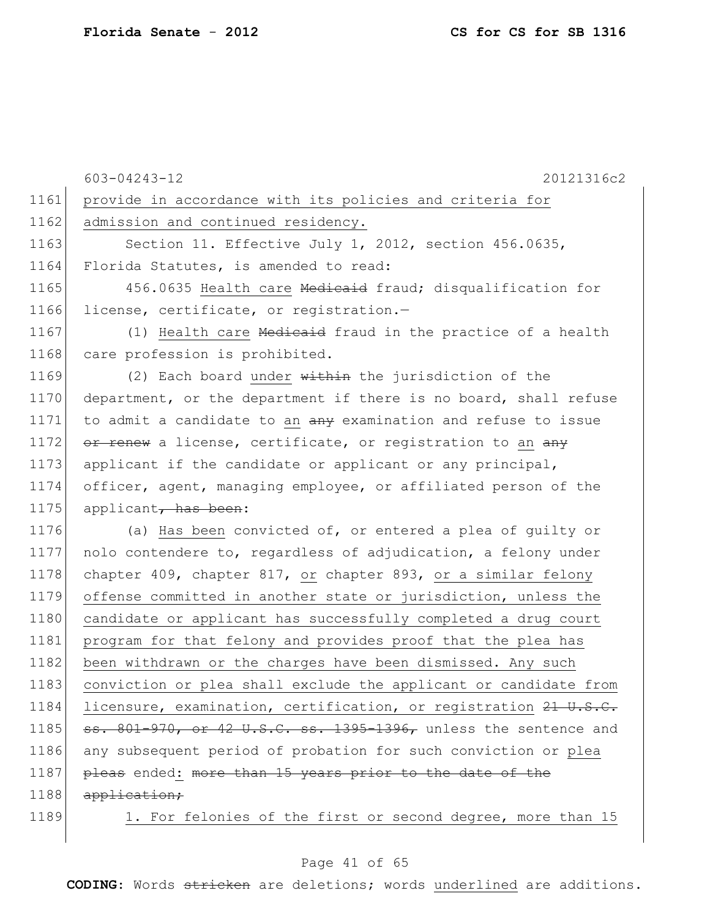|      | 603-04243-12<br>20121316c2                                       |
|------|------------------------------------------------------------------|
| 1161 | provide in accordance with its policies and criteria for         |
| 1162 | admission and continued residency.                               |
| 1163 | Section 11. Effective July 1, 2012, section 456.0635,            |
| 1164 | Florida Statutes, is amended to read:                            |
| 1165 | 456.0635 Health care Medicaid fraud; disqualification for        |
| 1166 | license, certificate, or registration.-                          |
| 1167 | (1) Health care Medicaid fraud in the practice of a health       |
| 1168 | care profession is prohibited.                                   |
| 1169 | (2) Each board under within the jurisdiction of the              |
| 1170 | department, or the department if there is no board, shall refuse |
| 1171 | to admit a candidate to an any examination and refuse to issue   |
| 1172 | or renew a license, certificate, or registration to an any       |
| 1173 | applicant if the candidate or applicant or any principal,        |
| 1174 | officer, agent, managing employee, or affiliated person of the   |
| 1175 | applicant, has been:                                             |
| 1176 | (a) Has been convicted of, or entered a plea of guilty or        |
| 1177 | nolo contendere to, regardless of adjudication, a felony under   |
| 1178 | chapter 409, chapter 817, or chapter 893, or a similar felony    |
| 1179 | offense committed in another state or jurisdiction, unless the   |
| 1180 | candidate or applicant has successfully completed a drug court   |
| 1181 | program for that felony and provides proof that the plea has     |
| 1182 | been withdrawn or the charges have been dismissed. Any such      |
| 1183 | conviction or plea shall exclude the applicant or candidate from |
| 1184 | licensure, examination, certification, or registration 21 U.S.C. |
| 1185 | ss. 801-970, or 42 U.S.C. ss. 1395-1396, unless the sentence and |
| 1186 | any subsequent period of probation for such conviction or plea   |
| 1187 | pleas ended: more than 15 years prior to the date of the         |
| 1188 | application;                                                     |
| 1189 | 1. For felonies of the first or second degree, more than 15      |

# Page 41 of 65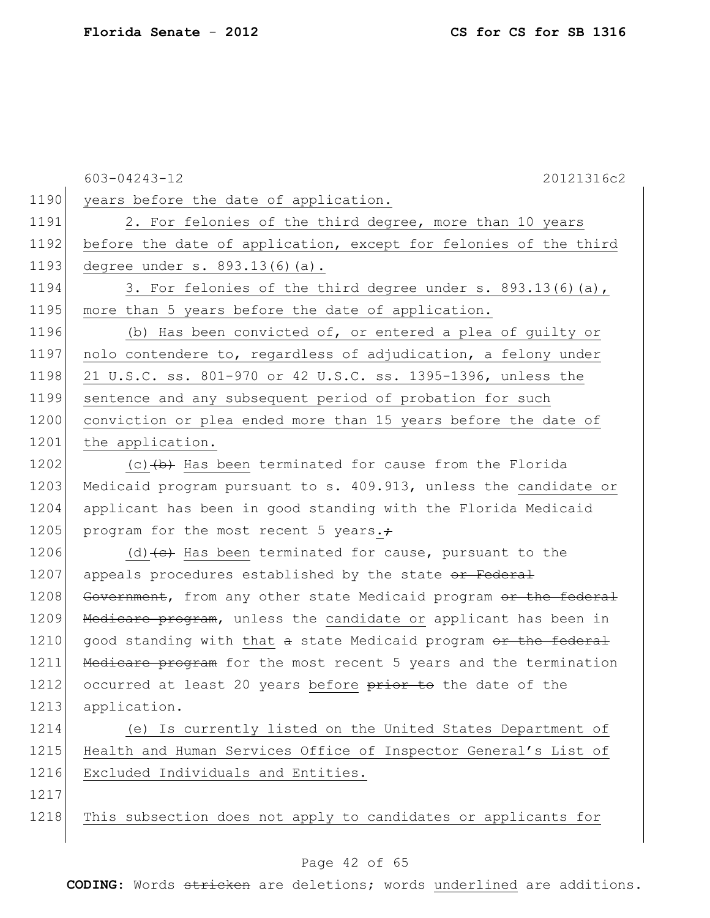|      | 20121316c2<br>$603 - 04243 - 12$                                 |
|------|------------------------------------------------------------------|
| 1190 | years before the date of application.                            |
| 1191 | 2. For felonies of the third degree, more than 10 years          |
| 1192 | before the date of application, except for felonies of the third |
| 1193 | degree under s. 893.13(6)(a).                                    |
| 1194 | 3. For felonies of the third degree under s. 893.13(6)(a),       |
| 1195 | more than 5 years before the date of application.                |
| 1196 | (b) Has been convicted of, or entered a plea of guilty or        |
| 1197 | nolo contendere to, regardless of adjudication, a felony under   |
| 1198 | 21 U.S.C. ss. 801-970 or 42 U.S.C. ss. 1395-1396, unless the     |
| 1199 | sentence and any subsequent period of probation for such         |
| 1200 | conviction or plea ended more than 15 years before the date of   |
| 1201 | the application.                                                 |
| 1202 | (c) $\{\pm\}$ Has been terminated for cause from the Florida     |
| 1203 | Medicaid program pursuant to s. 409.913, unless the candidate or |
| 1204 | applicant has been in good standing with the Florida Medicaid    |
| 1205 | program for the most recent 5 years.+                            |
| 1206 | (d) $(e)$ Has been terminated for cause, pursuant to the         |
| 1207 | appeals procedures established by the state or Federal           |
| 1208 | Government, from any other state Medicaid program or the federal |
| 1209 | Medicare program, unless the candidate or applicant has been in  |
| 1210 | good standing with that a state Medicaid program or the federal  |
| 1211 | Medicare program for the most recent 5 years and the termination |
| 1212 | occurred at least 20 years before prior to the date of the       |
| 1213 | application.                                                     |
| 1214 | (e) Is currently listed on the United States Department of       |
| 1215 | Health and Human Services Office of Inspector General's List of  |
| 1216 | Excluded Individuals and Entities.                               |
| 1217 |                                                                  |
| 1218 | This subsection does not apply to candidates or applicants for   |

# Page 42 of 65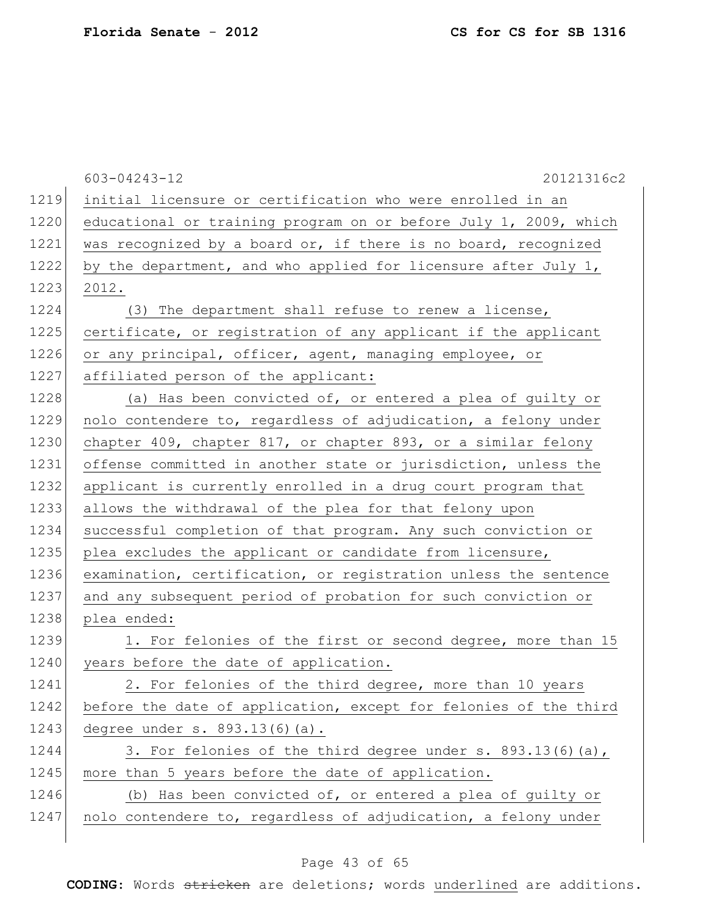|      | 603-04243-12<br>20121316c2                                       |
|------|------------------------------------------------------------------|
| 1219 | initial licensure or certification who were enrolled in an       |
| 1220 | educational or training program on or before July 1, 2009, which |
| 1221 | was recognized by a board or, if there is no board, recognized   |
| 1222 | by the department, and who applied for licensure after July 1,   |
| 1223 | 2012.                                                            |
| 1224 | (3) The department shall refuse to renew a license,              |
| 1225 | certificate, or registration of any applicant if the applicant   |
| 1226 | or any principal, officer, agent, managing employee, or          |
| 1227 | affiliated person of the applicant:                              |
| 1228 | (a) Has been convicted of, or entered a plea of guilty or        |
| 1229 | nolo contendere to, regardless of adjudication, a felony under   |
| 1230 | chapter 409, chapter 817, or chapter 893, or a similar felony    |
| 1231 | offense committed in another state or jurisdiction, unless the   |
| 1232 | applicant is currently enrolled in a drug court program that     |
| 1233 | allows the withdrawal of the plea for that felony upon           |
| 1234 | successful completion of that program. Any such conviction or    |
| 1235 | plea excludes the applicant or candidate from licensure,         |
| 1236 | examination, certification, or registration unless the sentence  |
| 1237 | and any subsequent period of probation for such conviction or    |
| 1238 | plea ended:                                                      |
| 1239 | 1. For felonies of the first or second degree, more than 15      |
| 1240 | years before the date of application.                            |
| 1241 | 2. For felonies of the third degree, more than 10 years          |
| 1242 | before the date of application, except for felonies of the third |
| 1243 | degree under s. 893.13(6)(a).                                    |
| 1244 | 3. For felonies of the third degree under s. 893.13(6)(a),       |
| 1245 | more than 5 years before the date of application.                |
| 1246 | (b) Has been convicted of, or entered a plea of guilty or        |
| 1247 | nolo contendere to, regardless of adjudication, a felony under   |
|      |                                                                  |

# Page 43 of 65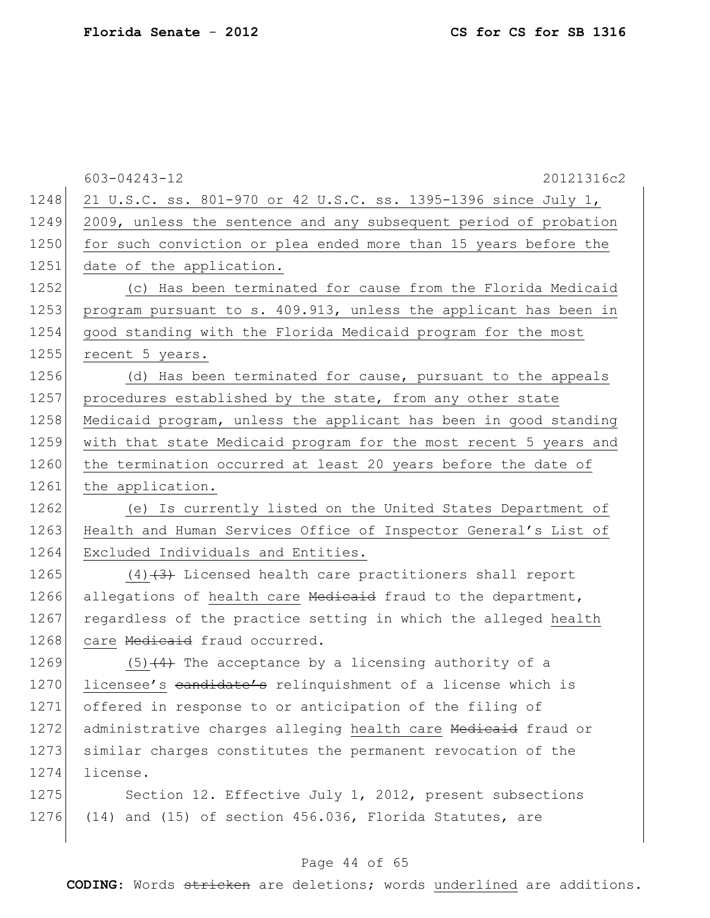|      | 603-04243-12<br>20121316c2                                       |
|------|------------------------------------------------------------------|
| 1248 | 21 U.S.C. ss. 801-970 or 42 U.S.C. ss. 1395-1396 since July 1,   |
| 1249 | 2009, unless the sentence and any subsequent period of probation |
| 1250 | for such conviction or plea ended more than 15 years before the  |
| 1251 | date of the application.                                         |
| 1252 | (c) Has been terminated for cause from the Florida Medicaid      |
| 1253 | program pursuant to s. 409.913, unless the applicant has been in |
| 1254 | good standing with the Florida Medicaid program for the most     |
| 1255 | recent 5 years.                                                  |
| 1256 | (d) Has been terminated for cause, pursuant to the appeals       |
| 1257 | procedures established by the state, from any other state        |
| 1258 | Medicaid program, unless the applicant has been in good standing |
| 1259 | with that state Medicaid program for the most recent 5 years and |
| 1260 | the termination occurred at least 20 years before the date of    |
| 1261 | the application.                                                 |
| 1262 | (e) Is currently listed on the United States Department of       |
| 1263 | Health and Human Services Office of Inspector General's List of  |
| 1264 | Excluded Individuals and Entities.                               |
| 1265 | $(4)$ $(3)$ Licensed health care practitioners shall report      |
| 1266 | allegations of health care Medicaid fraud to the department,     |
| 1267 | regardless of the practice setting in which the alleged health   |
| 1268 | care Medicaid fraud occurred.                                    |
| 1269 | $(5)$ $(4)$ The acceptance by a licensing authority of a         |
| 1270 | licensee's candidate's relinquishment of a license which is      |
| 1271 | offered in response to or anticipation of the filing of          |
| 1272 | administrative charges alleging health care Medicaid fraud or    |
| 1273 | similar charges constitutes the permanent revocation of the      |
| 1274 | license.                                                         |
| 1275 | Section 12. Effective July 1, 2012, present subsections          |
| 1276 | $(14)$ and $(15)$ of section 456.036, Florida Statutes, are      |
|      |                                                                  |

# Page 44 of 65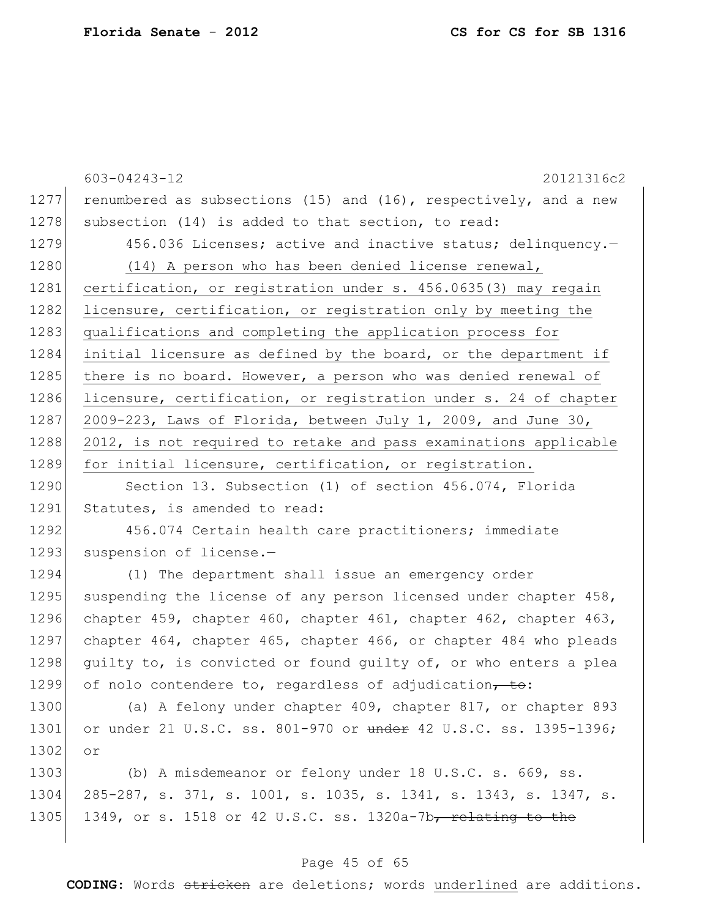|      | 603-04243-12<br>20121316c2                                       |
|------|------------------------------------------------------------------|
| 1277 | renumbered as subsections (15) and (16), respectively, and a new |
| 1278 | subsection (14) is added to that section, to read:               |
| 1279 | 456.036 Licenses; active and inactive status; delinquency.-      |
| 1280 | (14) A person who has been denied license renewal,               |
| 1281 | certification, or registration under s. 456.0635(3) may regain   |
| 1282 | licensure, certification, or registration only by meeting the    |
| 1283 | qualifications and completing the application process for        |
| 1284 | initial licensure as defined by the board, or the department if  |
| 1285 | there is no board. However, a person who was denied renewal of   |
| 1286 | licensure, certification, or registration under s. 24 of chapter |
| 1287 | 2009-223, Laws of Florida, between July 1, 2009, and June 30,    |
| 1288 | 2012, is not required to retake and pass examinations applicable |
| 1289 | for initial licensure, certification, or registration.           |
| 1290 | Section 13. Subsection (1) of section 456.074, Florida           |
| 1291 | Statutes, is amended to read:                                    |
| 1292 | 456.074 Certain health care practitioners; immediate             |
| 1293 | suspension of license.-                                          |
| 1294 | (1) The department shall issue an emergency order                |
| 1295 | suspending the license of any person licensed under chapter 458, |
| 1296 | chapter 459, chapter 460, chapter 461, chapter 462, chapter 463, |
| 1297 | chapter 464, chapter 465, chapter 466, or chapter 484 who pleads |
| 1298 | guilty to, is convicted or found guilty of, or who enters a plea |
| 1299 | of nolo contendere to, regardless of adjudication, to:           |
| 1300 | (a) A felony under chapter 409, chapter 817, or chapter 893      |
| 1301 | or under 21 U.S.C. ss. 801-970 or under 42 U.S.C. ss. 1395-1396; |
| 1302 | or                                                               |
| 1303 | (b) A misdemeanor or felony under 18 U.S.C. s. 669, ss.          |
| 1304 | 285-287, s. 371, s. 1001, s. 1035, s. 1341, s. 1343, s. 1347, s. |
| 1305 | 1349, or s. 1518 or 42 U.S.C. ss. 1320a-7b, relating to the      |
|      |                                                                  |

# Page 45 of 65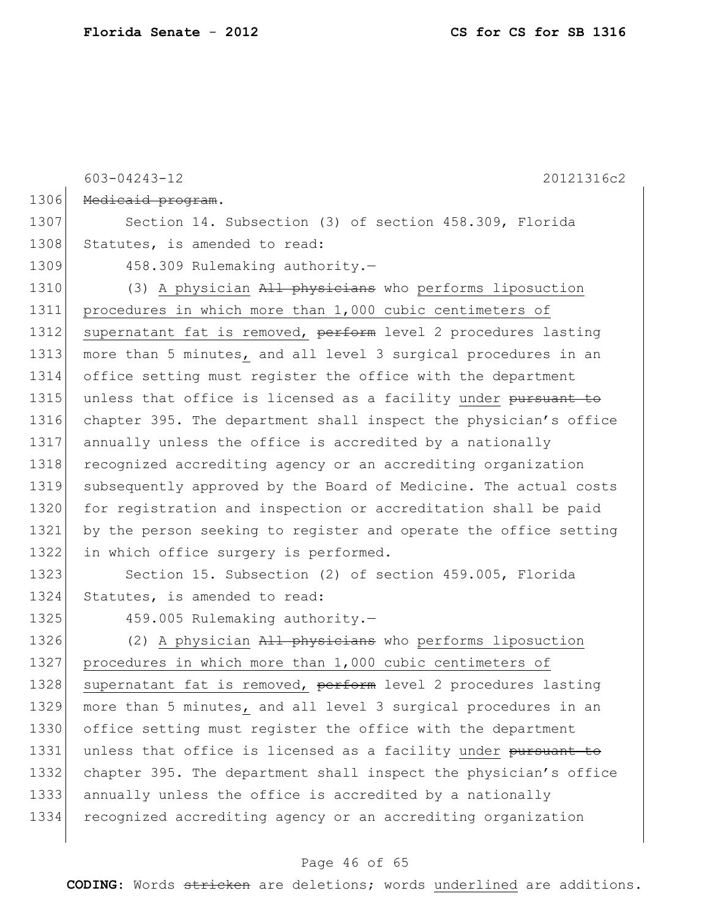603-04243-12 20121316c2 1306 Medicaid program. 1307 Section 14. Subsection (3) of section 458.309, Florida 1308 Statutes, is amended to read: 1309 458.309 Rulemaking authority.-1310 (3) A physician All physicians who performs liposuction 1311 procedures in which more than 1,000 cubic centimeters of 1312 supernatant fat is removed, perform level 2 procedures lasting 1313 more than 5 minutes, and all level 3 surgical procedures in an 1314 office setting must register the office with the department 1315 unless that office is licensed as a facility under pursuant to 1316 chapter 395. The department shall inspect the physician's office 1317 annually unless the office is accredited by a nationally 1318 recognized accrediting agency or an accrediting organization 1319 subsequently approved by the Board of Medicine. The actual costs 1320 for registration and inspection or accreditation shall be paid 1321 by the person seeking to register and operate the office setting 1322 in which office surgery is performed. 1323 Section 15. Subsection (2) of section 459.005, Florida

1324 Statutes, is amended to read:

1325 459.005 Rulemaking authority.-

1326  $(2)$  A physician  $A\perp\perp$  physicians who performs liposuction 1327 procedures in which more than 1,000 cubic centimeters of 1328 supernatant fat is removed, perform level 2 procedures lasting 1329 more than 5 minutes, and all level 3 surgical procedures in an 1330 office setting must register the office with the department 1331 unless that office is licensed as a facility under pursuant to 1332 chapter 395. The department shall inspect the physician's office 1333 annually unless the office is accredited by a nationally 1334 recognized accrediting agency or an accrediting organization

#### Page 46 of 65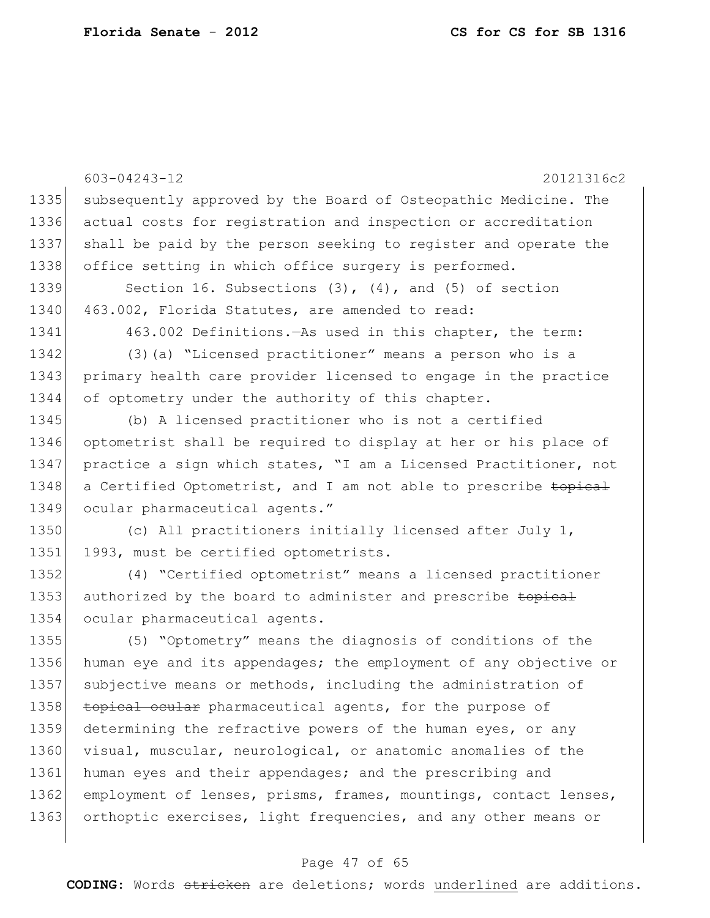603-04243-12 20121316c2 1335 subsequently approved by the Board of Osteopathic Medicine. The 1336 actual costs for registration and inspection or accreditation 1337 shall be paid by the person seeking to register and operate the 1338 office setting in which office surgery is performed. 1339 Section 16. Subsections (3), (4), and (5) of section 1340 463.002, Florida Statutes, are amended to read: 1341 463.002 Definitions.—As used in this chapter, the term: 1342 (3)(a) "Licensed practitioner" means a person who is a 1343 primary health care provider licensed to engage in the practice 1344 of optometry under the authority of this chapter. 1345 (b) A licensed practitioner who is not a certified 1346 optometrist shall be required to display at her or his place of 1347 practice a sign which states, "I am a Licensed Practitioner, not 1348 a Certified Optometrist, and I am not able to prescribe topical 1349 ocular pharmaceutical agents." 1350 (c) All practitioners initially licensed after July 1, 1351 1993, must be certified optometrists. 1352 (4) "Certified optometrist" means a licensed practitioner 1353 authorized by the board to administer and prescribe topical 1354 ocular pharmaceutical agents. 1355 (5) "Optometry" means the diagnosis of conditions of the 1356 human eye and its appendages; the employment of any objective or 1357 subjective means or methods, including the administration of 1358 topical ocular pharmaceutical agents, for the purpose of 1359 determining the refractive powers of the human eyes, or any 1360 visual, muscular, neurological, or anatomic anomalies of the 1361 human eyes and their appendages; and the prescribing and 1362 employment of lenses, prisms, frames, mountings, contact lenses, 1363 orthoptic exercises, light frequencies, and any other means or

#### Page 47 of 65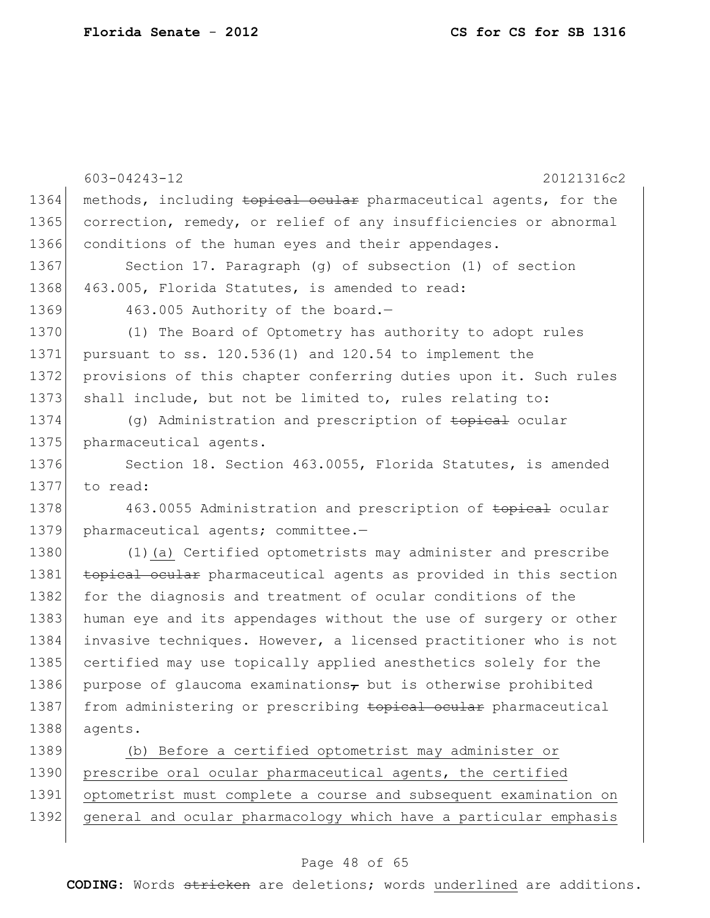|      | 603-04243-12<br>20121316c2                                       |
|------|------------------------------------------------------------------|
| 1364 | methods, including topical ocular pharmaceutical agents, for the |
| 1365 | correction, remedy, or relief of any insufficiencies or abnormal |
| 1366 | conditions of the human eyes and their appendages.               |
| 1367 | Section 17. Paragraph (g) of subsection (1) of section           |
| 1368 | 463.005, Florida Statutes, is amended to read:                   |
| 1369 | 463.005 Authority of the board.-                                 |
| 1370 | (1) The Board of Optometry has authority to adopt rules          |
| 1371 | pursuant to ss. 120.536(1) and 120.54 to implement the           |
| 1372 | provisions of this chapter conferring duties upon it. Such rules |
| 1373 | shall include, but not be limited to, rules relating to:         |
| 1374 | (g) Administration and prescription of <del>topical</del> ocular |
| 1375 | pharmaceutical agents.                                           |
| 1376 | Section 18. Section 463.0055, Florida Statutes, is amended       |
| 1377 | to read:                                                         |
| 1378 | 463.0055 Administration and prescription of topical ocular       |
| 1379 | pharmaceutical agents; committee.-                               |
| 1380 | (1) (a) Certified optometrists may administer and prescribe      |
| 1381 | topical ocular pharmaceutical agents as provided in this section |
| 1382 | for the diagnosis and treatment of ocular conditions of the      |
| 1383 | human eye and its appendages without the use of surgery or other |
| 1384 | invasive techniques. However, a licensed practitioner who is not |
| 1385 | certified may use topically applied anesthetics solely for the   |
| 1386 | purpose of glaucoma examinations, but is otherwise prohibited    |
| 1387 | from administering or prescribing topical ocular pharmaceutical  |
| 1388 | agents.                                                          |
| 1389 | (b) Before a certified optometrist may administer or             |
| 1390 | prescribe oral ocular pharmaceutical agents, the certified       |
| 1391 | optometrist must complete a course and subsequent examination on |

1392 general and ocular pharmacology which have a particular emphasis

### Page 48 of 65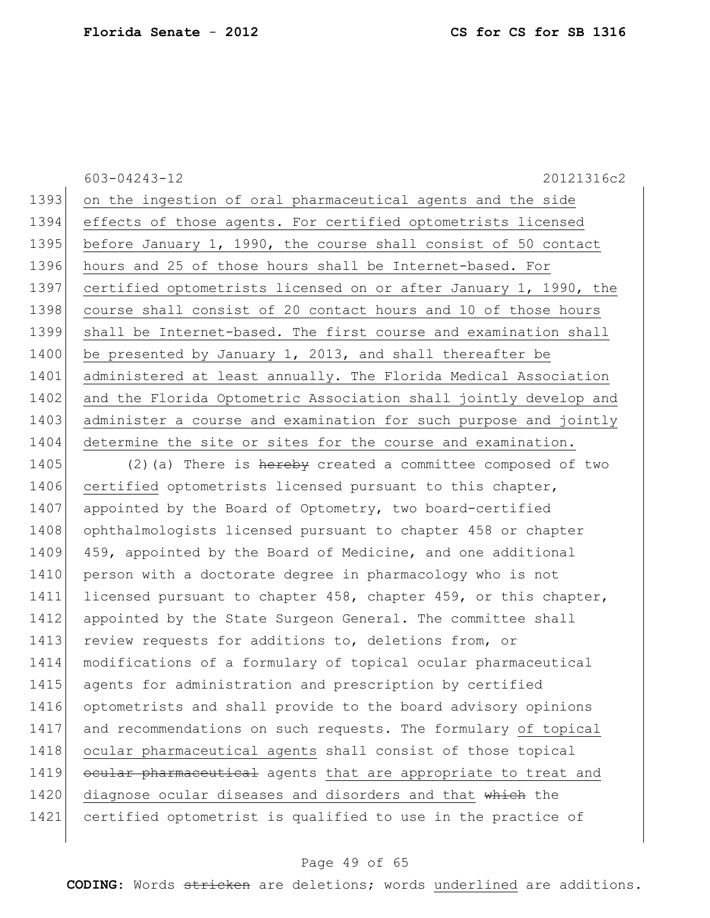603-04243-12 20121316c2

1393 on the ingestion of oral pharmaceutical agents and the side 1394 effects of those agents. For certified optometrists licensed 1395 before January 1, 1990, the course shall consist of 50 contact 1396 hours and 25 of those hours shall be Internet-based. For 1397 certified optometrists licensed on or after January 1, 1990, the 1398 course shall consist of 20 contact hours and 10 of those hours 1399 shall be Internet-based. The first course and examination shall 1400 be presented by January 1, 2013, and shall thereafter be 1401 administered at least annually. The Florida Medical Association 1402 and the Florida Optometric Association shall jointly develop and 1403 administer a course and examination for such purpose and jointly 1404 determine the site or sites for the course and examination.

1405 (2)(a) There is hereby created a committee composed of two 1406 certified optometrists licensed pursuant to this chapter, 1407 appointed by the Board of Optometry, two board-certified 1408 ophthalmologists licensed pursuant to chapter 458 or chapter 1409 459, appointed by the Board of Medicine, and one additional 1410 person with a doctorate degree in pharmacology who is not 1411 licensed pursuant to chapter 458, chapter 459, or this chapter, 1412 appointed by the State Surgeon General. The committee shall 1413 review requests for additions to, deletions from, or 1414 modifications of a formulary of topical ocular pharmaceutical 1415 agents for administration and prescription by certified 1416 optometrists and shall provide to the board advisory opinions 1417 and recommendations on such requests. The formulary of topical 1418 ocular pharmaceutical agents shall consist of those topical 1419 ocular pharmaceutical agents that are appropriate to treat and 1420 diagnose ocular diseases and disorders and that which the 1421 certified optometrist is qualified to use in the practice of

#### Page 49 of 65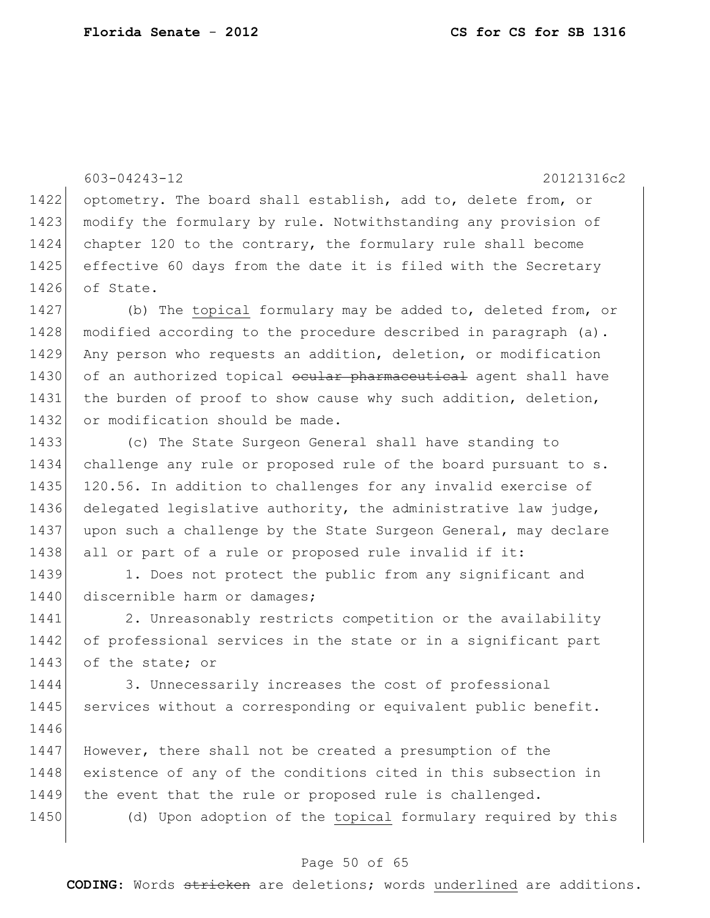603-04243-12 20121316c2 1422 optometry. The board shall establish, add to, delete from, or 1423 modify the formulary by rule. Notwithstanding any provision of 1424 chapter 120 to the contrary, the formulary rule shall become 1425 effective 60 days from the date it is filed with the Secretary 1426 of State.

 (b) The topical formulary may be added to, deleted from, or modified according to the procedure described in paragraph (a). Any person who requests an addition, deletion, or modification 1430 of an authorized topical ocular pharmaceutical agent shall have the burden of proof to show cause why such addition, deletion, 1432 or modification should be made.

1433 (c) The State Surgeon General shall have standing to 1434 challenge any rule or proposed rule of the board pursuant to s. 1435 120.56. In addition to challenges for any invalid exercise of 1436 delegated legislative authority, the administrative law judge, 1437 upon such a challenge by the State Surgeon General, may declare 1438 all or part of a rule or proposed rule invalid if it:

1439 1. Does not protect the public from any significant and 1440 discernible harm or damages;

1441 2. Unreasonably restricts competition or the availability 1442 of professional services in the state or in a significant part 1443 of the state; or

1444 3. Unnecessarily increases the cost of professional 1445 services without a corresponding or equivalent public benefit. 1446

1447 However, there shall not be created a presumption of the 1448 existence of any of the conditions cited in this subsection in 1449 the event that the rule or proposed rule is challenged.

1450 (d) Upon adoption of the topical formulary required by this

#### Page 50 of 65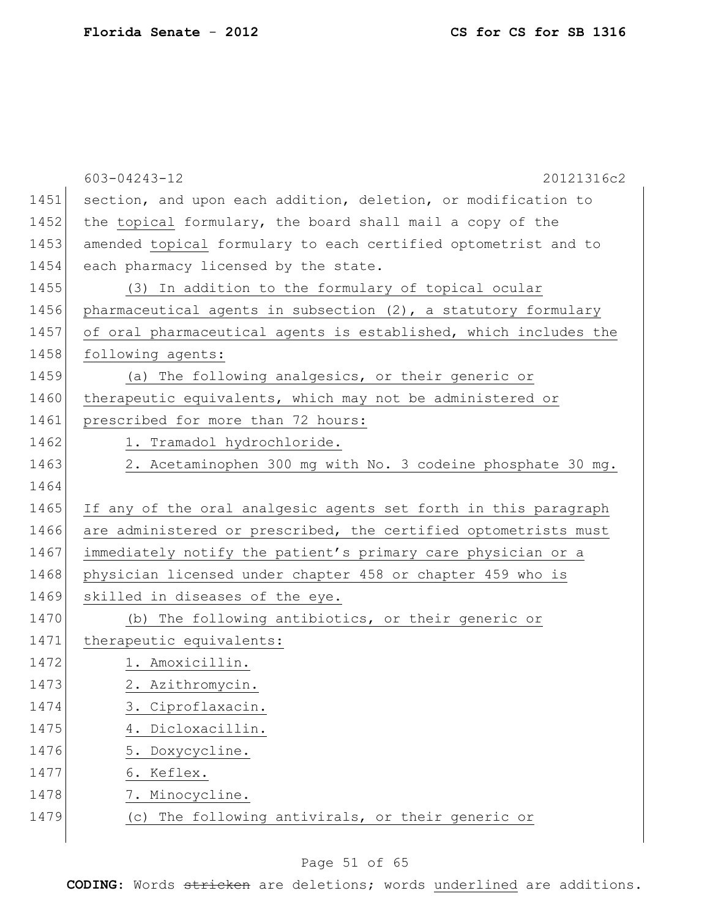|      | 603-04243-12<br>20121316c2                                       |
|------|------------------------------------------------------------------|
| 1451 | section, and upon each addition, deletion, or modification to    |
| 1452 | the topical formulary, the board shall mail a copy of the        |
| 1453 | amended topical formulary to each certified optometrist and to   |
| 1454 | each pharmacy licensed by the state.                             |
| 1455 | (3) In addition to the formulary of topical ocular               |
| 1456 | pharmaceutical agents in subsection (2), a statutory formulary   |
| 1457 | of oral pharmaceutical agents is established, which includes the |
| 1458 | following agents:                                                |
| 1459 | (a) The following analgesics, or their generic or                |
| 1460 | therapeutic equivalents, which may not be administered or        |
| 1461 | prescribed for more than 72 hours:                               |
| 1462 | 1. Tramadol hydrochloride.                                       |
| 1463 | 2. Acetaminophen 300 mg with No. 3 codeine phosphate 30 mg.      |
| 1464 |                                                                  |
| 1465 | If any of the oral analgesic agents set forth in this paragraph  |
| 1466 | are administered or prescribed, the certified optometrists must  |
| 1467 | immediately notify the patient's primary care physician or a     |
| 1468 | physician licensed under chapter 458 or chapter 459 who is       |
| 1469 | skilled in diseases of the eye.                                  |
| 1470 | (b) The following antibiotics, or their generic or               |
| 1471 | therapeutic equivalents:                                         |
| 1472 | 1. Amoxicillin.                                                  |
| 1473 | 2. Azithromycin.                                                 |
| 1474 | 3. Ciproflaxacin.                                                |
| 1475 | Dicloxacillin.                                                   |
| 1476 | Doxycycline.<br>5.                                               |
| 1477 | Keflex.<br>6.                                                    |
| 1478 | 7. Minocycline.                                                  |
| 1479 | The following antivirals, or their generic or<br>(C)             |
|      |                                                                  |

# Page 51 of 65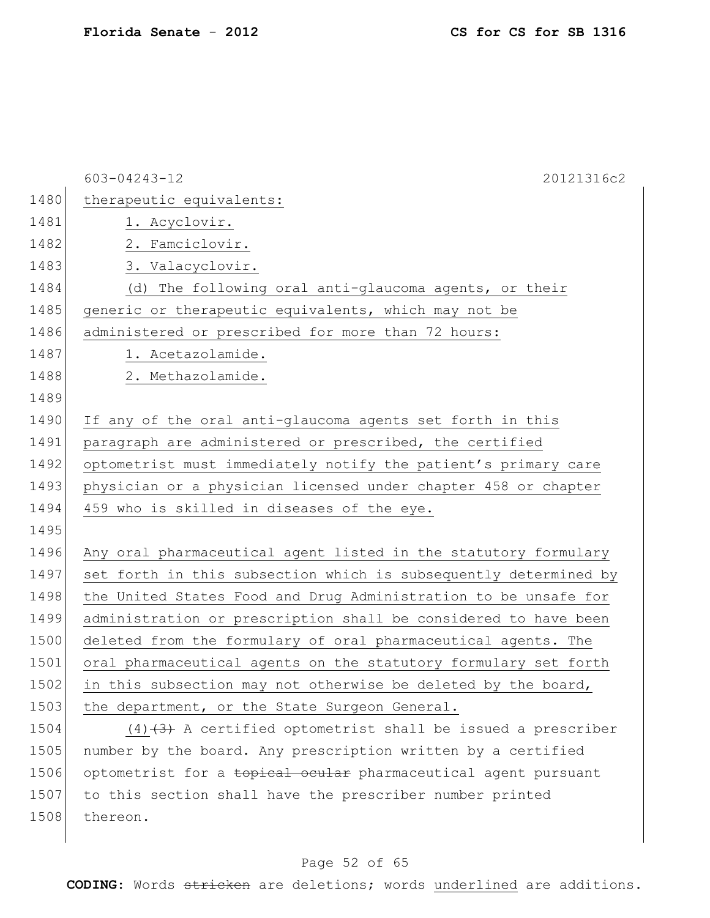|      | 20121316c2<br>$603 - 04243 - 12$                                 |
|------|------------------------------------------------------------------|
| 1480 | therapeutic equivalents:                                         |
| 1481 | 1. Acyclovir.                                                    |
| 1482 | 2. Famciclovir.                                                  |
| 1483 | 3. Valacyclovir.                                                 |
| 1484 | (d) The following oral anti-glaucoma agents, or their            |
| 1485 | generic or therapeutic equivalents, which may not be             |
| 1486 | administered or prescribed for more than 72 hours:               |
| 1487 | 1. Acetazolamide.                                                |
| 1488 | 2. Methazolamide.                                                |
| 1489 |                                                                  |
| 1490 | If any of the oral anti-glaucoma agents set forth in this        |
| 1491 | paragraph are administered or prescribed, the certified          |
| 1492 | optometrist must immediately notify the patient's primary care   |
| 1493 | physician or a physician licensed under chapter 458 or chapter   |
| 1494 | 459 who is skilled in diseases of the eye.                       |
| 1495 |                                                                  |
| 1496 | Any oral pharmaceutical agent listed in the statutory formulary  |
| 1497 | set forth in this subsection which is subsequently determined by |
| 1498 | the United States Food and Drug Administration to be unsafe for  |
| 1499 | administration or prescription shall be considered to have been  |
| 1500 | deleted from the formulary of oral pharmaceutical agents. The    |
| 1501 | oral pharmaceutical agents on the statutory formulary set forth  |
| 1502 | in this subsection may not otherwise be deleted by the board,    |
| 1503 | the department, or the State Surgeon General.                    |
| 1504 | $(4)$ $(3)$ A certified optometrist shall be issued a prescriber |
|      |                                                                  |

1505 number by the board. Any prescription written by a certified 1506 optometrist for a topical ocular pharmaceutical agent pursuant 1507 to this section shall have the prescriber number printed 1508 thereon.

### Page 52 of 65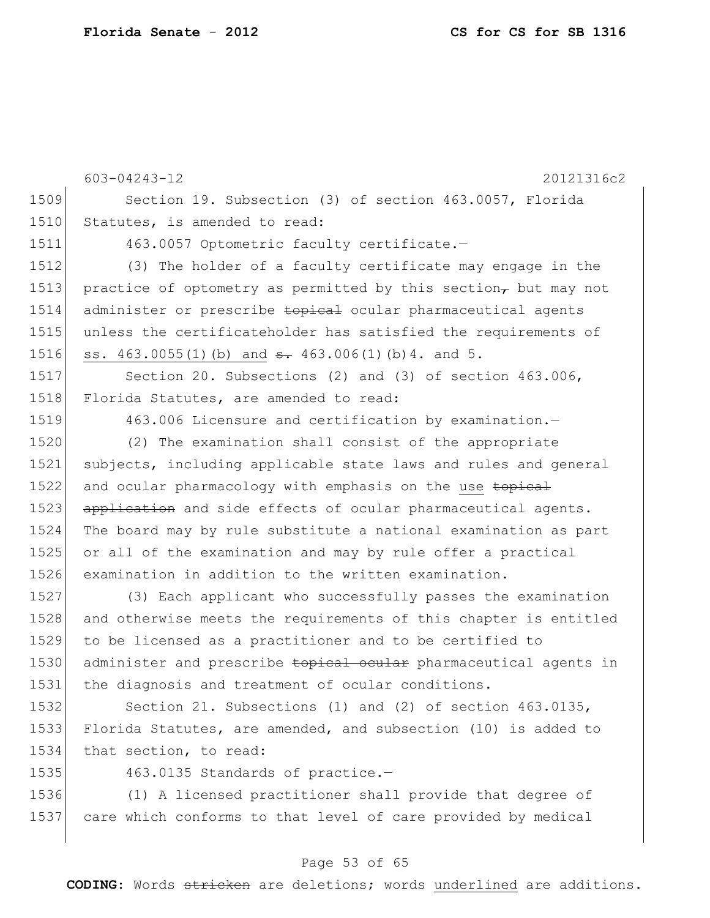603-04243-12 20121316c2 1509 Section 19. Subsection (3) of section 463.0057, Florida 1510 Statutes, is amended to read: 1511 463.0057 Optometric faculty certificate.-1512 (3) The holder of a faculty certificate may engage in the 1513 practice of optometry as permitted by this section, but may not 1514 administer or prescribe topical ocular pharmaceutical agents 1515 unless the certificateholder has satisfied the requirements of 1516 ss. 463.0055(1)(b) and  $\frac{1}{2}$  463.006(1)(b)4. and 5. 1517 Section 20. Subsections (2) and (3) of section 463.006, 1518 Florida Statutes, are amended to read: 1519 463.006 Licensure and certification by examination.-1520 (2) The examination shall consist of the appropriate 1521 subjects, including applicable state laws and rules and general 1522 and ocular pharmacology with emphasis on the use topical 1523 application and side effects of ocular pharmaceutical agents. 1524 The board may by rule substitute a national examination as part 1525 or all of the examination and may by rule offer a practical 1526 examination in addition to the written examination. 1527 (3) Each applicant who successfully passes the examination 1528 and otherwise meets the requirements of this chapter is entitled 1529 to be licensed as a practitioner and to be certified to 1530 administer and prescribe topical ocular pharmaceutical agents in 1531 the diagnosis and treatment of ocular conditions. 1532 Section 21. Subsections (1) and (2) of section 463.0135, 1533 Florida Statutes, are amended, and subsection (10) is added to 1534 that section, to read: 1535 463.0135 Standards of practice.-1536 (1) A licensed practitioner shall provide that degree of 1537 care which conforms to that level of care provided by medical

#### Page 53 of 65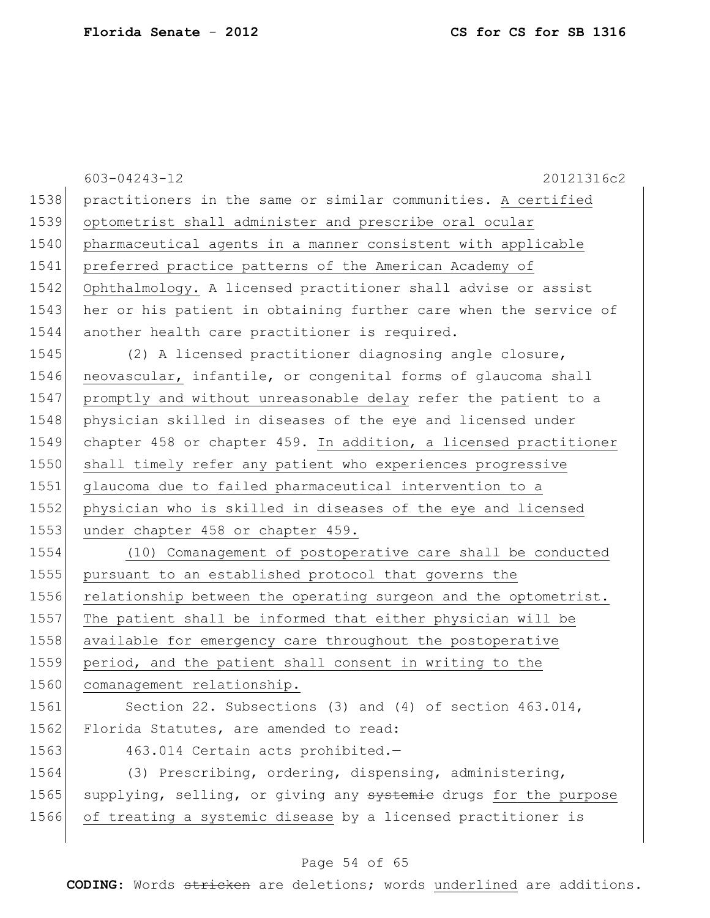|      | $603 - 04243 - 12$<br>20121316c2                                 |
|------|------------------------------------------------------------------|
| 1538 | practitioners in the same or similar communities. A certified    |
| 1539 | optometrist shall administer and prescribe oral ocular           |
| 1540 | pharmaceutical agents in a manner consistent with applicable     |
| 1541 | preferred practice patterns of the American Academy of           |
| 1542 | Ophthalmology. A licensed practitioner shall advise or assist    |
| 1543 | her or his patient in obtaining further care when the service of |
| 1544 | another health care practitioner is required.                    |
| 1545 | (2) A licensed practitioner diagnosing angle closure,            |
| 1546 | neovascular, infantile, or congenital forms of glaucoma shall    |
| 1547 | promptly and without unreasonable delay refer the patient to a   |
| 1548 | physician skilled in diseases of the eye and licensed under      |
| 1549 | chapter 458 or chapter 459. In addition, a licensed practitioner |
| 1550 | shall timely refer any patient who experiences progressive       |
| 1551 | glaucoma due to failed pharmaceutical intervention to a          |
| 1552 | physician who is skilled in diseases of the eye and licensed     |
| 1553 | under chapter 458 or chapter 459.                                |
| 1554 | (10) Comanagement of postoperative care shall be conducted       |
| 1555 | pursuant to an established protocol that governs the             |
| 1556 | relationship between the operating surgeon and the optometrist.  |
| 1557 | The patient shall be informed that either physician will be      |
| 1558 | available for emergency care throughout the postoperative        |
| 1559 | period, and the patient shall consent in writing to the          |
| 1560 | comanagement relationship.                                       |
| 1561 | Section 22. Subsections (3) and (4) of section $463.014$ ,       |
| 1562 | Florida Statutes, are amended to read:                           |
| 1563 | 463.014 Certain acts prohibited.-                                |
| 1564 | (3) Prescribing, ordering, dispensing, administering,            |
| 1565 | supplying, selling, or giving any systemie drugs for the purpose |
| 1566 | of treating a systemic disease by a licensed practitioner is     |
|      |                                                                  |

# Page 54 of 65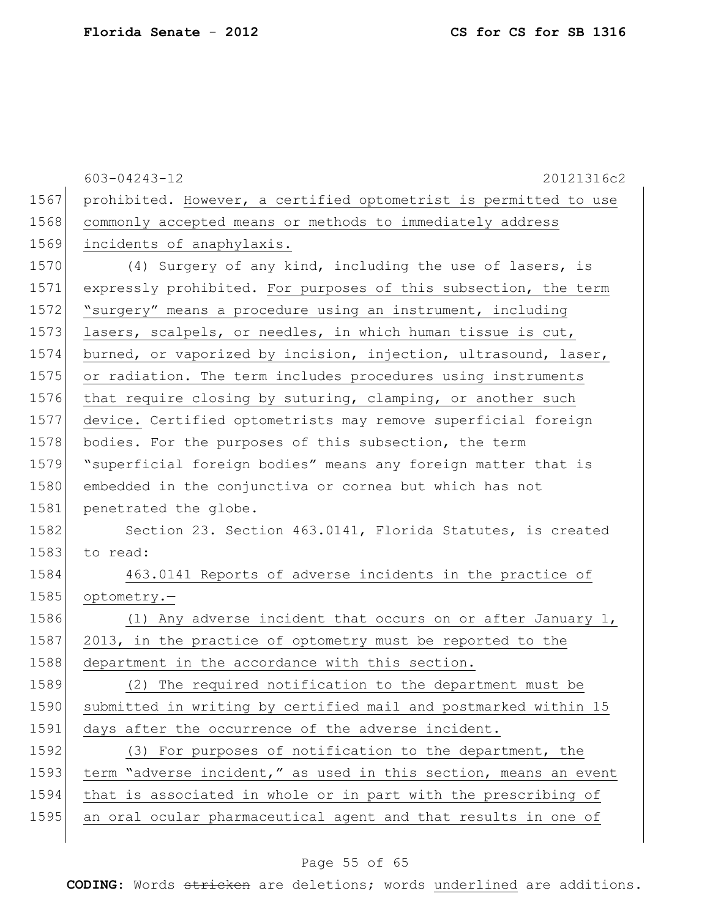|      | $603 - 04243 - 12$<br>20121316c2                                 |
|------|------------------------------------------------------------------|
| 1567 | prohibited. However, a certified optometrist is permitted to use |
| 1568 | commonly accepted means or methods to immediately address        |
| 1569 | incidents of anaphylaxis.                                        |
| 1570 | (4) Surgery of any kind, including the use of lasers, is         |
| 1571 | expressly prohibited. For purposes of this subsection, the term  |
| 1572 | "surgery" means a procedure using an instrument, including       |
| 1573 | lasers, scalpels, or needles, in which human tissue is cut,      |
| 1574 | burned, or vaporized by incision, injection, ultrasound, laser,  |
| 1575 | or radiation. The term includes procedures using instruments     |
| 1576 | that require closing by suturing, clamping, or another such      |
| 1577 | device. Certified optometrists may remove superficial foreign    |
| 1578 | bodies. For the purposes of this subsection, the term            |
| 1579 | "superficial foreign bodies" means any foreign matter that is    |
| 1580 | embedded in the conjunctiva or cornea but which has not          |
| 1581 | penetrated the globe.                                            |
| 1582 | Section 23. Section 463.0141, Florida Statutes, is created       |
| 1583 | to read:                                                         |
| 1584 | 463.0141 Reports of adverse incidents in the practice of         |
| 1585 | optometry.-                                                      |
| 1586 | (1) Any adverse incident that occurs on or after January 1,      |
| 1587 | 2013, in the practice of optometry must be reported to the       |
| 1588 | department in the accordance with this section.                  |
| 1589 | (2) The required notification to the department must be          |
| 1590 | submitted in writing by certified mail and postmarked within 15  |
| 1591 | days after the occurrence of the adverse incident.               |
| 1592 | (3) For purposes of notification to the department, the          |
| 1593 | term "adverse incident," as used in this section, means an event |
| 1594 | that is associated in whole or in part with the prescribing of   |
| 1595 | an oral ocular pharmaceutical agent and that results in one of   |
|      |                                                                  |

# Page 55 of 65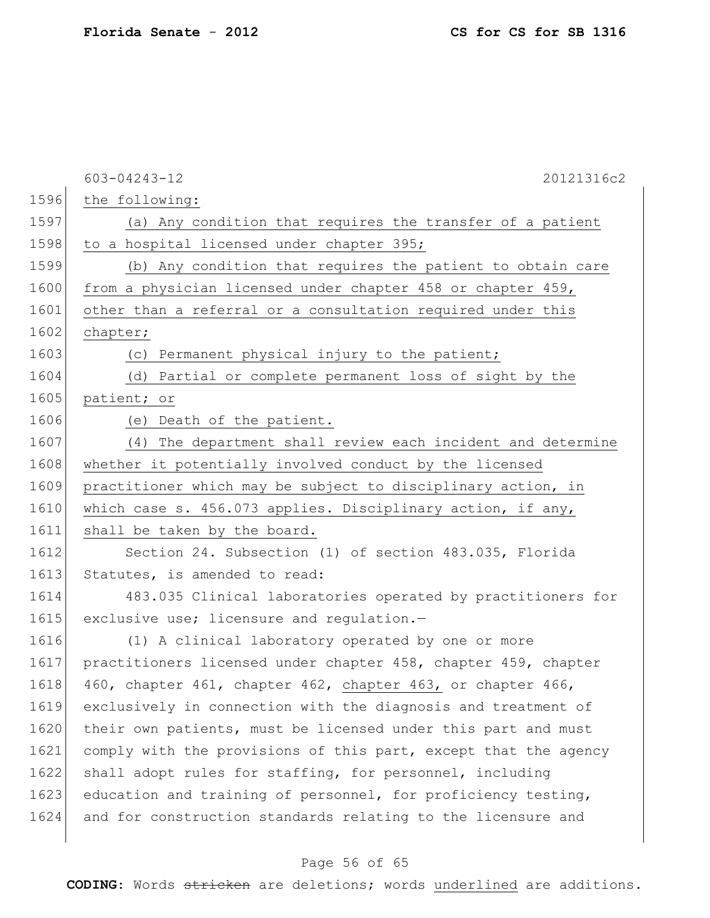|      | 603-04243-12<br>20121316c2                                      |
|------|-----------------------------------------------------------------|
| 1596 | the following:                                                  |
| 1597 | (a) Any condition that requires the transfer of a patient       |
| 1598 | to a hospital licensed under chapter 395;                       |
| 1599 | (b) Any condition that requires the patient to obtain care      |
| 1600 | from a physician licensed under chapter 458 or chapter 459,     |
| 1601 | other than a referral or a consultation required under this     |
| 1602 | chapter;                                                        |
| 1603 | (c) Permanent physical injury to the patient;                   |
| 1604 | (d) Partial or complete permanent loss of sight by the          |
| 1605 | patient; or                                                     |
| 1606 | (e) Death of the patient.                                       |
| 1607 | The department shall review each incident and determine<br>(4)  |
| 1608 | whether it potentially involved conduct by the licensed         |
| 1609 | practitioner which may be subject to disciplinary action, in    |
| 1610 | which case s. 456.073 applies. Disciplinary action, if any,     |
| 1611 | shall be taken by the board.                                    |
| 1612 | Section 24. Subsection (1) of section 483.035, Florida          |
| 1613 | Statutes, is amended to read:                                   |
| 1614 | 483.035 Clinical laboratories operated by practitioners for     |
| 1615 | exclusive use; licensure and requlation.-                       |
| 1616 | (1) A clinical laboratory operated by one or more               |
| 1617 | practitioners licensed under chapter 458, chapter 459, chapter  |
| 1618 | 460, chapter 461, chapter 462, chapter 463, or chapter 466,     |
| 1619 | exclusively in connection with the diagnosis and treatment of   |
| 1620 | their own patients, must be licensed under this part and must   |
| 1621 | comply with the provisions of this part, except that the agency |
| 1622 | shall adopt rules for staffing, for personnel, including        |
| 1623 | education and training of personnel, for proficiency testing,   |
| 1624 | and for construction standards relating to the licensure and    |
|      |                                                                 |

# Page 56 of 65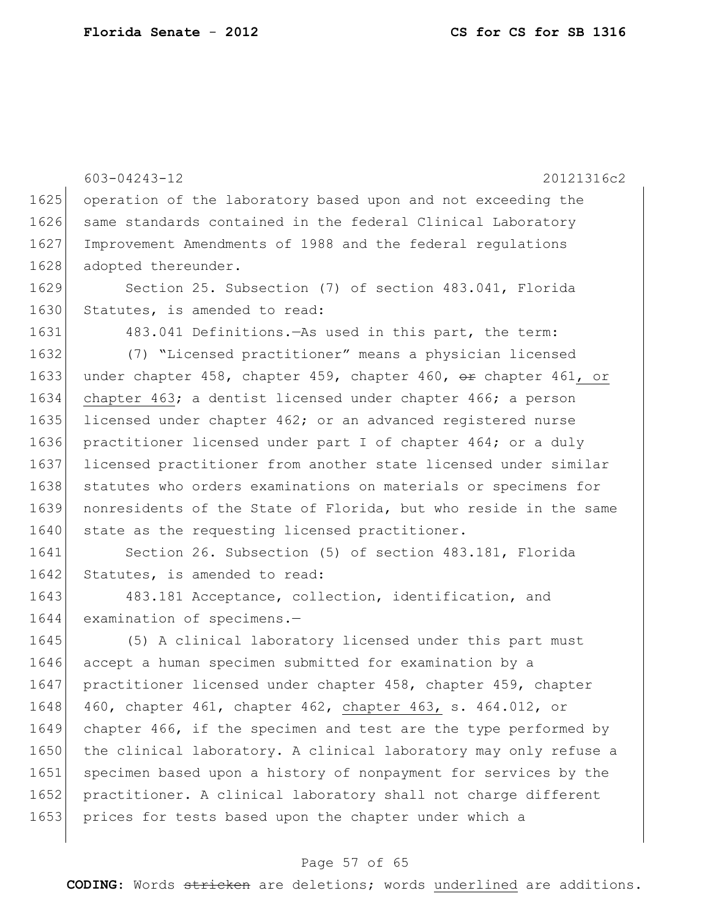603-04243-12 20121316c2 1625 operation of the laboratory based upon and not exceeding the 1626 same standards contained in the federal Clinical Laboratory 1627 Improvement Amendments of 1988 and the federal regulations 1628 adopted thereunder. 1629 Section 25. Subsection (7) of section 483.041, Florida 1630 Statutes, is amended to read: 1631 483.041 Definitions.—As used in this part, the term: 1632 (7) "Licensed practitioner" means a physician licensed 1633 under chapter 458, chapter 459, chapter 460,  $\Theta$ r chapter 461, or 1634 chapter 463; a dentist licensed under chapter 466; a person 1635 licensed under chapter 462; or an advanced registered nurse 1636 practitioner licensed under part I of chapter 464; or a duly 1637 licensed practitioner from another state licensed under similar 1638 statutes who orders examinations on materials or specimens for 1639 nonresidents of the State of Florida, but who reside in the same 1640 state as the requesting licensed practitioner. 1641 Section 26. Subsection (5) of section 483.181, Florida 1642 Statutes, is amended to read: 1643 483.181 Acceptance, collection, identification, and 1644 examination of specimens.-1645 (5) A clinical laboratory licensed under this part must 1646 accept a human specimen submitted for examination by a 1647 practitioner licensed under chapter 458, chapter 459, chapter 1648 460, chapter 461, chapter 462, chapter 463, s. 464.012, or 1649 chapter 466, if the specimen and test are the type performed by 1650 the clinical laboratory. A clinical laboratory may only refuse a

1651 specimen based upon a history of nonpayment for services by the 1652 practitioner. A clinical laboratory shall not charge different 1653 prices for tests based upon the chapter under which a

#### Page 57 of 65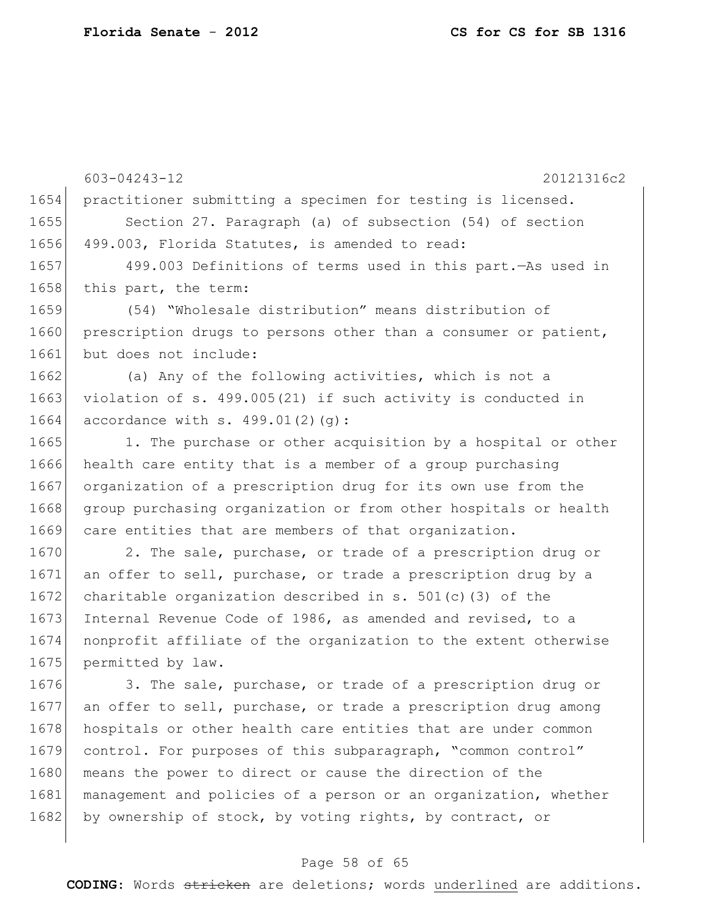603-04243-12 20121316c2 1654 practitioner submitting a specimen for testing is licensed. 1655 Section 27. Paragraph (a) of subsection (54) of section 1656 499.003, Florida Statutes, is amended to read: 1657 499.003 Definitions of terms used in this part.—As used in 1658 this part, the term: 1659 (54) "Wholesale distribution" means distribution of 1660 prescription drugs to persons other than a consumer or patient, 1661 but does not include: 1662 (a) Any of the following activities, which is not a 1663 violation of s. 499.005(21) if such activity is conducted in 1664 accordance with s. 499.01(2)(q): 1665 1. The purchase or other acquisition by a hospital or other 1666 health care entity that is a member of a group purchasing 1667 organization of a prescription drug for its own use from the 1668 group purchasing organization or from other hospitals or health 1669 care entities that are members of that organization. 1670 2. The sale, purchase, or trade of a prescription drug or 1671 an offer to sell, purchase, or trade a prescription drug by a 1672 charitable organization described in s.  $501(c)$  (3) of the 1673 Internal Revenue Code of 1986, as amended and revised, to a 1674 nonprofit affiliate of the organization to the extent otherwise 1675 permitted by law. 1676 3. The sale, purchase, or trade of a prescription drug or 1677 an offer to sell, purchase, or trade a prescription drug among 1678 hospitals or other health care entities that are under common 1679 control. For purposes of this subparagraph, "common control" 1680 means the power to direct or cause the direction of the 1681 management and policies of a person or an organization, whether

### Page 58 of 65

1682 by ownership of stock, by voting rights, by contract, or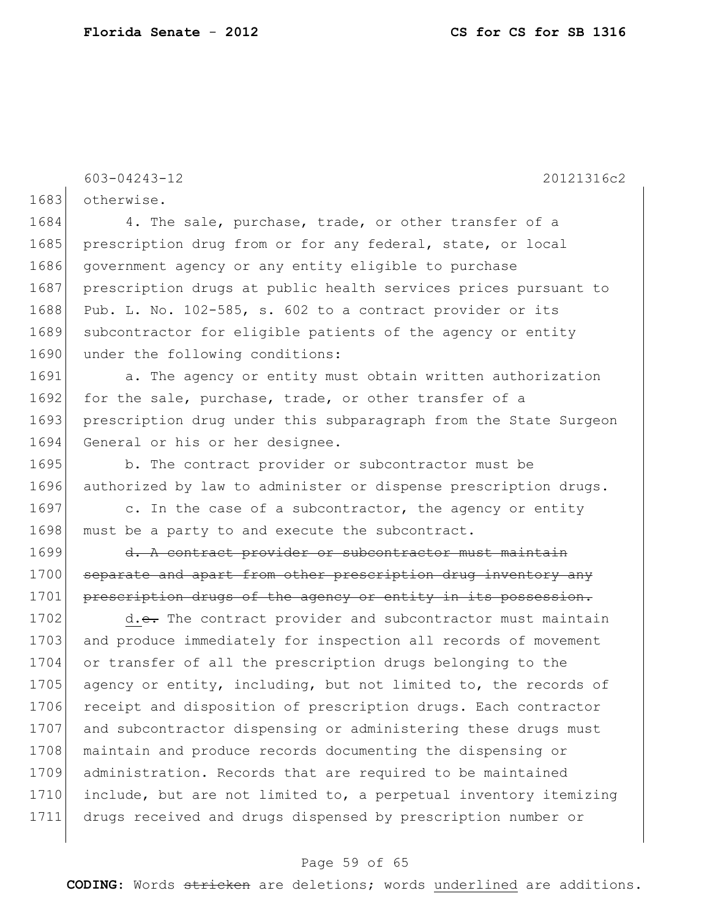603-04243-12 20121316c2

1683 otherwise.

1684 4. The sale, purchase, trade, or other transfer of a 1685 prescription drug from or for any federal, state, or local 1686 government agency or any entity eligible to purchase 1687 prescription drugs at public health services prices pursuant to 1688 Pub. L. No. 102-585, s. 602 to a contract provider or its 1689 subcontractor for eligible patients of the agency or entity 1690 under the following conditions:

1691 a. The agency or entity must obtain written authorization 1692 for the sale, purchase, trade, or other transfer of a 1693 prescription drug under this subparagraph from the State Surgeon 1694 General or his or her designee.

1695 b. The contract provider or subcontractor must be 1696 authorized by law to administer or dispense prescription drugs.

1697 c. In the case of a subcontractor, the agency or entity 1698 must be a party to and execute the subcontract.

1699 d. A contract provider or subcontractor must maintain 1700 separate and apart from other prescription drug inventory any 1701 prescription drugs of the agency or entity in its possession.

1702 d.e. The contract provider and subcontractor must maintain 1703 and produce immediately for inspection all records of movement 1704 or transfer of all the prescription drugs belonging to the 1705 agency or entity, including, but not limited to, the records of 1706 receipt and disposition of prescription drugs. Each contractor 1707 and subcontractor dispensing or administering these drugs must 1708 maintain and produce records documenting the dispensing or 1709 administration. Records that are required to be maintained 1710 include, but are not limited to, a perpetual inventory itemizing 1711 drugs received and drugs dispensed by prescription number or

#### Page 59 of 65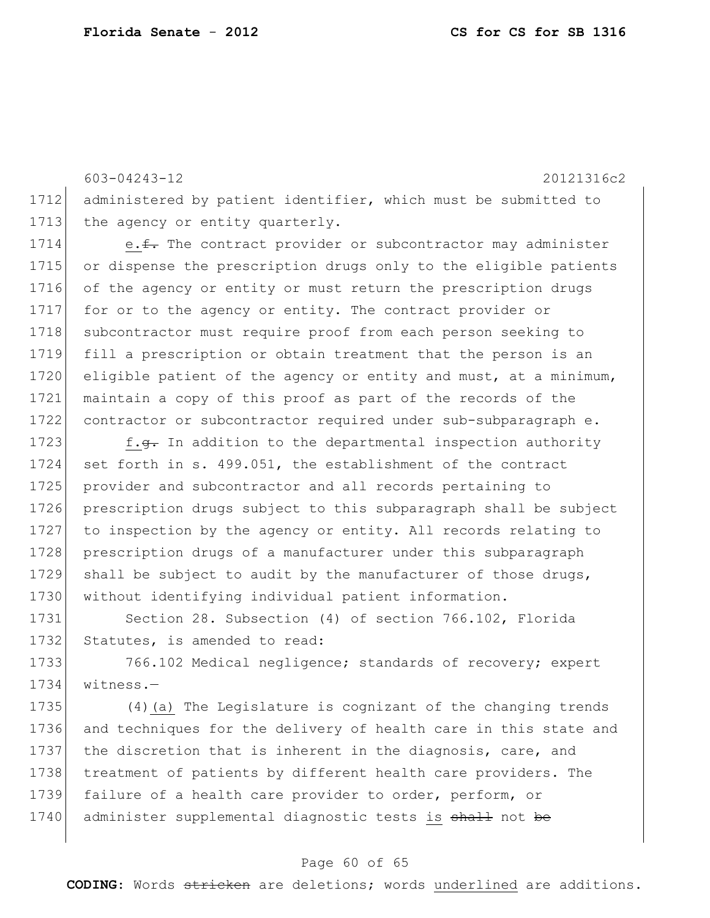603-04243-12 20121316c2 1712 administered by patient identifier, which must be submitted to 1713 the agency or entity quarterly.

1714 e.f. The contract provider or subcontractor may administer 1715 or dispense the prescription drugs only to the eligible patients 1716 of the agency or entity or must return the prescription drugs 1717 for or to the agency or entity. The contract provider or 1718 subcontractor must require proof from each person seeking to 1719 fill a prescription or obtain treatment that the person is an 1720 eligible patient of the agency or entity and must, at a minimum, 1721 maintain a copy of this proof as part of the records of the 1722 contractor or subcontractor required under sub-subparagraph e.

1723 f.g. In addition to the departmental inspection authority 1724 set forth in s. 499.051, the establishment of the contract 1725 provider and subcontractor and all records pertaining to 1726 prescription drugs subject to this subparagraph shall be subject 1727 to inspection by the agency or entity. All records relating to 1728 prescription drugs of a manufacturer under this subparagraph 1729 shall be subject to audit by the manufacturer of those drugs, 1730 | without identifying individual patient information.

1731 Section 28. Subsection (4) of section 766.102, Florida 1732 Statutes, is amended to read:

1733 766.102 Medical negligence; standards of recovery; expert 1734 witness.—

 (4)(a) The Legislature is cognizant of the changing trends and techniques for the delivery of health care in this state and the discretion that is inherent in the diagnosis, care, and 1738 treatment of patients by different health care providers. The failure of a health care provider to order, perform, or 1740 administer supplemental diagnostic tests is shall not be

#### Page 60 of 65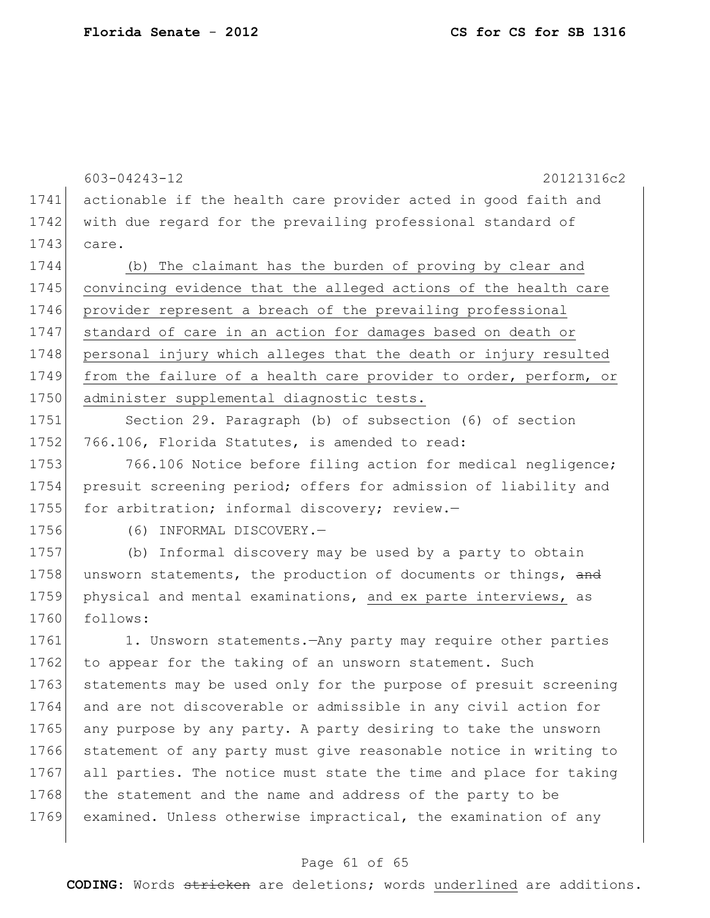603-04243-12 20121316c2 1741 actionable if the health care provider acted in good faith and 1742 with due regard for the prevailing professional standard of 1743 care. 1744 (b) The claimant has the burden of proving by clear and 1745 convincing evidence that the alleged actions of the health care 1746 provider represent a breach of the prevailing professional 1747 standard of care in an action for damages based on death or 1748 personal injury which alleges that the death or injury resulted 1749 from the failure of a health care provider to order, perform, or 1750 administer supplemental diagnostic tests. 1751 Section 29. Paragraph (b) of subsection (6) of section 1752 766.106, Florida Statutes, is amended to read: 1753 766.106 Notice before filing action for medical negligence; 1754 presuit screening period; offers for admission of liability and 1755 for arbitration; informal discovery; review.-1756 (6) INFORMAL DISCOVERY.— 1757 (b) Informal discovery may be used by a party to obtain 1758 unsworn statements, the production of documents or things, and 1759 physical and mental examinations, and ex parte interviews, as 1760 follows: 1761 1. Unsworn statements.—Any party may require other parties 1762 to appear for the taking of an unsworn statement. Such 1763 statements may be used only for the purpose of presuit screening 1764 and are not discoverable or admissible in any civil action for 1765 any purpose by any party. A party desiring to take the unsworn 1766 statement of any party must give reasonable notice in writing to 1767 all parties. The notice must state the time and place for taking 1768 the statement and the name and address of the party to be 1769 examined. Unless otherwise impractical, the examination of any

#### Page 61 of 65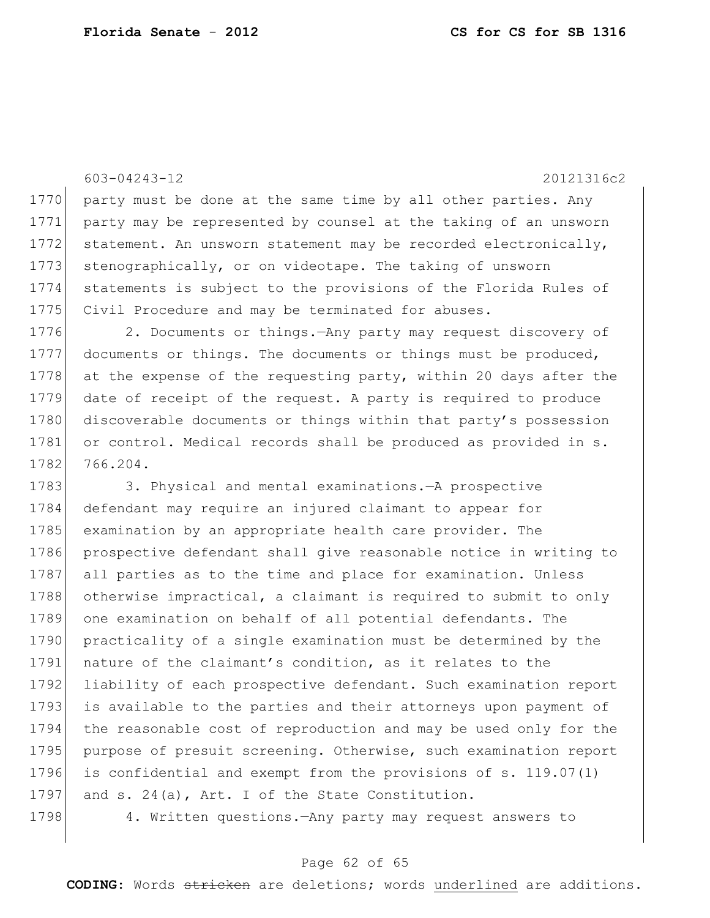603-04243-12 20121316c2 1770 party must be done at the same time by all other parties. Any 1771 party may be represented by counsel at the taking of an unsworn 1772 statement. An unsworn statement may be recorded electronically, 1773 stenographically, or on videotape. The taking of unsworn 1774 statements is subject to the provisions of the Florida Rules of 1775 Civil Procedure and may be terminated for abuses. 1776 2. Documents or things.—Any party may request discovery of 1777 documents or things. The documents or things must be produced, 1778 at the expense of the requesting party, within 20 days after the

1779 date of receipt of the request. A party is required to produce 1780 discoverable documents or things within that party's possession 1781 or control. Medical records shall be produced as provided in s. 1782 766.204.

1783 3. Physical and mental examinations.—A prospective 1784 defendant may require an injured claimant to appear for 1785 examination by an appropriate health care provider. The 1786 prospective defendant shall give reasonable notice in writing to 1787 all parties as to the time and place for examination. Unless 1788 otherwise impractical, a claimant is required to submit to only 1789 one examination on behalf of all potential defendants. The 1790 practicality of a single examination must be determined by the 1791 nature of the claimant's condition, as it relates to the 1792 liability of each prospective defendant. Such examination report 1793 is available to the parties and their attorneys upon payment of 1794 the reasonable cost of reproduction and may be used only for the 1795 purpose of presuit screening. Otherwise, such examination report 1796 is confidential and exempt from the provisions of s. 119.07(1) 1797 and s. 24(a), Art. I of the State Constitution.

1798 4. Written questions.—Any party may request answers to

#### Page 62 of 65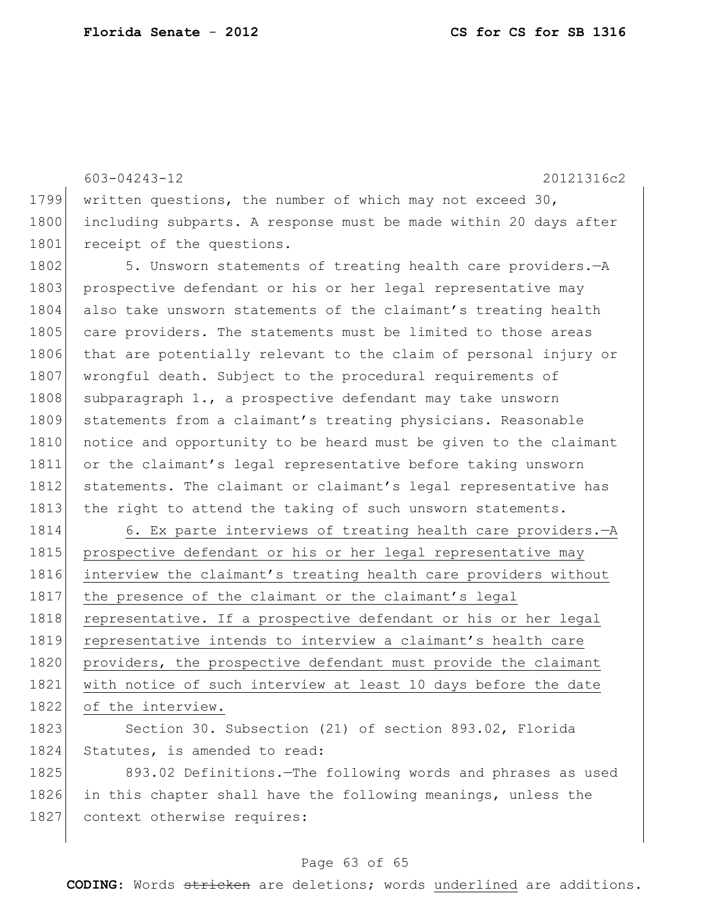603-04243-12 20121316c2 1799 written questions, the number of which may not exceed 30, 1800 including subparts. A response must be made within 20 days after 1801 receipt of the questions. 1802 5. Unsworn statements of treating health care providers. - A 1803 prospective defendant or his or her legal representative may 1804 also take unsworn statements of the claimant's treating health 1805 care providers. The statements must be limited to those areas 1806 that are potentially relevant to the claim of personal injury or 1807 wrongful death. Subject to the procedural requirements of 1808 subparagraph  $1.$ , a prospective defendant may take unsworn 1809 statements from a claimant's treating physicians. Reasonable 1810 notice and opportunity to be heard must be given to the claimant 1811 or the claimant's legal representative before taking unsworn 1812 statements. The claimant or claimant's legal representative has 1813 the right to attend the taking of such unsworn statements. 1814 6. Ex parte interviews of treating health care providers. - A 1815 prospective defendant or his or her legal representative may 1816 interview the claimant's treating health care providers without 1817 the presence of the claimant or the claimant's legal 1818 representative. If a prospective defendant or his or her legal 1819 representative intends to interview a claimant's health care 1820 providers, the prospective defendant must provide the claimant 1821 with notice of such interview at least 10 days before the date 1822 of the interview. 1823 Section 30. Subsection (21) of section 893.02, Florida 1824 Statutes, is amended to read:

1825 893.02 Definitions.—The following words and phrases as used 1826 in this chapter shall have the following meanings, unless the 1827 context otherwise requires:

#### Page 63 of 65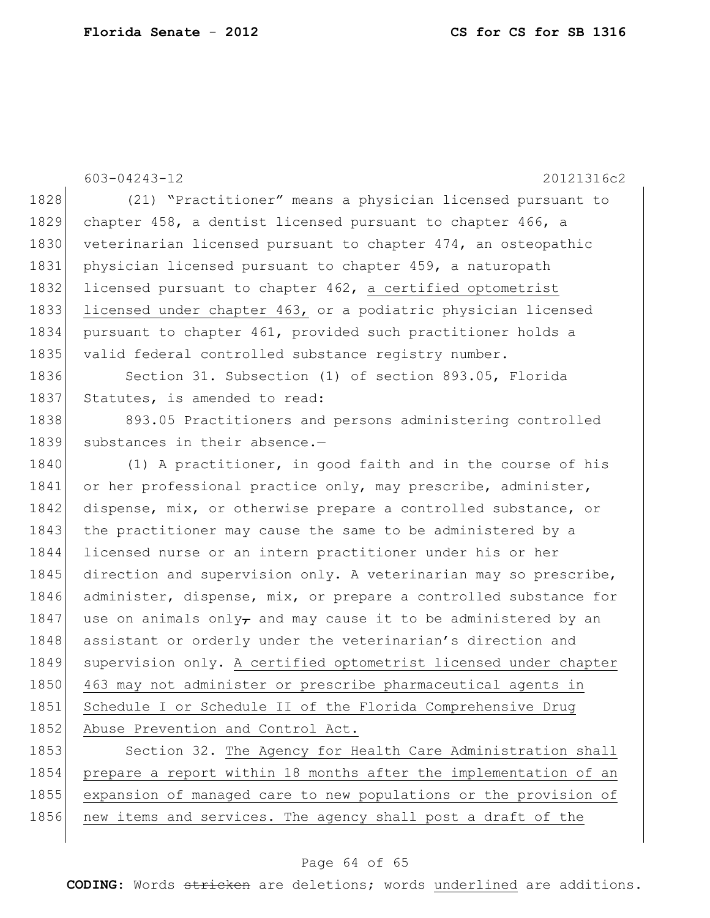603-04243-12 20121316c2 1828 (21) "Practitioner" means a physician licensed pursuant to 1829 chapter 458, a dentist licensed pursuant to chapter 466, a 1830 veterinarian licensed pursuant to chapter 474, an osteopathic 1831 physician licensed pursuant to chapter 459, a naturopath 1832 licensed pursuant to chapter 462, a certified optometrist 1833 licensed under chapter 463, or a podiatric physician licensed 1834 pursuant to chapter 461, provided such practitioner holds a 1835 valid federal controlled substance registry number. 1836 Section 31. Subsection (1) of section 893.05, Florida 1837 Statutes, is amended to read: 1838 893.05 Practitioners and persons administering controlled 1839 substances in their absence.-1840 (1) A practitioner, in good faith and in the course of his 1841 or her professional practice only, may prescribe, administer, 1842 dispense, mix, or otherwise prepare a controlled substance, or 1843 the practitioner may cause the same to be administered by a 1844 licensed nurse or an intern practitioner under his or her 1845 direction and supervision only. A veterinarian may so prescribe, 1846 administer, dispense, mix, or prepare a controlled substance for 1847 use on animals only, and may cause it to be administered by an 1848 assistant or orderly under the veterinarian's direction and 1849 supervision only. A certified optometrist licensed under chapter 1850 463 may not administer or prescribe pharmaceutical agents in 1851 Schedule I or Schedule II of the Florida Comprehensive Drug 1852 Abuse Prevention and Control Act. 1853 Section 32. The Agency for Health Care Administration shall 1854 prepare a report within 18 months after the implementation of an

1855 expansion of managed care to new populations or the provision of 1856 new items and services. The agency shall post a draft of the

### Page 64 of 65